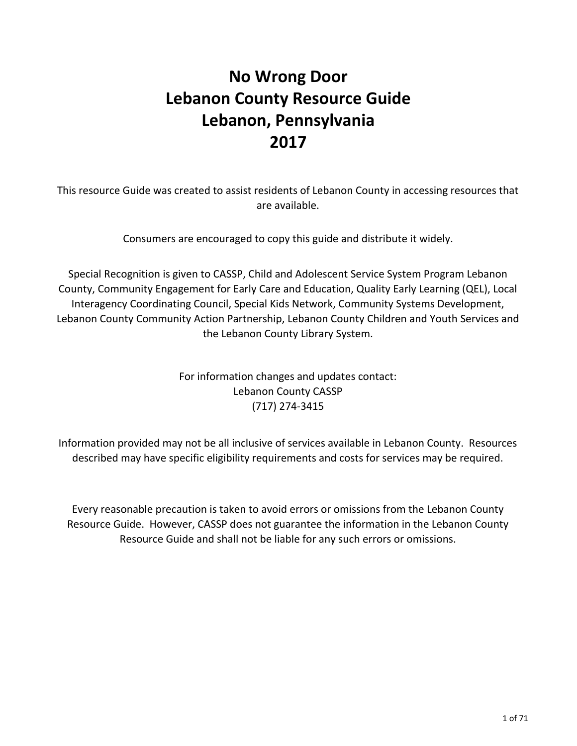# **No Wrong Door Lebanon County Resource Guide Lebanon, Pennsylvania 2017**

This resource Guide was created to assist residents of Lebanon County in accessing resources that are available.

Consumers are encouraged to copy this guide and distribute it widely.

Special Recognition is given to CASSP, Child and Adolescent Service System Program Lebanon County, Community Engagement for Early Care and Education, Quality Early Learning (QEL), Local Interagency Coordinating Council, Special Kids Network, Community Systems Development, Lebanon County Community Action Partnership, Lebanon County Children and Youth Services and the Lebanon County Library System.

> For information changes and updates contact: Lebanon County CASSP (717) 274-3415

Information provided may not be all inclusive of services available in Lebanon County. Resources described may have specific eligibility requirements and costs for services may be required.

Every reasonable precaution is taken to avoid errors or omissions from the Lebanon County Resource Guide. However, CASSP does not guarantee the information in the Lebanon County Resource Guide and shall not be liable for any such errors or omissions.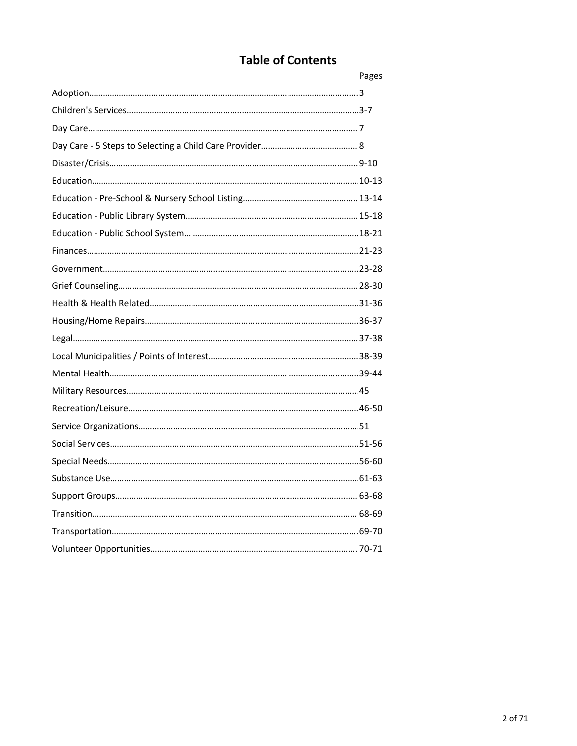## **Table of Contents**

| Pages |
|-------|
|       |
|       |
|       |
|       |
|       |
|       |
|       |
|       |
|       |
|       |
|       |
|       |
|       |
|       |
|       |
|       |
|       |
|       |
|       |
|       |
|       |
|       |
|       |
|       |
|       |
|       |
|       |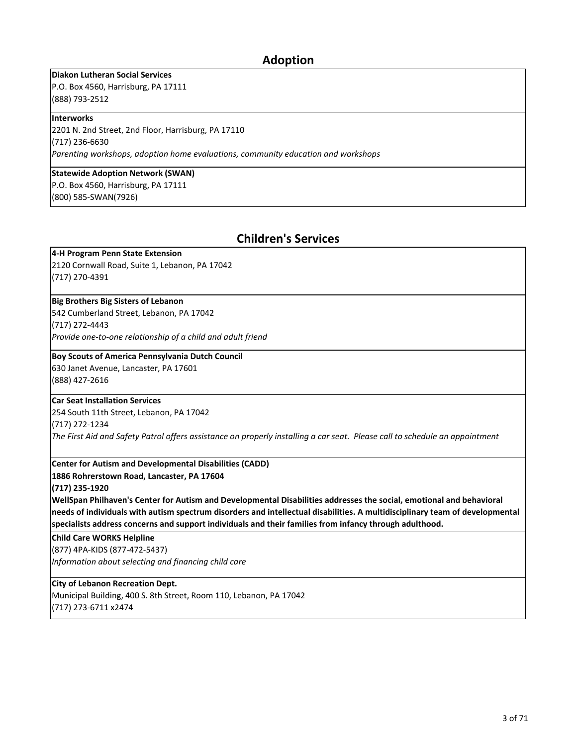### **Adoption**

**Diakon Lutheran Social Services**

P.O. Box 4560, Harrisburg, PA 17111 (888) 793-2512

#### **Interworks**

2201 N. 2nd Street, 2nd Floor, Harrisburg, PA 17110 (717) 236-6630 *Parenting workshops, adoption home evaluations, community education and workshops*

**Statewide Adoption Network (SWAN)**

P.O. Box 4560, Harrisburg, PA 17111 (800) 585-SWAN(7926)

## **Children's Services**

#### **4-H Program Penn State Extension**

2120 Cornwall Road, Suite 1, Lebanon, PA 17042 (717) 270-4391

#### **Big Brothers Big Sisters of Lebanon**

542 Cumberland Street, Lebanon, PA 17042

(717) 272-4443

*Provide one-to-one relationship of a child and adult friend*

#### **Boy Scouts of America Pennsylvania Dutch Council**

630 Janet Avenue, Lancaster, PA 17601 (888) 427-2616

#### **Car Seat Installation Services**

254 South 11th Street, Lebanon, PA 17042 (717) 272-1234

*The First Aid and Safety Patrol offers assistance on properly installing a car seat. Please call to schedule an appointment* 

#### **Center for Autism and Developmental Disabilities (CADD)**

**1886 Rohrerstown Road, Lancaster, PA 17604**

#### **(717) 235-1920**

**WellSpan Philhaven's Center for Autism and Developmental Disabilities addresses the social, emotional and behavioral needs of individuals with autism spectrum disorders and intellectual disabilities. A multidisciplinary team of developmental specialists address concerns and support individuals and their families from infancy through adulthood.**

**Child Care WORKS Helpline**

(877) 4PA-KIDS (877-472-5437)

*Information about selecting and financing child care*

**City of Lebanon Recreation Dept.**

Municipal Building, 400 S. 8th Street, Room 110, Lebanon, PA 17042 (717) 273-6711 x2474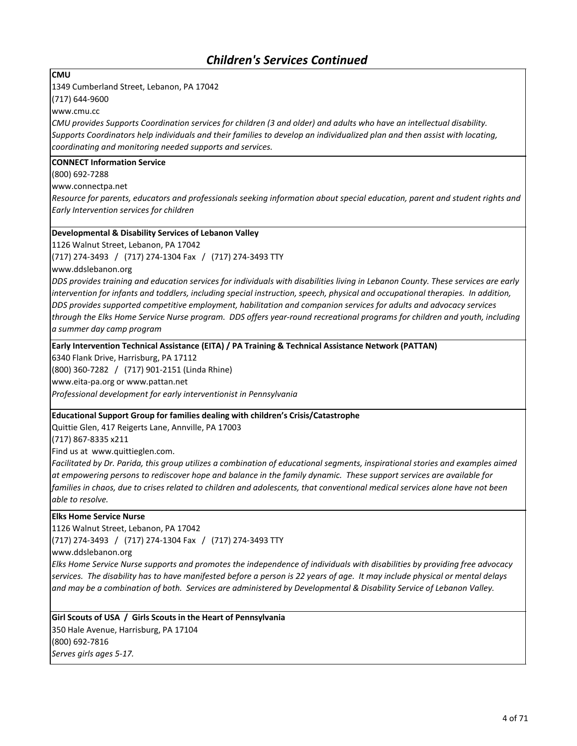**CMU**

1349 Cumberland Street, Lebanon, PA 17042

(717) 644-9600

www.cmu.cc

*CMU provides Supports Coordination services for children (3 and older) and adults who have an intellectual disability. Supports Coordinators help individuals and their families to develop an individualized plan and then assist with locating, coordinating and monitoring needed supports and services.*

#### **CONNECT Information Service**

(800) 692-7288

www.connectpa.net

*Resource for parents, educators and professionals seeking information about special education, parent and student rights and Early Intervention services for children*

#### **Developmental & Disability Services of Lebanon Valley**

1126 Walnut Street, Lebanon, PA 17042

(717) 274-3493 / (717) 274-1304 Fax / (717) 274-3493 TTY

www.ddslebanon.org

*DDS provides training and education services for individuals with disabilities living in Lebanon County. These services are early intervention for infants and toddlers, including special instruction, speech, physical and occupational therapies. In addition, DDS provides supported competitive employment, habilitation and companion services for adults and advocacy services through the Elks Home Service Nurse program. DDS offers year-round recreational programs for children and youth, including a summer day camp program*

**Early Intervention Technical Assistance (EITA) / PA Training & Technical Assistance Network (PATTAN)**

6340 Flank Drive, Harrisburg, PA 17112

(800) 360-7282 / (717) 901-2151 (Linda Rhine)

www.eita-pa.org or www.pattan.net

*Professional development for early interventionist in Pennsylvania*

### **Educational Support Group for families dealing with children's Crisis/Catastrophe**

Quittie Glen, 417 Reigerts Lane, Annville, PA 17003 (717) 867-8335 x211

Find us at www.quittieglen.com.

*Facilitated by Dr. Parida, this group utilizes a combination of educational segments, inspirational stories and examples aimed at empowering persons to rediscover hope and balance in the family dynamic. These support services are available for families in chaos, due to crises related to children and adolescents, that conventional medical services alone have not been able to resolve.* 

#### **Elks Home Service Nurse**

1126 Walnut Street, Lebanon, PA 17042

(717) 274-3493 / (717) 274-1304 Fax / (717) 274-3493 TTY

www.ddslebanon.org

*Elks Home Service Nurse supports and promotes the independence of individuals with disabilities by providing free advocacy services. The disability has to have manifested before a person is 22 years of age. It may include physical or mental delays and may be a combination of both. Services are administered by Developmental & Disability Service of Lebanon Valley.*

**Girl Scouts of USA / Girls Scouts in the Heart of Pennsylvania** 350 Hale Avenue, Harrisburg, PA 17104 (800) 692-7816 *Serves girls ages 5-17.*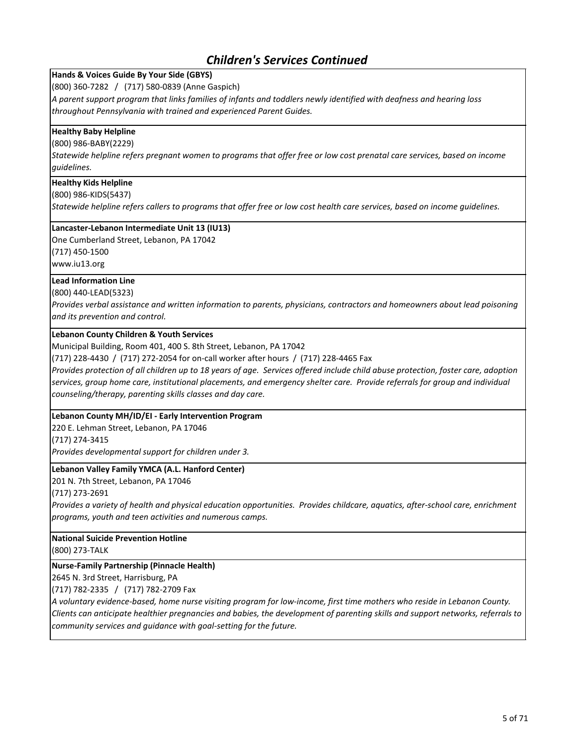**Hands & Voices Guide By Your Side (GBYS)** (800) 360-7282 / (717) 580-0839 (Anne Gaspich)

*A parent support program that links families of infants and toddlers newly identified with deafness and hearing loss throughout Pennsylvania with trained and experienced Parent Guides.*

#### **Healthy Baby Helpline**

(800) 986-BABY(2229)

*Statewide helpline refers pregnant women to programs that offer free or low cost prenatal care services, based on income guidelines.*

#### **Healthy Kids Helpline**

(800) 986-KIDS(5437)

*Statewide helpline refers callers to programs that offer free or low cost health care services, based on income guidelines.*

#### **Lancaster-Lebanon Intermediate Unit 13 (IU13)**

One Cumberland Street, Lebanon, PA 17042

(717) 450-1500

www.iu13.org

### **Lead Information Line**

#### (800) 440-LEAD(5323)

*Provides verbal assistance and written information to parents, physicians, contractors and homeowners about lead poisoning and its prevention and control.*

#### **Lebanon County Children & Youth Services**

Municipal Building, Room 401, 400 S. 8th Street, Lebanon, PA 17042

(717) 228-4430 / (717) 272-2054 for on-call worker after hours / (717) 228-4465 Fax

*Provides protection of all children up to 18 years of age. Services offered include child abuse protection, foster care, adoption services, group home care, institutional placements, and emergency shelter care. Provide referrals for group and individual counseling/therapy, parenting skills classes and day care.*

#### **Lebanon County MH/ID/EI - Early Intervention Program**

220 E. Lehman Street, Lebanon, PA 17046

(717) 274-3415

*Provides developmental support for children under 3.*

#### **Lebanon Valley Family YMCA (A.L. Hanford Center)**

201 N. 7th Street, Lebanon, PA 17046

(717) 273-2691

*Provides a variety of health and physical education opportunities. Provides childcare, aquatics, after-school care, enrichment programs, youth and teen activities and numerous camps.*

**National Suicide Prevention Hotline**

(800) 273-TALK

#### **Nurse-Family Partnership (Pinnacle Health)**

2645 N. 3rd Street, Harrisburg, PA

(717) 782-2335 / (717) 782-2709 Fax

*A voluntary evidence-based, home nurse visiting program for low-income, first time mothers who reside in Lebanon County. Clients can anticipate healthier pregnancies and babies, the development of parenting skills and support networks, referrals to community services and guidance with goal-setting for the future.*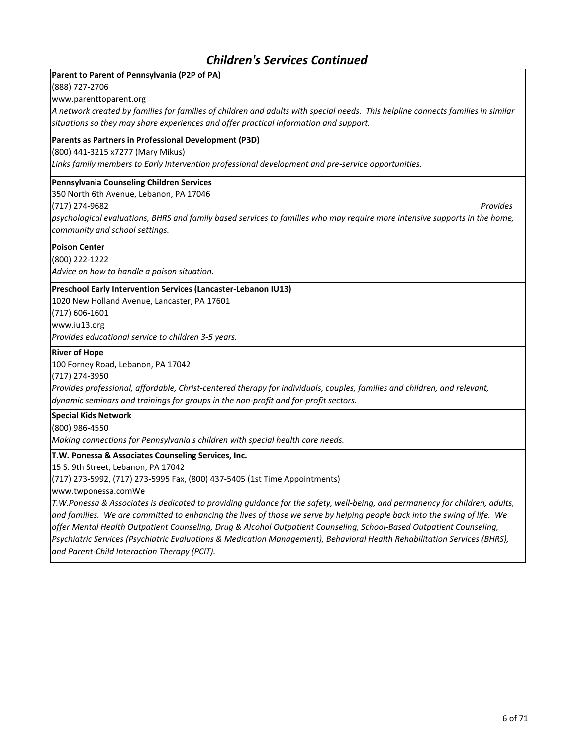### **Parent to Parent of Pennsylvania (P2P of PA)**

(888) 727-2706

www.parenttoparent.org

*A network created by families for families of children and adults with special needs. This helpline connects families in similar situations so they may share experiences and offer practical information and support.*

#### **Parents as Partners in Professional Development (P3D)**

(800) 441-3215 x7277 (Mary Mikus)

*Links family members to Early Intervention professional development and pre-service opportunities.*

#### **Pennsylvania Counseling Children Services**

350 North 6th Avenue, Lebanon, PA 17046

(717) 274-9682 *Provides* 

*psychological evaluations, BHRS and family based services to families who may require more intensive supports in the home, community and school settings.*

#### **Poison Center**

(800) 222-1222

*Advice on how to handle a poison situation.*

#### **Preschool Early Intervention Services (Lancaster-Lebanon IU13)**

1020 New Holland Avenue, Lancaster, PA 17601 (717) 606-1601 www.iu13.org

*Provides educational service to children 3-5 years.*

#### **River of Hope**

100 Forney Road, Lebanon, PA 17042

(717) 274-3950

*Provides professional, affordable, Christ-centered therapy for individuals, couples, families and children, and relevant, dynamic seminars and trainings for groups in the non-profit and for-profit sectors.*

#### **Special Kids Network**

(800) 986-4550

*Making connections for Pennsylvania's children with special health care needs.*

#### **T.W. Ponessa & Associates Counseling Services, Inc.**

15 S. 9th Street, Lebanon, PA 17042

(717) 273-5992, (717) 273-5995 Fax, (800) 437-5405 (1st Time Appointments)

www.twponessa.comWe

*T.W.Ponessa & Associates is dedicated to providing guidance for the safety, well-being, and permanency for children, adults, and families. We are committed to enhancing the lives of those we serve by helping people back into the swing of life. We offer Mental Health Outpatient Counseling, Drug & Alcohol Outpatient Counseling, School-Based Outpatient Counseling, Psychiatric Services (Psychiatric Evaluations & Medication Management), Behavioral Health Rehabilitation Services (BHRS), and Parent-Child Interaction Therapy (PCIT).*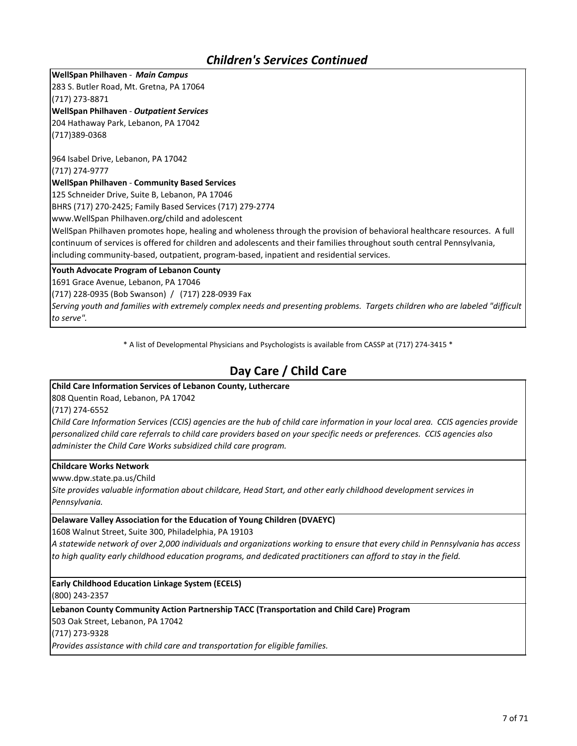**WellSpan Philhaven** - *Main Campus* 283 S. Butler Road, Mt. Gretna, PA 17064

(717) 273-8871

**WellSpan Philhaven** - *Outpatient Services*

204 Hathaway Park, Lebanon, PA 17042 (717)389-0368

964 Isabel Drive, Lebanon, PA 17042 (717) 274-9777

#### **WellSpan Philhaven** - **Community Based Services**

125 Schneider Drive, Suite B, Lebanon, PA 17046

BHRS (717) 270-2425; Family Based Services (717) 279-2774

www.WellSpan Philhaven.org/child and adolescent

WellSpan Philhaven promotes hope, healing and wholeness through the provision of behavioral healthcare resources. A full continuum of services is offered for children and adolescents and their families throughout south central Pennsylvania, including community-based, outpatient, program-based, inpatient and residential services.

### **Youth Advocate Program of Lebanon County**

1691 Grace Avenue, Lebanon, PA 17046

(717) 228-0935 (Bob Swanson) / (717) 228-0939 Fax

*Serving youth and families with extremely complex needs and presenting problems. Targets children who are labeled "difficult to serve".*

\* A list of Developmental Physicians and Psychologists is available from CASSP at (717) 274-3415 \*

## **Day Care / Child Care**

### **Child Care Information Services of Lebanon County, Luthercare**

808 Quentin Road, Lebanon, PA 17042

(717) 274-6552

*Child Care Information Services (CCIS) agencies are the hub of child care information in your local area. CCIS agencies provide personalized child care referrals to child care providers based on your specific needs or preferences. CCIS agencies also administer the Child Care Works subsidized child care program.*

### **Childcare Works Network**

www.dpw.state.pa.us/Child

*Site provides valuable information about childcare, Head Start, and other early childhood development services in Pennsylvania.*

#### **Delaware Valley Association for the Education of Young Children (DVAEYC)**

1608 Walnut Street, Suite 300, Philadelphia, PA 19103

*A statewide network of over 2,000 individuals and organizations working to ensure that every child in Pennsylvania has access to high quality early childhood education programs, and dedicated practitioners can afford to stay in the field.*

**Early Childhood Education Linkage System (ECELS)** (800) 243-2357

**Lebanon County Community Action Partnership TACC (Transportation and Child Care) Program**

503 Oak Street, Lebanon, PA 17042

(717) 273-9328

*Provides assistance with child care and transportation for eligible families.*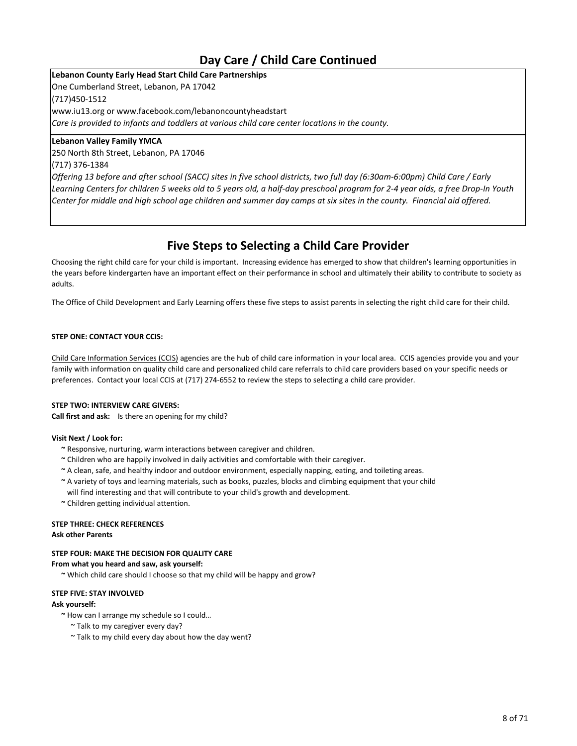## **Day Care / Child Care Continued**

**Lebanon County Early Head Start Child Care Partnerships** One Cumberland Street, Lebanon, PA 17042 (717)450-1512 www.iu13.org or www.facebook.com/lebanoncountyheadstart *Care is provided to infants and toddlers at various child care center locations in the county.*

#### **Lebanon Valley Family YMCA**

250 North 8th Street, Lebanon, PA 17046 (717) 376-1384

*Offering 13 before and after school (SACC) sites in five school districts, two full day (6:30am-6:00pm) Child Care / Early Learning Centers for children 5 weeks old to 5 years old, a half-day preschool program for 2-4 year olds, a free Drop-In Youth Center for middle and high school age children and summer day camps at six sites in the county. Financial aid offered.*

## **Five Steps to Selecting a Child Care Provider**

Choosing the right child care for your child is important. Increasing evidence has emerged to show that children's learning opportunities in the years before kindergarten have an important effect on their performance in school and ultimately their ability to contribute to society as adults.

The Office of Child Development and Early Learning offers these five steps to assist parents in selecting the right child care for their child.

#### **STEP ONE: CONTACT YOUR CCIS:**

Child Care Information Services (CCIS) agencies are the hub of child care information in your local area. CCIS agencies provide you and your family with information on quality child care and personalized child care referrals to child care providers based on your specific needs or preferences. Contact your local CCIS at (717) 274-6552 to review the steps to selecting a child care provider.

#### **STEP TWO: INTERVIEW CARE GIVERS:**

**Call first and ask:** Is there an opening for my child?

#### **Visit Next / Look for:**

- **~** Responsive, nurturing, warm interactions between caregiver and children.
- **~** Children who are happily involved in daily activities and comfortable with their caregiver.
- **~** A clean, safe, and healthy indoor and outdoor environment, especially napping, eating, and toileting areas.
- **~** A variety of toys and learning materials, such as books, puzzles, blocks and climbing equipment that your child will find interesting and that will contribute to your child's growth and development.
- **~** Children getting individual attention.

#### **STEP THREE: CHECK REFERENCES**

#### **Ask other Parents**

#### **STEP FOUR: MAKE THE DECISION FOR QUALITY CARE**

#### **From what you heard and saw, ask yourself:**

**~** Which child care should I choose so that my child will be happy and grow?

#### **STEP FIVE: STAY INVOLVED**

#### **Ask yourself:**

- **~** How can I arrange my schedule so I could…
	- ~ Talk to my caregiver every day?
	- ~ Talk to my child every day about how the day went?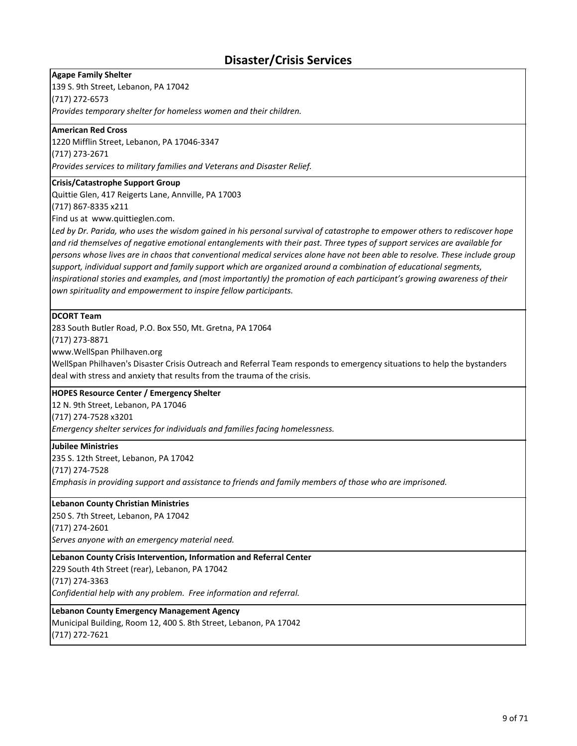## **Disaster/Crisis Services**

**Agape Family Shelter**

139 S. 9th Street, Lebanon, PA 17042

(717) 272-6573

*Provides temporary shelter for homeless women and their children.*

#### **American Red Cross**

1220 Mifflin Street, Lebanon, PA 17046-3347 (717) 273-2671

*Provides services to military families and Veterans and Disaster Relief.*

#### **Crisis/Catastrophe Support Group**

Quittie Glen, 417 Reigerts Lane, Annville, PA 17003

(717) 867-8335 x211

Find us at www.quittieglen.com.

Led by Dr. Parida, who uses the wisdom gained in his personal survival of catastrophe to empower others to rediscover hope *and rid themselves of negative emotional entanglements with their past. Three types of support services are available for persons whose lives are in chaos that conventional medical services alone have not been able to resolve. These include group support, individual support and family support which are organized around a combination of educational segments, inspirational stories and examples, and (most importantly) the promotion of each participant's growing awareness of their own spirituality and empowerment to inspire fellow participants.* 

#### **DCORT Team**

283 South Butler Road, P.O. Box 550, Mt. Gretna, PA 17064

(717) 273-8871

www.WellSpan Philhaven.org

WellSpan Philhaven's Disaster Crisis Outreach and Referral Team responds to emergency situations to help the bystanders deal with stress and anxiety that results from the trauma of the crisis.

#### **HOPES Resource Center / Emergency Shelter**

12 N. 9th Street, Lebanon, PA 17046

(717) 274-7528 x3201

*Emergency shelter services for individuals and families facing homelessness.*

#### **Jubilee Ministries**

235 S. 12th Street, Lebanon, PA 17042 (717) 274-7528 *Emphasis in providing support and assistance to friends and family members of those who are imprisoned.*

#### **Lebanon County Christian Ministries**

250 S. 7th Street, Lebanon, PA 17042 (717) 274-2601 *Serves anyone with an emergency material need.*

#### **Lebanon County Crisis Intervention, Information and Referral Center**

229 South 4th Street (rear), Lebanon, PA 17042 (717) 274-3363 *Confidential help with any problem. Free information and referral.*

#### **Lebanon County Emergency Management Agency**

Municipal Building, Room 12, 400 S. 8th Street, Lebanon, PA 17042 (717) 272-7621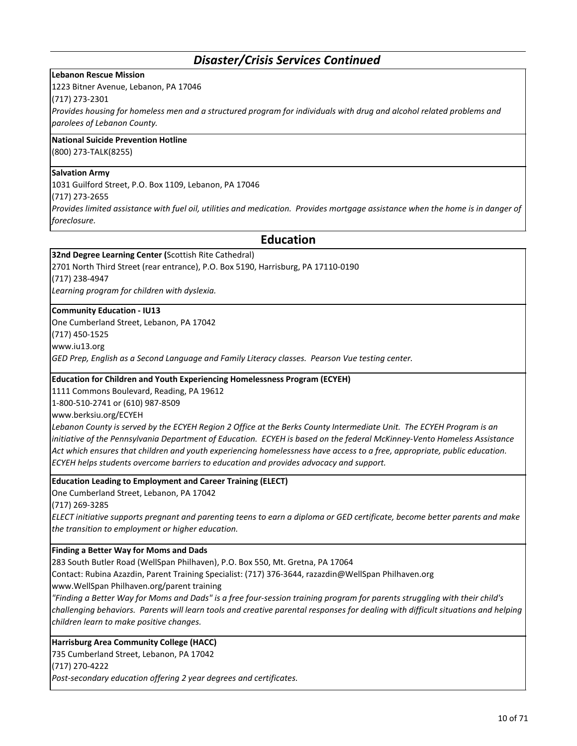### *Disaster/Crisis Services Continued*

#### **Lebanon Rescue Mission**

1223 Bitner Avenue, Lebanon, PA 17046

(717) 273-2301

*Provides housing for homeless men and a structured program for individuals with drug and alcohol related problems and parolees of Lebanon County.*

#### **National Suicide Prevention Hotline**

(800) 273-TALK(8255)

#### **Salvation Army**

1031 Guilford Street, P.O. Box 1109, Lebanon, PA 17046

(717) 273-2655

*Provides limited assistance with fuel oil, utilities and medication. Provides mortgage assistance when the home is in danger of foreclosure.*

### **Education**

**32nd Degree Learning Center (**Scottish Rite Cathedral)

2701 North Third Street (rear entrance), P.O. Box 5190, Harrisburg, PA 17110-0190 (717) 238-4947

*Learning program for children with dyslexia.*

#### **Community Education - IU13**

One Cumberland Street, Lebanon, PA 17042

(717) 450-1525

www.iu13.org

*GED Prep, English as a Second Language and Family Literacy classes. Pearson Vue testing center.*

#### **Education for Children and Youth Experiencing Homelessness Program (ECYEH)**

1111 Commons Boulevard, Reading, PA 19612

1-800-510-2741 or (610) 987-8509

www.berksiu.org/ECYEH

Lebanon County is served by the ECYEH Region 2 Office at the Berks County Intermediate Unit. The ECYEH Program is an *initiative of the Pennsylvania Department of Education. ECYEH is based on the federal McKinney-Vento Homeless Assistance Act which ensures that children and youth experiencing homelessness have access to a free, appropriate, public education. ECYEH helps students overcome barriers to education and provides advocacy and support.*

#### **Education Leading to Employment and Career Training (ELECT)**

One Cumberland Street, Lebanon, PA 17042

(717) 269-3285

*ELECT initiative supports pregnant and parenting teens to earn a diploma or GED certificate, become better parents and make the transition to employment or higher education.*

#### **Finding a Better Way for Moms and Dads**

283 South Butler Road (WellSpan Philhaven), P.O. Box 550, Mt. Gretna, PA 17064

Contact: Rubina Azazdin, Parent Training Specialist: (717) 376-3644, razazdin@WellSpan Philhaven.org

www.WellSpan Philhaven.org/parent training

*"Finding a Better Way for Moms and Dads" is a free four-session training program for parents struggling with their child's challenging behaviors. Parents will learn tools and creative parental responses for dealing with difficult situations and helping children learn to make positive changes.*

#### **Harrisburg Area Community College (HACC)**

735 Cumberland Street, Lebanon, PA 17042

(717) 270-4222

*Post-secondary education offering 2 year degrees and certificates.*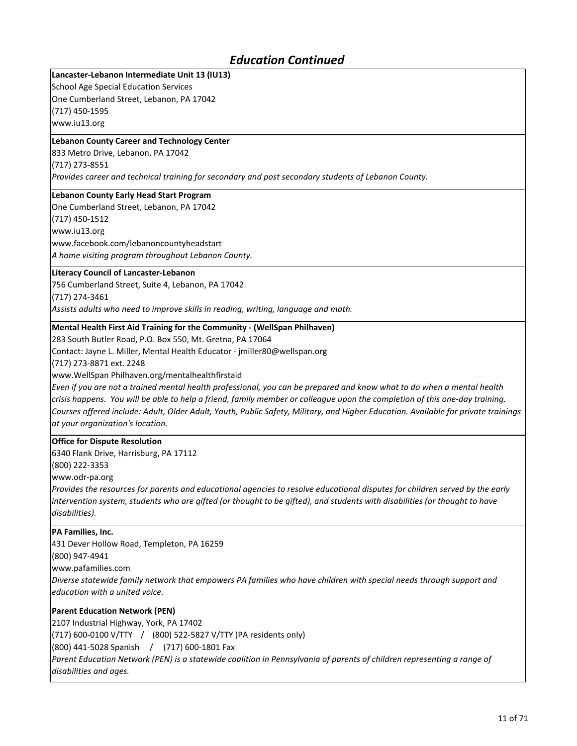## *Education Continued*

### **Lancaster-Lebanon Intermediate Unit 13 (IU13)**

School Age Special Education Services One Cumberland Street, Lebanon, PA 17042 (717) 450-1595 www.iu13.org

#### **Lebanon County Career and Technology Center**

833 Metro Drive, Lebanon, PA 17042 (717) 273-8551

*Provides career and technical training for secondary and post secondary students of Lebanon County.*

#### **Lebanon County Early Head Start Program**

One Cumberland Street, Lebanon, PA 17042

(717) 450-1512

www.iu13.org

www.facebook.com/lebanoncountyheadstart *A home visiting program throughout Lebanon County.*

#### **Literacy Council of Lancaster-Lebanon**

756 Cumberland Street, Suite 4, Lebanon, PA 17042

(717) 274-3461

*Assists adults who need to improve skills in reading, writing, language and math.*

#### **Mental Health First Aid Training for the Community - (WellSpan Philhaven)**

283 South Butler Road, P.O. Box 550, Mt. Gretna, PA 17064

Contact: Jayne L. Miller, Mental Health Educator - jmiller80@wellspan.org

(717) 273-8871 ext. 2248

www.WellSpan Philhaven.org/mentalhealthfirstaid

*Even if you are not a trained mental health professional, you can be prepared and know what to do when a mental health crisis happens. You will be able to help a friend, family member or colleague upon the completion of this one-day training. Courses offered include: Adult, Older Adult, Youth, Public Safety, Military, and Higher Education. Available for private trainings at your organization's location.*

#### **Office for Dispute Resolution**

6340 Flank Drive, Harrisburg, PA 17112

(800) 222-3353

www.odr-pa.org

*Provides the resources for parents and educational agencies to resolve educational disputes for children served by the early intervention system, students who are gifted (or thought to be gifted), and students with disabilities (or thought to have disabilities).*

#### **PA Families, Inc.**

431 Dever Hollow Road, Templeton, PA 16259

(800) 947-4941

www.pafamilies.com

*Diverse statewide family network that empowers PA families who have children with special needs through support and education with a united voice.*

### **Parent Education Network (PEN)**

2107 Industrial Highway, York, PA 17402

(717) 600-0100 V/TTY / (800) 522-5827 V/TTY (PA residents only)

(800) 441-5028 Spanish / (717) 600-1801 Fax

Parent Education Network (PEN) is a statewide coalition in Pennsylvania of parents of children representing a range of *disabilities and ages.*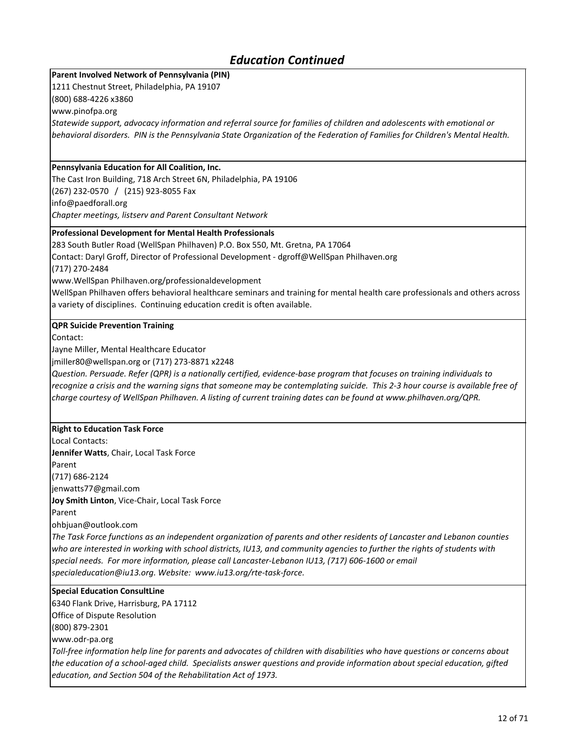## *Education Continued*

### **Parent Involved Network of Pennsylvania (PIN)**

1211 Chestnut Street, Philadelphia, PA 19107

(800) 688-4226 x3860

www.pinofpa.org

*Statewide support, advocacy information and referral source for families of children and adolescents with emotional or behavioral disorders. PIN is the Pennsylvania State Organization of the Federation of Families for Children's Mental Health.*

#### **Pennsylvania Education for All Coalition, Inc.**

The Cast Iron Building, 718 Arch Street 6N, Philadelphia, PA 19106 (267) 232-0570 / (215) 923-8055 Fax info@paedforall.org

*Chapter meetings, listserv and Parent Consultant Network*

### **Professional Development for Mental Health Professionals**

283 South Butler Road (WellSpan Philhaven) P.O. Box 550, Mt. Gretna, PA 17064

Contact: Daryl Groff, Director of Professional Development - dgroff@WellSpan Philhaven.org

(717) 270-2484

www.WellSpan Philhaven.org/professionaldevelopment

WellSpan Philhaven offers behavioral healthcare seminars and training for mental health care professionals and others across a variety of disciplines. Continuing education credit is often available.

### **QPR Suicide Prevention Training**

Contact:

Jayne Miller, Mental Healthcare Educator

jmiller80@wellspan.org or (717) 273-8871 x2248

*Question. Persuade. Refer (QPR) is a nationally certified, evidence-base program that focuses on training individuals to recognize a crisis and the warning signs that someone may be contemplating suicide. This 2-3 hour course is available free of charge courtesy of WellSpan Philhaven. A listing of current training dates can be found at www.philhaven.org/QPR.*

#### **Right to Education Task Force**

Local Contacts: **Jennifer Watts**, Chair, Local Task Force Parent (717) 686-2124 jenwatts77@gmail.com **Joy Smith Linton**, Vice-Chair, Local Task Force Parent ohbjuan@outlook.com *The Task Force functions as an independent organization of parents and other residents of Lancaster and Lebanon counties who are interested in working with school districts, IU13, and community agencies to further the rights of students with special needs. For more information, please call Lancaster-Lebanon IU13, (717) 606-1600 or email specialeducation@iu13.org. Website: www.iu13.org/rte-task-force.*

### **Special Education ConsultLine**

6340 Flank Drive, Harrisburg, PA 17112 Office of Dispute Resolution (800) 879-2301 www.odr-pa.org *Toll-free information help line for parents and advocates of children with disabilities who have questions or concerns about the education of a school-aged child. Specialists answer questions and provide information about special education, gifted education, and Section 504 of the Rehabilitation Act of 1973.*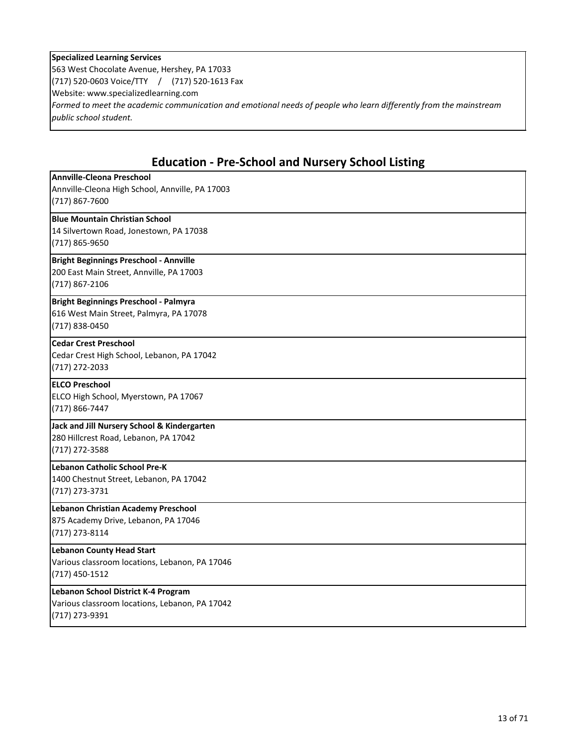#### **Specialized Learning Services**

563 West Chocolate Avenue, Hershey, PA 17033 (717) 520-0603 Voice/TTY / (717) 520-1613 Fax Website: www.specializedlearning.com *Formed to meet the academic communication and emotional needs of people who learn differently from the mainstream public school student.*

## **Education - Pre-School and Nursery School Listing**

| <b>Annville-Cleona Preschool</b><br>Annville-Cleona High School, Annville, PA 17003<br>$(717)$ 867-7600     |
|-------------------------------------------------------------------------------------------------------------|
| <b>Blue Mountain Christian School</b><br>14 Silvertown Road, Jonestown, PA 17038<br>(717) 865-9650          |
| <b>Bright Beginnings Preschool - Annville</b><br>200 East Main Street, Annville, PA 17003<br>(717) 867-2106 |
| <b>Bright Beginnings Preschool - Palmyra</b><br>616 West Main Street, Palmyra, PA 17078<br>(717) 838-0450   |
| <b>Cedar Crest Preschool</b><br>Cedar Crest High School, Lebanon, PA 17042<br>(717) 272-2033                |
| <b>ELCO Preschool</b><br>ELCO High School, Myerstown, PA 17067<br>(717) 866-7447                            |
| Jack and Jill Nursery School & Kindergarten<br>280 Hillcrest Road, Lebanon, PA 17042<br>(717) 272-3588      |
| Lebanon Catholic School Pre-K<br>1400 Chestnut Street, Lebanon, PA 17042<br>(717) 273-3731                  |
| Lebanon Christian Academy Preschool<br>875 Academy Drive, Lebanon, PA 17046<br>(717) 273-8114               |
| <b>Lebanon County Head Start</b><br>Various classroom locations, Lebanon, PA 17046<br>$(717)$ 450-1512      |
| Lebanon School District K-4 Program<br>Various classroom locations, Lebanon, PA 17042<br>(717) 273-9391     |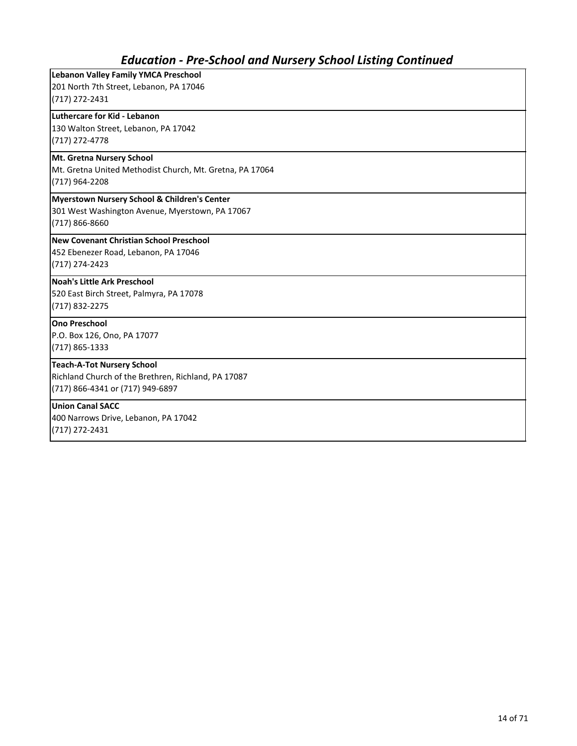## *Education - Pre-School and Nursery School Listing Continued*

| <b>Lebanon Valley Family YMCA Preschool</b>              |
|----------------------------------------------------------|
| 201 North 7th Street, Lebanon, PA 17046                  |
| $(717)$ 272-2431                                         |
| Luthercare for Kid - Lebanon                             |
| 130 Walton Street, Lebanon, PA 17042                     |
| (717) 272-4778                                           |
| Mt. Gretna Nursery School                                |
| Mt. Gretna United Methodist Church, Mt. Gretna, PA 17064 |
| (717) 964-2208                                           |
| Myerstown Nursery School & Children's Center             |
| 301 West Washington Avenue, Myerstown, PA 17067          |
| (717) 866-8660                                           |
| New Covenant Christian School Preschool                  |
| 452 Ebenezer Road, Lebanon, PA 17046                     |
| (717) 274-2423                                           |
| <b>Noah's Little Ark Preschool</b>                       |
| 520 East Birch Street, Palmyra, PA 17078                 |
| (717) 832-2275                                           |
| <b>Ono Preschool</b>                                     |
| P.O. Box 126, Ono, PA 17077                              |
| (717) 865-1333                                           |
| <b>Teach-A-Tot Nursery School</b>                        |
| Richland Church of the Brethren, Richland, PA 17087      |
| (717) 866-4341 or (717) 949-6897                         |
| <b>Union Canal SACC</b>                                  |
| 400 Narrows Drive, Lebanon, PA 17042                     |
| (717) 272-2431                                           |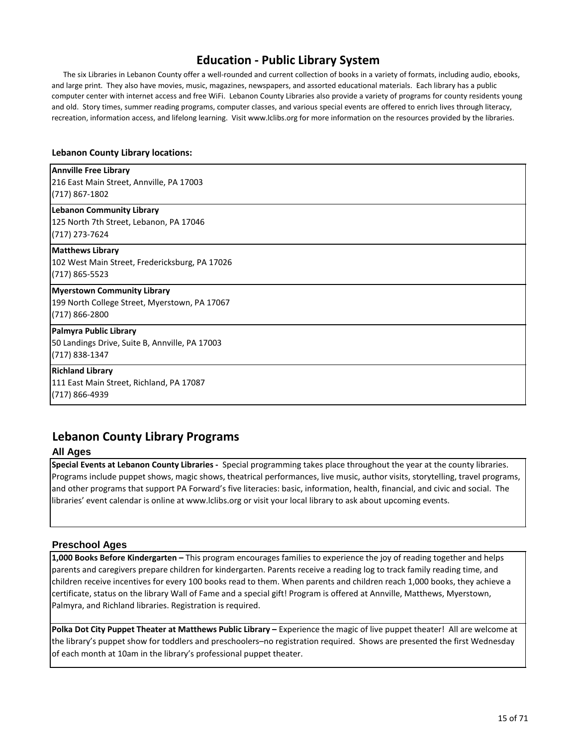## **Education - Public Library System**

 The six Libraries in Lebanon County offer a well-rounded and current collection of books in a variety of formats, including audio, ebooks, and large print. They also have movies, music, magazines, newspapers, and assorted educational materials. Each library has a public computer center with internet access and free WiFi. Lebanon County Libraries also provide a variety of programs for county residents young and old. Story times, summer reading programs, computer classes, and various special events are offered to enrich lives through literacy, recreation, information access, and lifelong learning. Visit www.lclibs.org for more information on the resources provided by the libraries.

#### **Lebanon County Library locations:**

### **Palmyra Public Library** 50 Landings Drive, Suite B, Annville, PA 17003 (717) 838-1347 **Richland Library** 111 East Main Street, Richland, PA 17087 (717) 866-4939 **Annville Free Library** 216 East Main Street, Annville, PA 17003 (717) 867-1802 **Lebanon Community Library** 125 North 7th Street, Lebanon, PA 17046 (717) 273-7624 **Matthews Library** 102 West Main Street, Fredericksburg, PA 17026 (717) 865-5523 **Myerstown Community Library** 199 North College Street, Myerstown, PA 17067 (717) 866-2800

### **Lebanon County Library Programs**

#### **All Ages**

**Special Events at Lebanon County Libraries -** Special programming takes place throughout the year at the county libraries. Programs include puppet shows, magic shows, theatrical performances, live music, author visits, storytelling, travel programs, and other programs that support PA Forward's five literacies: basic, information, health, financial, and civic and social. The libraries' event calendar is online at www.lclibs.org or visit your local library to ask about upcoming events.

### **Preschool Ages**

**1,000 Books Before Kindergarten –** This program encourages families to experience the joy of reading together and helps parents and caregivers prepare children for kindergarten. Parents receive a reading log to track family reading time, and children receive incentives for every 100 books read to them. When parents and children reach 1,000 books, they achieve a certificate, status on the library Wall of Fame and a special gift! Program is offered at Annville, Matthews, Myerstown, Palmyra, and Richland libraries. Registration is required.

Polka Dot City Puppet Theater at Matthews Public Library – Experience the magic of live puppet theater! All are welcome at the library's puppet show for toddlers and preschoolers–no registration required. Shows are presented the first Wednesday of each month at 10am in the library's professional puppet theater.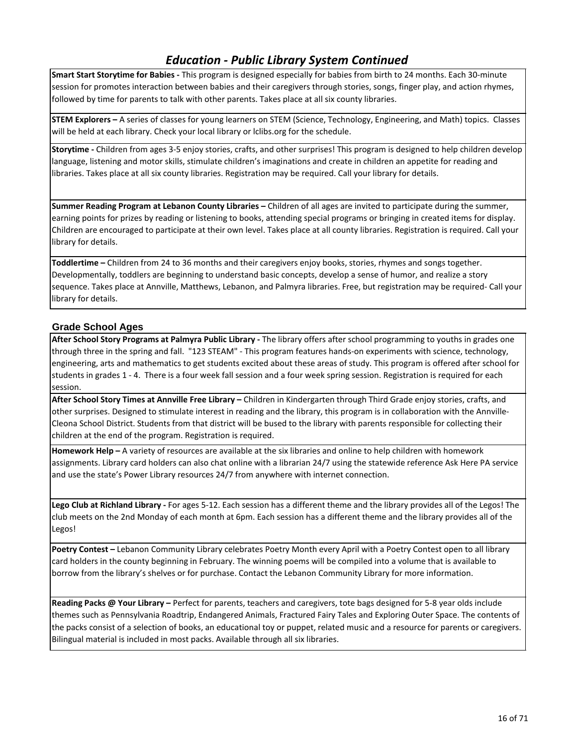## *Education - Public Library System Continued*

**Smart Start Storytime for Babies -** This program is designed especially for babies from birth to 24 months. Each 30-minute session for promotes interaction between babies and their caregivers through stories, songs, finger play, and action rhymes, followed by time for parents to talk with other parents. Takes place at all six county libraries.

**STEM Explorers –** A series of classes for young learners on STEM (Science, Technology, Engineering, and Math) topics. Classes will be held at each library. Check your local library or lclibs.org for the schedule.

**Storytime -** Children from ages 3-5 enjoy stories, crafts, and other surprises! This program is designed to help children develop language, listening and motor skills, stimulate children's imaginations and create in children an appetite for reading and libraries. Takes place at all six county libraries. Registration may be required. Call your library for details.

**Summer Reading Program at Lebanon County Libraries –** Children of all ages are invited to participate during the summer, earning points for prizes by reading or listening to books, attending special programs or bringing in created items for display. Children are encouraged to participate at their own level. Takes place at all county libraries. Registration is required. Call your library for details.

**Toddlertime –** Children from 24 to 36 months and their caregivers enjoy books, stories, rhymes and songs together. Developmentally, toddlers are beginning to understand basic concepts, develop a sense of humor, and realize a story sequence. Takes place at Annville, Matthews, Lebanon, and Palmyra libraries. Free, but registration may be required- Call your library for details.

### **Grade School Ages**

**After School Story Programs at Palmyra Public Library -** The library offers after school programming to youths in grades one through three in the spring and fall. "123 STEAM" - This program features hands-on experiments with science, technology, engineering, arts and mathematics to get students excited about these areas of study. This program is offered after school for students in grades 1 - 4. There is a four week fall session and a four week spring session. Registration is required for each session.

**After School Story Times at Annville Free Library –** Children in Kindergarten through Third Grade enjoy stories, crafts, and other surprises. Designed to stimulate interest in reading and the library, this program is in collaboration with the Annville-Cleona School District. Students from that district will be bused to the library with parents responsible for collecting their children at the end of the program. Registration is required.

**Homework Help –** A variety of resources are available at the six libraries and online to help children with homework assignments. Library card holders can also chat online with a librarian 24/7 using the statewide reference Ask Here PA service and use the state's Power Library resources 24/7 from anywhere with internet connection.

**Lego Club at Richland Library -** For ages 5-12. Each session has a different theme and the library provides all of the Legos! The club meets on the 2nd Monday of each month at 6pm. Each session has a different theme and the library provides all of the Legos!

**Poetry Contest –** Lebanon Community Library celebrates Poetry Month every April with a Poetry Contest open to all library card holders in the county beginning in February. The winning poems will be compiled into a volume that is available to borrow from the library's shelves or for purchase. Contact the Lebanon Community Library for more information.

**Reading Packs @ Your Library –** Perfect for parents, teachers and caregivers, tote bags designed for 5-8 year olds include themes such as Pennsylvania Roadtrip, Endangered Animals, Fractured Fairy Tales and Exploring Outer Space. The contents of the packs consist of a selection of books, an educational toy or puppet, related music and a resource for parents or caregivers. Bilingual material is included in most packs. Available through all six libraries.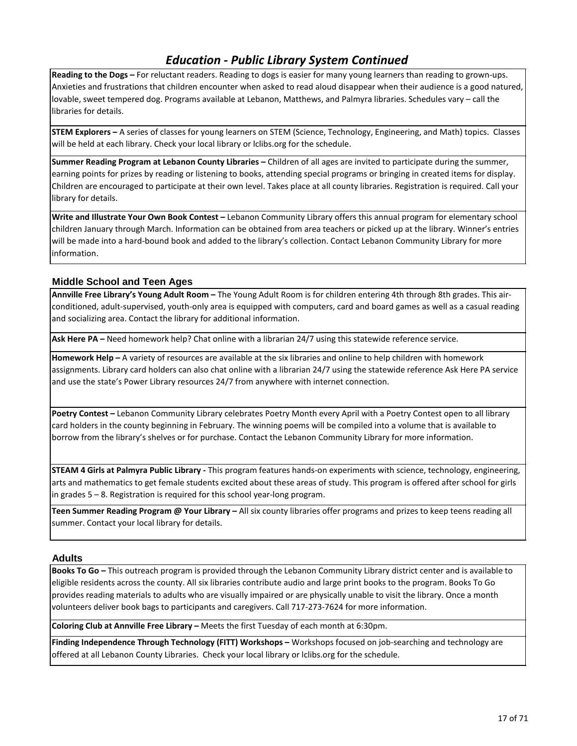## *Education - Public Library System Continued*

**Reading to the Dogs –** For reluctant readers. Reading to dogs is easier for many young learners than reading to grown-ups. Anxieties and frustrations that children encounter when asked to read aloud disappear when their audience is a good natured, lovable, sweet tempered dog. Programs available at Lebanon, Matthews, and Palmyra libraries. Schedules vary – call the libraries for details.

**STEM Explorers –** A series of classes for young learners on STEM (Science, Technology, Engineering, and Math) topics. Classes will be held at each library. Check your local library or lclibs.org for the schedule.

**Summer Reading Program at Lebanon County Libraries –** Children of all ages are invited to participate during the summer, earning points for prizes by reading or listening to books, attending special programs or bringing in created items for display. Children are encouraged to participate at their own level. Takes place at all county libraries. Registration is required. Call your library for details.

**Write and Illustrate Your Own Book Contest –** Lebanon Community Library offers this annual program for elementary school children January through March. Information can be obtained from area teachers or picked up at the library. Winner's entries will be made into a hard-bound book and added to the library's collection. Contact Lebanon Community Library for more information.

### **Middle School and Teen Ages**

**Annville Free Library's Young Adult Room –** The Young Adult Room is for children entering 4th through 8th grades. This airconditioned, adult-supervised, youth-only area is equipped with computers, card and board games as well as a casual reading and socializing area. Contact the library for additional information.

**Ask Here PA –** Need homework help? Chat online with a librarian 24/7 using this statewide reference service.

**Homework Help –** A variety of resources are available at the six libraries and online to help children with homework assignments. Library card holders can also chat online with a librarian 24/7 using the statewide reference Ask Here PA service and use the state's Power Library resources 24/7 from anywhere with internet connection.

**Poetry Contest –** Lebanon Community Library celebrates Poetry Month every April with a Poetry Contest open to all library card holders in the county beginning in February. The winning poems will be compiled into a volume that is available to borrow from the library's shelves or for purchase. Contact the Lebanon Community Library for more information.

**STEAM 4 Girls at Palmyra Public Library -** This program features hands-on experiments with science, technology, engineering, arts and mathematics to get female students excited about these areas of study. This program is offered after school for girls in grades 5 – 8. Registration is required for this school year-long program.

**Teen Summer Reading Program @ Your Library –** All six county libraries offer programs and prizes to keep teens reading all summer. Contact your local library for details.

#### **Adults**

**Books To Go –** This outreach program is provided through the Lebanon Community Library district center and is available to eligible residents across the county. All six libraries contribute audio and large print books to the program. Books To Go provides reading materials to adults who are visually impaired or are physically unable to visit the library. Once a month volunteers deliver book bags to participants and caregivers. Call 717-273-7624 for more information.

**Coloring Club at Annville Free Library –** Meets the first Tuesday of each month at 6:30pm.

**Finding Independence Through Technology (FITT) Workshops –** Workshops focused on job-searching and technology are offered at all Lebanon County Libraries. Check your local library or lclibs.org for the schedule.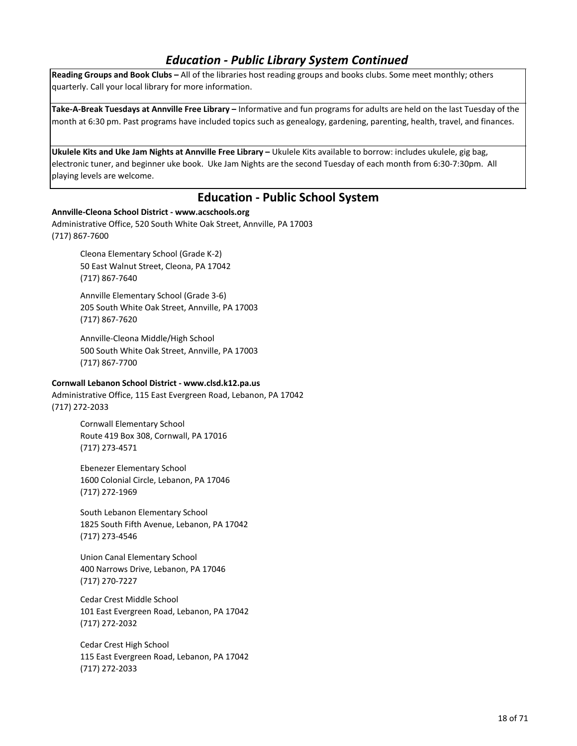## *Education - Public Library System Continued*

**Reading Groups and Book Clubs –** All of the libraries host reading groups and books clubs. Some meet monthly; others quarterly. Call your local library for more information.

**Take-A-Break Tuesdays at Annville Free Library –** Informative and fun programs for adults are held on the last Tuesday of the month at 6:30 pm. Past programs have included topics such as genealogy, gardening, parenting, health, travel, and finances.

**Ukulele Kits and Uke Jam Nights at Annville Free Library –** Ukulele Kits available to borrow: includes ukulele, gig bag, electronic tuner, and beginner uke book. Uke Jam Nights are the second Tuesday of each month from 6:30-7:30pm. All playing levels are welcome.

### **Education - Public School System**

#### **Annville-Cleona School District - www.acschools.org**

Administrative Office, 520 South White Oak Street, Annville, PA 17003 (717) 867-7600

> Cleona Elementary School (Grade K-2) 50 East Walnut Street, Cleona, PA 17042 (717) 867-7640

Annville Elementary School (Grade 3-6) 205 South White Oak Street, Annville, PA 17003 (717) 867-7620

Annville-Cleona Middle/High School 500 South White Oak Street, Annville, PA 17003 (717) 867-7700

#### **Cornwall Lebanon School District - www.clsd.k12.pa.us**

Administrative Office, 115 East Evergreen Road, Lebanon, PA 17042 (717) 272-2033

> Cornwall Elementary School Route 419 Box 308, Cornwall, PA 17016 (717) 273-4571

Ebenezer Elementary School 1600 Colonial Circle, Lebanon, PA 17046 (717) 272-1969

South Lebanon Elementary School 1825 South Fifth Avenue, Lebanon, PA 17042 (717) 273-4546

Union Canal Elementary School 400 Narrows Drive, Lebanon, PA 17046 (717) 270-7227

Cedar Crest Middle School 101 East Evergreen Road, Lebanon, PA 17042 (717) 272-2032

Cedar Crest High School 115 East Evergreen Road, Lebanon, PA 17042 (717) 272-2033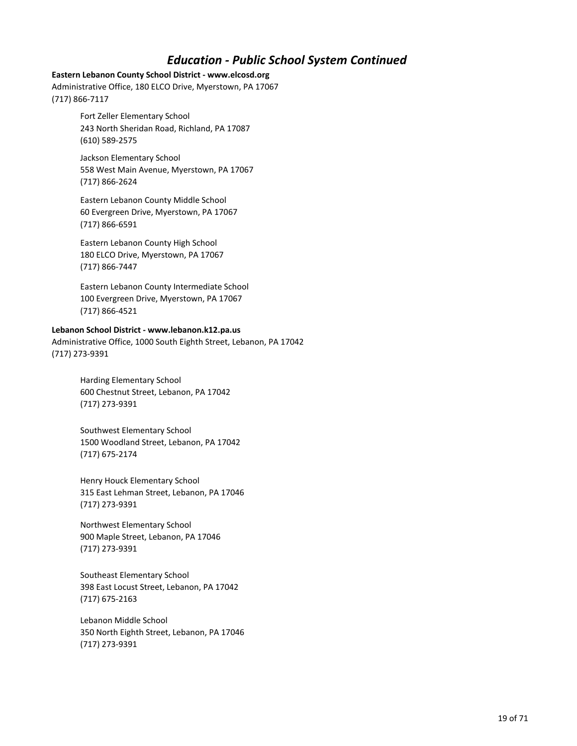## *Education - Public School System Continued*

#### **Eastern Lebanon County School District - www.elcosd.org**

Administrative Office, 180 ELCO Drive, Myerstown, PA 17067 (717) 866-7117

> Fort Zeller Elementary School 243 North Sheridan Road, Richland, PA 17087 (610) 589-2575

Jackson Elementary School 558 West Main Avenue, Myerstown, PA 17067 (717) 866-2624

Eastern Lebanon County Middle School 60 Evergreen Drive, Myerstown, PA 17067 (717) 866-6591

Eastern Lebanon County High School 180 ELCO Drive, Myerstown, PA 17067 (717) 866-7447

Eastern Lebanon County Intermediate School 100 Evergreen Drive, Myerstown, PA 17067 (717) 866-4521

#### **Lebanon School District - www.lebanon.k12.pa.us**

Administrative Office, 1000 South Eighth Street, Lebanon, PA 17042 (717) 273-9391

> Harding Elementary School 600 Chestnut Street, Lebanon, PA 17042 (717) 273-9391

Southwest Elementary School 1500 Woodland Street, Lebanon, PA 17042 (717) 675-2174

Henry Houck Elementary School 315 East Lehman Street, Lebanon, PA 17046 (717) 273-9391

Northwest Elementary School 900 Maple Street, Lebanon, PA 17046 (717) 273-9391

Southeast Elementary School 398 East Locust Street, Lebanon, PA 17042 (717) 675-2163

Lebanon Middle School 350 North Eighth Street, Lebanon, PA 17046 (717) 273-9391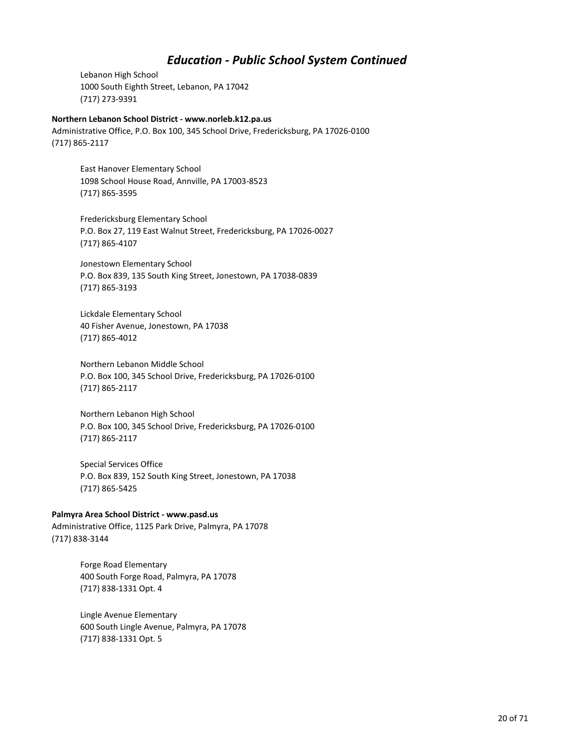## *Education - Public School System Continued*

Lebanon High School 1000 South Eighth Street, Lebanon, PA 17042 (717) 273-9391

#### **Northern Lebanon School District - www.norleb.k12.pa.us**

Administrative Office, P.O. Box 100, 345 School Drive, Fredericksburg, PA 17026-0100 (717) 865-2117

East Hanover Elementary School 1098 School House Road, Annville, PA 17003-8523 (717) 865-3595

Fredericksburg Elementary School P.O. Box 27, 119 East Walnut Street, Fredericksburg, PA 17026-0027 (717) 865-4107

Jonestown Elementary School P.O. Box 839, 135 South King Street, Jonestown, PA 17038-0839 (717) 865-3193

Lickdale Elementary School 40 Fisher Avenue, Jonestown, PA 17038 (717) 865-4012

Northern Lebanon Middle School P.O. Box 100, 345 School Drive, Fredericksburg, PA 17026-0100 (717) 865-2117

Northern Lebanon High School P.O. Box 100, 345 School Drive, Fredericksburg, PA 17026-0100 (717) 865-2117

Special Services Office P.O. Box 839, 152 South King Street, Jonestown, PA 17038 (717) 865-5425

#### **Palmyra Area School District - www.pasd.us**

Administrative Office, 1125 Park Drive, Palmyra, PA 17078 (717) 838-3144

> Forge Road Elementary 400 South Forge Road, Palmyra, PA 17078 (717) 838-1331 Opt. 4

Lingle Avenue Elementary 600 South Lingle Avenue, Palmyra, PA 17078 (717) 838-1331 Opt. 5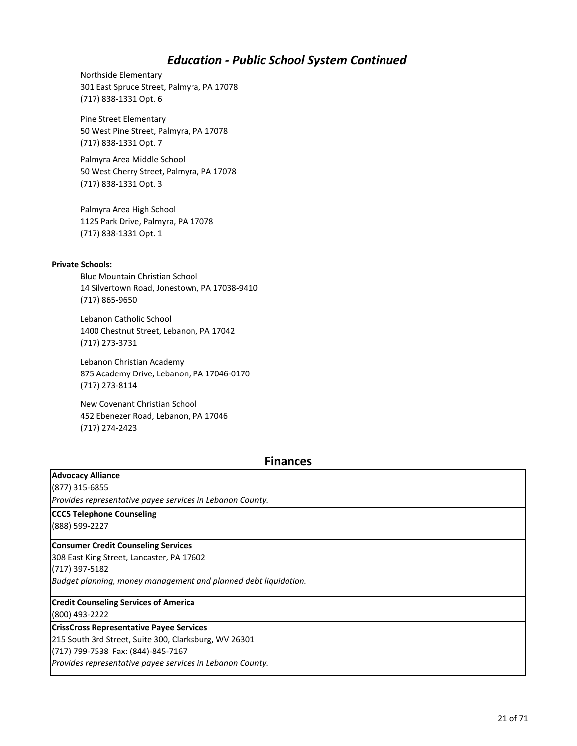## *Education - Public School System Continued*

Northside Elementary 301 East Spruce Street, Palmyra, PA 17078 (717) 838-1331 Opt. 6

Pine Street Elementary 50 West Pine Street, Palmyra, PA 17078 (717) 838-1331 Opt. 7

Palmyra Area Middle School 50 West Cherry Street, Palmyra, PA 17078 (717) 838-1331 Opt. 3

Palmyra Area High School 1125 Park Drive, Palmyra, PA 17078 (717) 838-1331 Opt. 1

#### **Private Schools:**

Blue Mountain Christian School 14 Silvertown Road, Jonestown, PA 17038-9410 (717) 865-9650

Lebanon Catholic School 1400 Chestnut Street, Lebanon, PA 17042 (717) 273-3731

Lebanon Christian Academy 875 Academy Drive, Lebanon, PA 17046-0170 (717) 273-8114

New Covenant Christian School 452 Ebenezer Road, Lebanon, PA 17046 (717) 274-2423

### **Finances**

### **Advocacy Alliance**

(877) 315-6855

*Provides representative payee services in Lebanon County.*

#### **CCCS Telephone Counseling**

(888) 599-2227

### **Consumer Credit Counseling Services**

308 East King Street, Lancaster, PA 17602

(717) 397-5182

*Budget planning, money management and planned debt liquidation.*

### **Credit Counseling Services of America**

(800) 493-2222

### **CrissCross Representative Payee Services**

215 South 3rd Street, Suite 300, Clarksburg, WV 26301

(717) 799-7538 Fax: (844)-845-7167

*Provides representative payee services in Lebanon County.*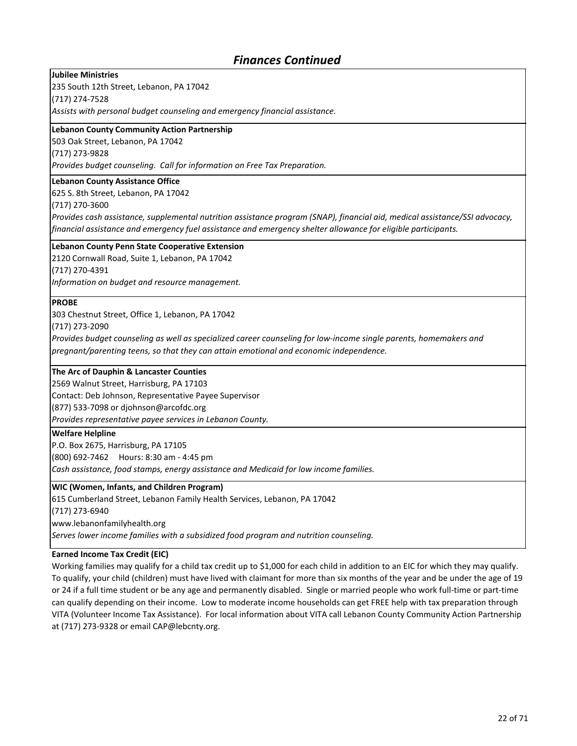## *Finances Continued*

**Jubilee Ministries**

235 South 12th Street, Lebanon, PA 17042

(717) 274-7528

*Assists with personal budget counseling and emergency financial assistance.*

#### **Lebanon County Community Action Partnership**

503 Oak Street, Lebanon, PA 17042 (717) 273-9828

*Provides budget counseling. Call for information on Free Tax Preparation.*

#### **Lebanon County Assistance Office**

625 S. 8th Street, Lebanon, PA 17042

(717) 270-3600

*Provides cash assistance, supplemental nutrition assistance program (SNAP), financial aid, medical assistance/SSI advocacy, financial assistance and emergency fuel assistance and emergency shelter allowance for eligible participants.*

#### **Lebanon County Penn State Cooperative Extension**

2120 Cornwall Road, Suite 1, Lebanon, PA 17042 (717) 270-4391

*Information on budget and resource management.*

#### **PROBE**

303 Chestnut Street, Office 1, Lebanon, PA 17042

(717) 273-2090

*Provides budget counseling as well as specialized career counseling for low-income single parents, homemakers and pregnant/parenting teens, so that they can attain emotional and economic independence.*

#### **The Arc of Dauphin & Lancaster Counties**

2569 Walnut Street, Harrisburg, PA 17103

Contact: Deb Johnson, Representative Payee Supervisor

(877) 533-7098 or djohnson@arcofdc.org

*Provides representative payee services in Lebanon County.*

#### **Welfare Helpline**

P.O. Box 2675, Harrisburg, PA 17105 (800) 692-7462 Hours: 8:30 am - 4:45 pm *Cash assistance, food stamps, energy assistance and Medicaid for low income families.*

#### **WIC (Women, Infants, and Children Program)**

615 Cumberland Street, Lebanon Family Health Services, Lebanon, PA 17042

(717) 273-6940

www.lebanonfamilyhealth.org

*Serves lower income families with a subsidized food program and nutrition counseling.*

#### **Earned Income Tax Credit (EIC)**

Working families may qualify for a child tax credit up to \$1,000 for each child in addition to an EIC for which they may qualify. To qualify, your child (children) must have lived with claimant for more than six months of the year and be under the age of 19 or 24 if a full time student or be any age and permanently disabled. Single or married people who work full-time or part-time can qualify depending on their income. Low to moderate income households can get FREE help with tax preparation through VITA (Volunteer Income Tax Assistance). For local information about VITA call Lebanon County Community Action Partnership at (717) 273-9328 or email CAP@lebcnty.org.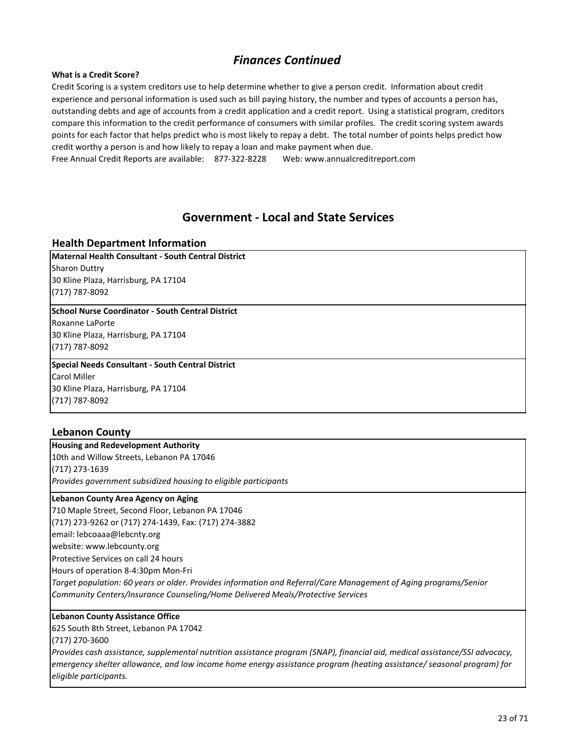## *Finances Continued*

#### **What is a Credit Score?**

Credit Scoring is a system creditors use to help determine whether to give a person credit. Information about credit experience and personal information is used such as bill paying history, the number and types of accounts a person has, outstanding debts and age of accounts from a credit application and a credit report. Using a statistical program, creditors compare this information to the credit performance of consumers with similar profiles. The credit scoring system awards points for each factor that helps predict who is most likely to repay a debt. The total number of points helps predict how credit worthy a person is and how likely to repay a loan and make payment when due.

Free Annual Credit Reports are available: 877-322-8228 Web: www.annualcreditreport.com

### **Government - Local and State Services**

### **Health Department Information**

**Maternal Health Consultant - South Central District** Sharon Duttry 30 Kline Plaza, Harrisburg, PA 17104 (717) 787-8092

#### **School Nurse Coordinator - South Central District**

Roxanne LaPorte 30 Kline Plaza, Harrisburg, PA 17104 (717) 787-8092

### **Special Needs Consultant - South Central District**

Carol Miller 30 Kline Plaza, Harrisburg, PA 17104 (717) 787-8092

### **Lebanon County**

**Housing and Redevelopment Authority** 10th and Willow Streets, Lebanon PA 17046 (717) 273-1639 *Provides government subsidized housing to eligible participants*

#### **Lebanon County Area Agency on Aging**

710 Maple Street, Second Floor, Lebanon PA 17046 (717) 273-9262 or (717) 274-1439, Fax: (717) 274-3882 email: lebcoaaa@lebcnty.org website: www.lebcounty.org Protective Services on call 24 hours Hours of operation 8-4:30pm Mon-Fri *Target population: 60 years or older. Provides information and Referral/Care Management of Aging programs/Senior Community Centers/Insurance Counseling/Home Delivered Meals/Protective Services*

#### **Lebanon County Assistance Office**

625 South 8th Street, Lebanon PA 17042

(717) 270-3600

*Provides cash assistance, supplemental nutrition assistance program (SNAP), financial aid, medical assistance/SSI advocacy, emergency shelter allowance, and low income home energy assistance program (heating assistance/ seasonal program) for eligible participants.*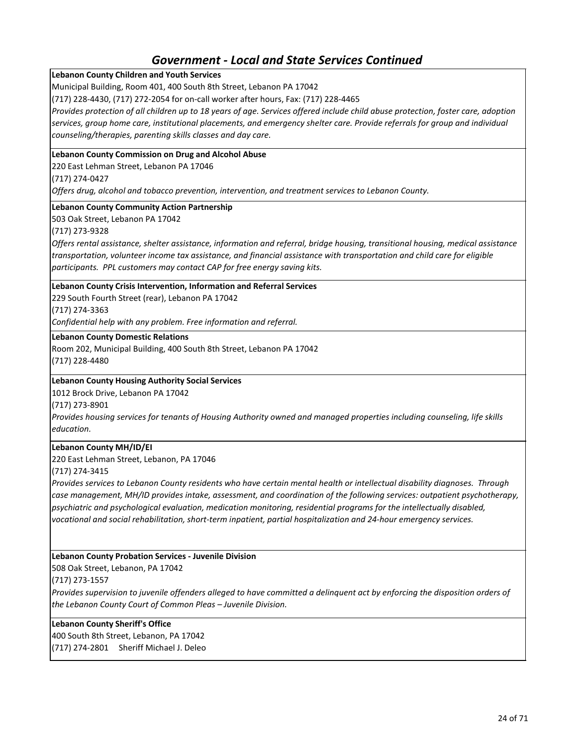### **Lebanon County Children and Youth Services**

Municipal Building, Room 401, 400 South 8th Street, Lebanon PA 17042

(717) 228-4430, (717) 272-2054 for on-call worker after hours, Fax: (717) 228-4465

*Provides protection of all children up to 18 years of age. Services offered include child abuse protection, foster care, adoption services, group home care, institutional placements, and emergency shelter care. Provide referrals for group and individual counseling/therapies, parenting skills classes and day care.* 

#### **Lebanon County Commission on Drug and Alcohol Abuse**

220 East Lehman Street, Lebanon PA 17046

(717) 274-0427

*Offers drug, alcohol and tobacco prevention, intervention, and treatment services to Lebanon County.*

#### **Lebanon County Community Action Partnership**

503 Oak Street, Lebanon PA 17042

(717) 273-9328

*Offers rental assistance, shelter assistance, information and referral, bridge housing, transitional housing, medical assistance transportation, volunteer income tax assistance, and financial assistance with transportation and child care for eligible participants. PPL customers may contact CAP for free energy saving kits.*

#### **Lebanon County Crisis Intervention, Information and Referral Services**

229 South Fourth Street (rear), Lebanon PA 17042 (717) 274-3363

*Confidential help with any problem. Free information and referral.*

**Lebanon County Domestic Relations**

Room 202, Municipal Building, 400 South 8th Street, Lebanon PA 17042 (717) 228-4480

#### **Lebanon County Housing Authority Social Services**

1012 Brock Drive, Lebanon PA 17042

(717) 273-8901

*Provides housing services for tenants of Housing Authority owned and managed properties including counseling, life skills education.*

#### **Lebanon County MH/ID/EI**

220 East Lehman Street, Lebanon, PA 17046

#### (717) 274-3415

*Provides services to Lebanon County residents who have certain mental health or intellectual disability diagnoses. Through case management, MH/ID provides intake, assessment, and coordination of the following services: outpatient psychotherapy, psychiatric and psychological evaluation, medication monitoring, residential programs for the intellectually disabled, vocational and social rehabilitation, short-term inpatient, partial hospitalization and 24-hour emergency services.*

#### **Lebanon County Probation Services - Juvenile Division**

508 Oak Street, Lebanon, PA 17042

(717) 273-1557

*Provides supervision to juvenile offenders alleged to have committed a delinquent act by enforcing the disposition orders of the Lebanon County Court of Common Pleas – Juvenile Division.*

#### **Lebanon County Sheriff's Office**

400 South 8th Street, Lebanon, PA 17042 (717) 274-2801 Sheriff Michael J. Deleo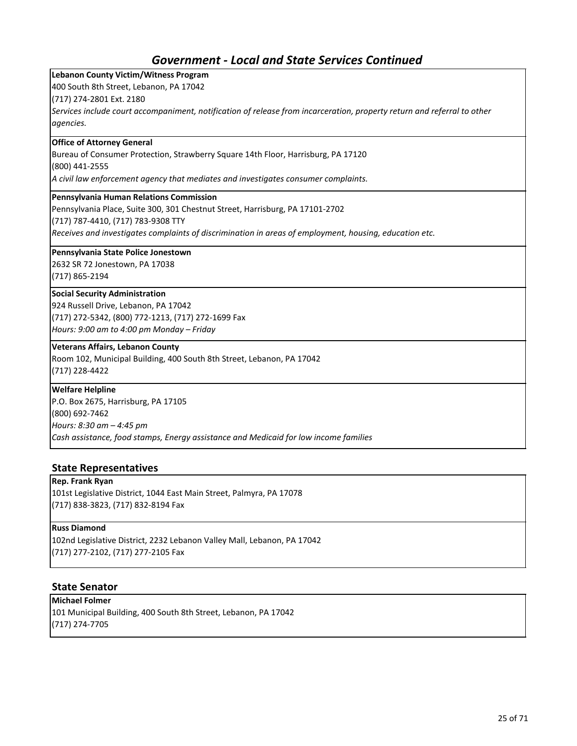| <b>Lebanon County Victim/Witness Program</b>                                                                            |
|-------------------------------------------------------------------------------------------------------------------------|
| 400 South 8th Street, Lebanon, PA 17042                                                                                 |
| (717) 274-2801 Ext. 2180                                                                                                |
| Services include court accompaniment, notification of release from incarceration, property return and referral to other |
| agencies.                                                                                                               |
| <b>Office of Attorney General</b>                                                                                       |
| Bureau of Consumer Protection, Strawberry Square 14th Floor, Harrisburg, PA 17120                                       |
| (800) 441-2555                                                                                                          |
| A civil law enforcement agency that mediates and investigates consumer complaints.                                      |
| Pennsylvania Human Relations Commission                                                                                 |
| Pennsylvania Place, Suite 300, 301 Chestnut Street, Harrisburg, PA 17101-2702                                           |
| (717) 787-4410, (717) 783-9308 TTY                                                                                      |
| Receives and investigates complaints of discrimination in areas of employment, housing, education etc.                  |
| Pennsylvania State Police Jonestown                                                                                     |
| 2632 SR 72 Jonestown, PA 17038                                                                                          |
| (717) 865-2194                                                                                                          |
| <b>Social Security Administration</b>                                                                                   |
| 924 Russell Drive, Lebanon, PA 17042                                                                                    |
| (717) 272-5342, (800) 772-1213, (717) 272-1699 Fax                                                                      |
| Hours: 9:00 am to 4:00 pm Monday - Friday                                                                               |
| <b>Veterans Affairs, Lebanon County</b>                                                                                 |
| Room 102, Municipal Building, 400 South 8th Street, Lebanon, PA 17042                                                   |
| (717) 228-4422                                                                                                          |
| <b>Welfare Helpline</b>                                                                                                 |
| P.O. Box 2675, Harrisburg, PA 17105                                                                                     |
| (800) 692-7462                                                                                                          |
| Hours: 8:30 am - 4:45 pm                                                                                                |
| Cash assistance, food stamps, Energy assistance and Medicaid for low income families                                    |

### **State Representatives**

## **Rep. Frank Ryan**

101st Legislative District, 1044 East Main Street, Palmyra, PA 17078 (717) 838-3823, (717) 832-8194 Fax

### **Russ Diamond**

102nd Legislative District, 2232 Lebanon Valley Mall, Lebanon, PA 17042 (717) 277-2102, (717) 277-2105 Fax

### **State Senator**

**Michael Folmer** 101 Municipal Building, 400 South 8th Street, Lebanon, PA 17042 (717) 274-7705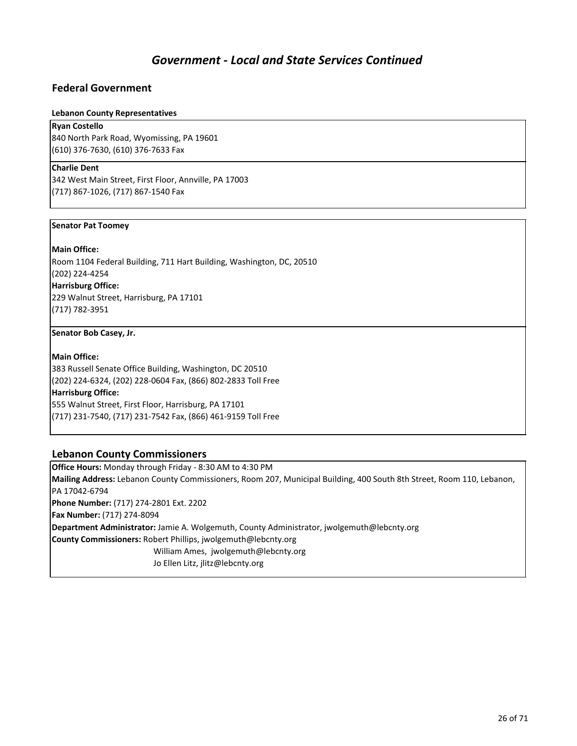### **Federal Government**

#### **Lebanon County Representatives**

#### **Ryan Costello**

840 North Park Road, Wyomissing, PA 19601 (610) 376-7630, (610) 376-7633 Fax

#### **Charlie Dent**

342 West Main Street, First Floor, Annville, PA 17003 (717) 867-1026, (717) 867-1540 Fax

#### **Senator Pat Toomey**

#### **Main Office:**

Room 1104 Federal Building, 711 Hart Building, Washington, DC, 20510 (202) 224-4254

#### **Harrisburg Office:**

229 Walnut Street, Harrisburg, PA 17101 (717) 782-3951

#### **Senator Bob Casey, Jr.**

### **Main Office:**

383 Russell Senate Office Building, Washington, DC 20510 (202) 224-6324, (202) 228-0604 Fax, (866) 802-2833 Toll Free **Harrisburg Office:** 555 Walnut Street, First Floor, Harrisburg, PA 17101 (717) 231-7540, (717) 231-7542 Fax, (866) 461-9159 Toll Free

### **Lebanon County Commissioners**

**Office Hours:** Monday through Friday - 8:30 AM to 4:30 PM **Mailing Address:** Lebanon County Commissioners, Room 207, Municipal Building, 400 South 8th Street, Room 110, Lebanon, PA 17042-6794 **Phone Number:** (717) 274-2801 Ext. 2202 **Fax Number:** (717) 274-8094 **Department Administrator:** Jamie A. Wolgemuth, County Administrator, jwolgemuth@lebcnty.org **County Commissioners:** Robert Phillips, jwolgemuth@lebcnty.org William Ames, jwolgemuth@lebcnty.org Jo Ellen Litz, jlitz@lebcnty.org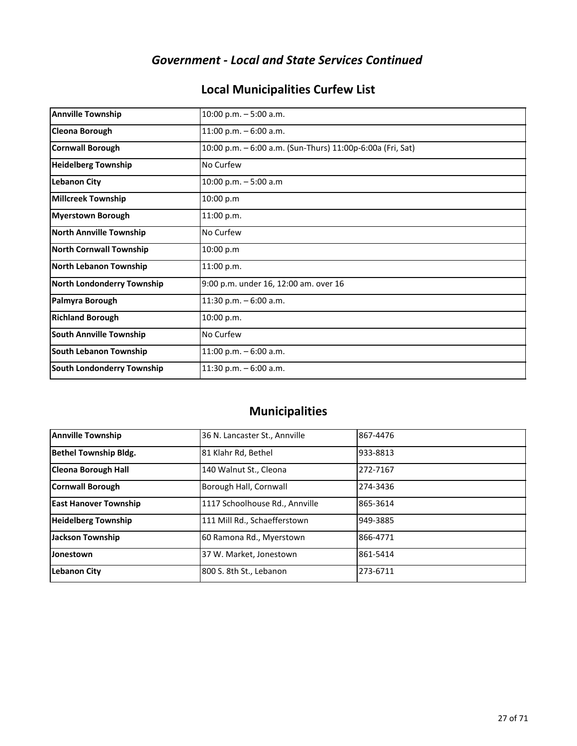## **Local Municipalities Curfew List**

| <b>Annville Township</b>          | 10:00 p.m. $-5:00$ a.m.                                    |
|-----------------------------------|------------------------------------------------------------|
| <b>Cleona Borough</b>             | 11:00 p.m. $-6:00$ a.m.                                    |
| <b>Cornwall Borough</b>           | 10:00 p.m. - 6:00 a.m. (Sun-Thurs) 11:00p-6:00a (Fri, Sat) |
| <b>Heidelberg Township</b>        | No Curfew                                                  |
| <b>Lebanon City</b>               | 10:00 p.m. $-5:00$ a.m                                     |
| <b>Millcreek Township</b>         | 10:00 p.m                                                  |
| <b>Myerstown Borough</b>          | 11:00 p.m.                                                 |
| <b>North Annville Township</b>    | No Curfew                                                  |
| <b>North Cornwall Township</b>    | 10:00 p.m                                                  |
| North Lebanon Township            | 11:00 p.m.                                                 |
| <b>North Londonderry Township</b> | 9:00 p.m. under 16, 12:00 am. over 16                      |
| Palmyra Borough                   | 11:30 p.m. - 6:00 a.m.                                     |
| <b>Richland Borough</b>           | 10:00 p.m.                                                 |
| <b>South Annville Township</b>    | No Curfew                                                  |
| <b>South Lebanon Township</b>     | 11:00 p.m. $-6:00$ a.m.                                    |
| <b>South Londonderry Township</b> | 11:30 p.m. $-6:00$ a.m.                                    |

## **Municipalities**

| <b>Annville Township</b>     | 36 N. Lancaster St., Annville  | 867-4476 |
|------------------------------|--------------------------------|----------|
| <b>Bethel Township Bldg.</b> | 81 Klahr Rd, Bethel            | 933-8813 |
| <b>Cleona Borough Hall</b>   | 140 Walnut St., Cleona         | 272-7167 |
| Cornwall Borough             | Borough Hall, Cornwall         | 274-3436 |
| <b>East Hanover Township</b> | 1117 Schoolhouse Rd., Annville | 865-3614 |
| <b>Heidelberg Township</b>   | 111 Mill Rd., Schaefferstown   | 949-3885 |
| <b>Jackson Township</b>      | 60 Ramona Rd., Myerstown       | 866-4771 |
| Jonestown                    | 37 W. Market, Jonestown        | 861-5414 |
| <b>Lebanon City</b>          | 800 S. 8th St., Lebanon        | 273-6711 |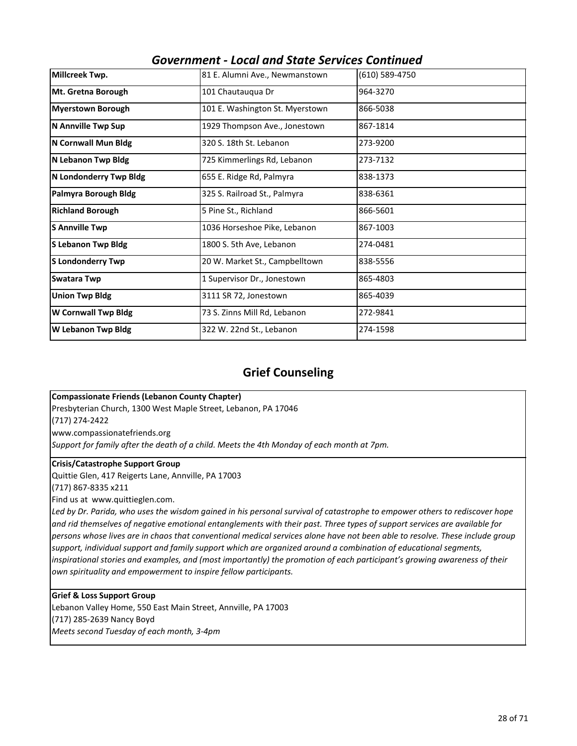| LUCUI UIIU JLULL JLIVILLJ LUIILIIIULU |                                 |                |
|---------------------------------------|---------------------------------|----------------|
| Millcreek Twp.                        | 81 E. Alumni Ave., Newmanstown  | (610) 589-4750 |
| Mt. Gretna Borough                    | 101 Chautauqua Dr               | 964-3270       |
| <b>Myerstown Borough</b>              | 101 E. Washington St. Myerstown | 866-5038       |
| N Annville Twp Sup                    | 1929 Thompson Ave., Jonestown   | 867-1814       |
| N Cornwall Mun Bldg                   | 320 S. 18th St. Lebanon         | 273-9200       |
| N Lebanon Twp Bldg                    | 725 Kimmerlings Rd, Lebanon     | 273-7132       |
| N Londonderry Twp Bldg                | 655 E. Ridge Rd, Palmyra        | 838-1373       |
| Palmyra Borough Bldg                  | 325 S. Railroad St., Palmyra    | 838-6361       |
| <b>Richland Borough</b>               | 5 Pine St., Richland            | 866-5601       |
| <b>S Annville Twp</b>                 | 1036 Horseshoe Pike, Lebanon    | 867-1003       |
| <b>S Lebanon Twp Bldg</b>             | 1800 S. 5th Ave, Lebanon        | 274-0481       |
| <b>S Londonderry Twp</b>              | 20 W. Market St., Campbelltown  | 838-5556       |
| Swatara Twp                           | 1 Supervisor Dr., Jonestown     | 865-4803       |
| <b>Union Twp Bldg</b>                 | 3111 SR 72, Jonestown           | 865-4039       |
| W Cornwall Twp Bldg                   | 73 S. Zinns Mill Rd, Lebanon    | 272-9841       |
| W Lebanon Twp Bldg                    | 322 W. 22nd St., Lebanon        | 274-1598       |
|                                       |                                 |                |

## **Grief Counseling**

#### **Compassionate Friends (Lebanon County Chapter)**

Presbyterian Church, 1300 West Maple Street, Lebanon, PA 17046

(717) 274-2422

www.compassionatefriends.org

*Support for family after the death of a child. Meets the 4th Monday of each month at 7pm.*

#### **Crisis/Catastrophe Support Group**

Quittie Glen, 417 Reigerts Lane, Annville, PA 17003

(717) 867-8335 x211

Find us at www.quittieglen.com.

Led by Dr. Parida, who uses the wisdom gained in his personal survival of catastrophe to empower others to rediscover hope *and rid themselves of negative emotional entanglements with their past. Three types of support services are available for persons whose lives are in chaos that conventional medical services alone have not been able to resolve. These include group support, individual support and family support which are organized around a combination of educational segments, inspirational stories and examples, and (most importantly) the promotion of each participant's growing awareness of their own spirituality and empowerment to inspire fellow participants.* 

### **Grief & Loss Support Group**

Lebanon Valley Home, 550 East Main Street, Annville, PA 17003 (717) 285-2639 Nancy Boyd *Meets second Tuesday of each month, 3-4pm*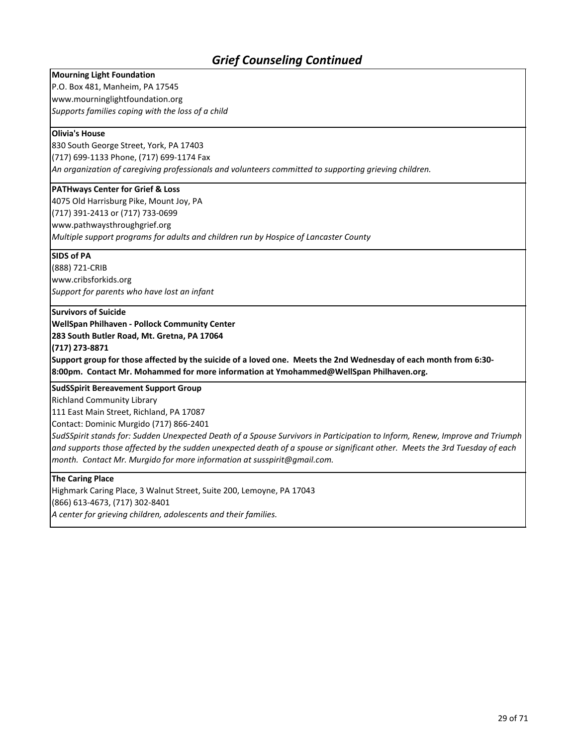## *Grief Counseling Continued*

#### **Mourning Light Foundation**

P.O. Box 481, Manheim, PA 17545 www.mourninglightfoundation.org *Supports families coping with the loss of a child*

#### **Olivia's House**

830 South George Street, York, PA 17403 (717) 699-1133 Phone, (717) 699-1174 Fax *An organization of caregiving professionals and volunteers committed to supporting grieving children.*

#### **PATHways Center for Grief & Loss**

4075 Old Harrisburg Pike, Mount Joy, PA (717) 391-2413 or (717) 733-0699 www.pathwaysthroughgrief.org *Multiple support programs for adults and children run by Hospice of Lancaster County*

#### **SIDS of PA**

(888) 721-CRIB www.cribsforkids.org *Support for parents who have lost an infant*

#### **Survivors of Suicide**

**WellSpan Philhaven - Pollock Community Center**

**283 South Butler Road, Mt. Gretna, PA 17064**

**(717) 273-8871**

**Support group for those affected by the suicide of a loved one. Meets the 2nd Wednesday of each month from 6:30- 8:00pm. Contact Mr. Mohammed for more information at Ymohammed@WellSpan Philhaven.org.**

**SudSSpirit Bereavement Support Group** 

Richland Community Library

111 East Main Street, Richland, PA 17087

Contact: Dominic Murgido (717) 866-2401

*SudSSpirit stands for: Sudden Unexpected Death of a Spouse Survivors in Participation to Inform, Renew, Improve and Triumph and supports those affected by the sudden unexpected death of a spouse or significant other. Meets the 3rd Tuesday of each month. Contact Mr. Murgido for more information at susspirit@gmail.com.*

#### **The Caring Place**

Highmark Caring Place, 3 Walnut Street, Suite 200, Lemoyne, PA 17043 (866) 613-4673, (717) 302-8401 *A center for grieving children, adolescents and their families.*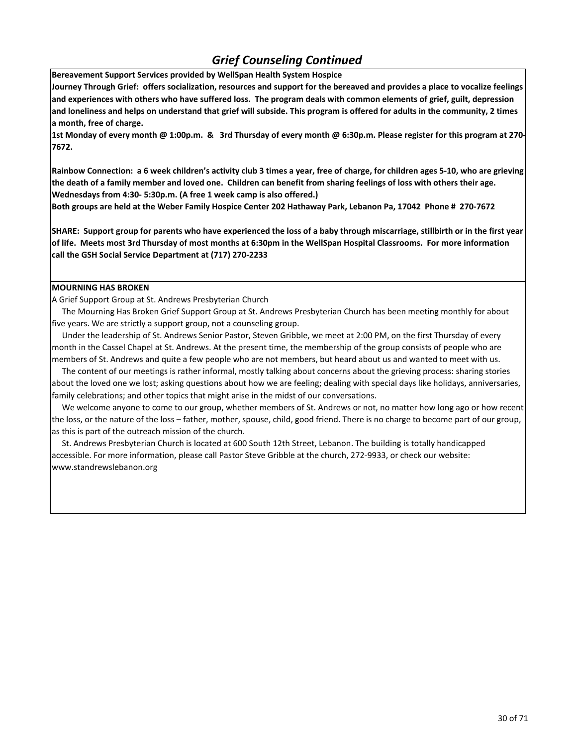## *Grief Counseling Continued*

**Bereavement Support Services provided by WellSpan Health System Hospice**

**Journey Through Grief: offers socialization, resources and support for the bereaved and provides a place to vocalize feelings and experiences with others who have suffered loss. The program deals with common elements of grief, guilt, depression and loneliness and helps on understand that grief will subside. This program is offered for adults in the community, 2 times a month, free of charge.**

**1st Monday of every month @ 1:00p.m. & 3rd Thursday of every month @ 6:30p.m. Please register for this program at 270- 7672.**

**Rainbow Connection: a 6 week children's activity club 3 times a year, free of charge, for children ages 5-10, who are grieving the death of a family member and loved one. Children can benefit from sharing feelings of loss with others their age. Wednesdays from 4:30- 5:30p.m. (A free 1 week camp is also offered.)**

**Both groups are held at the Weber Family Hospice Center 202 Hathaway Park, Lebanon Pa, 17042 Phone # 270-7672**

**SHARE: Support group for parents who have experienced the loss of a baby through miscarriage, stillbirth or in the first year of life. Meets most 3rd Thursday of most months at 6:30pm in the WellSpan Hospital Classrooms. For more information call the GSH Social Service Department at (717) 270-2233**

#### **MOURNING HAS BROKEN**

A Grief Support Group at St. Andrews Presbyterian Church

 The Mourning Has Broken Grief Support Group at St. Andrews Presbyterian Church has been meeting monthly for about five years. We are strictly a support group, not a counseling group.

 Under the leadership of St. Andrews Senior Pastor, Steven Gribble, we meet at 2:00 PM, on the first Thursday of every month in the Cassel Chapel at St. Andrews. At the present time, the membership of the group consists of people who are members of St. Andrews and quite a few people who are not members, but heard about us and wanted to meet with us.

 The content of our meetings is rather informal, mostly talking about concerns about the grieving process: sharing stories about the loved one we lost; asking questions about how we are feeling; dealing with special days like holidays, anniversaries, family celebrations; and other topics that might arise in the midst of our conversations.

 We welcome anyone to come to our group, whether members of St. Andrews or not, no matter how long ago or how recent the loss, or the nature of the loss – father, mother, spouse, child, good friend. There is no charge to become part of our group, as this is part of the outreach mission of the church.

 St. Andrews Presbyterian Church is located at 600 South 12th Street, Lebanon. The building is totally handicapped accessible. For more information, please call Pastor Steve Gribble at the church, 272-9933, or check our website: www.standrewslebanon.org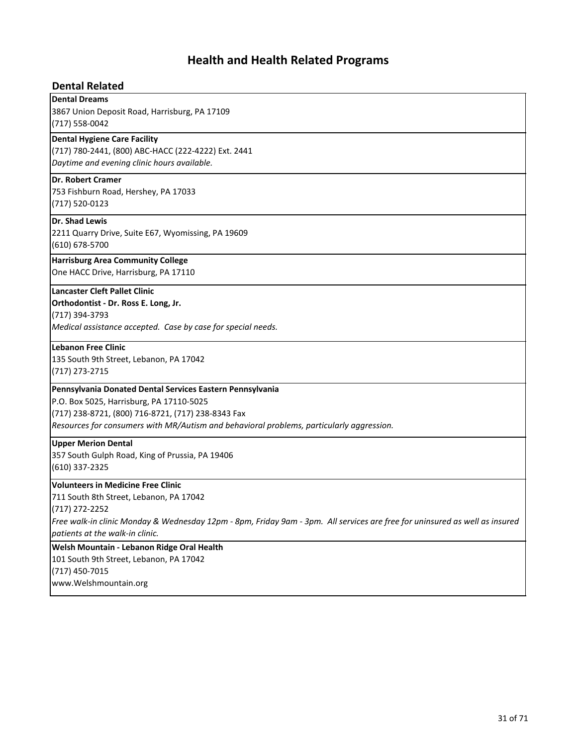## **Health and Health Related Programs**

### **Dental Related**

**Dental Dreams** 3867 Union Deposit Road, Harrisburg, PA 17109 (717) 558-0042 **Dental Hygiene Care Facility** (717) 780-2441, (800) ABC-HACC (222-4222) Ext. 2441 *Daytime and evening clinic hours available.* **Dr. Robert Cramer** 753 Fishburn Road, Hershey, PA 17033 (717) 520-0123 **Dr. Shad Lewis** 2211 Quarry Drive, Suite E67, Wyomissing, PA 19609 (610) 678-5700 **Harrisburg Area Community College** One HACC Drive, Harrisburg, PA 17110 **Lancaster Cleft Pallet Clinic Orthodontist - Dr. Ross E. Long, Jr.** (717) 394-3793 *Medical assistance accepted. Case by case for special needs.* **Lebanon Free Clinic** 135 South 9th Street, Lebanon, PA 17042 (717) 273-2715 **Pennsylvania Donated Dental Services Eastern Pennsylvania** P.O. Box 5025, Harrisburg, PA 17110-5025 (717) 238-8721, (800) 716-8721, (717) 238-8343 Fax *Resources for consumers with MR/Autism and behavioral problems, particularly aggression.* **Upper Merion Dental** 357 South Gulph Road, King of Prussia, PA 19406 (610) 337-2325 **Welsh Mountain - Lebanon Ridge Oral Health** 101 South 9th Street, Lebanon, PA 17042 (717) 450-7015 **Volunteers in Medicine Free Clinic** 711 South 8th Street, Lebanon, PA 17042 (717) 272-2252 *Free walk-in clinic Monday & Wednesday 12pm - 8pm, Friday 9am - 3pm. All services are free for uninsured as well as insured patients at the walk-in clinic.*

www.Welshmountain.org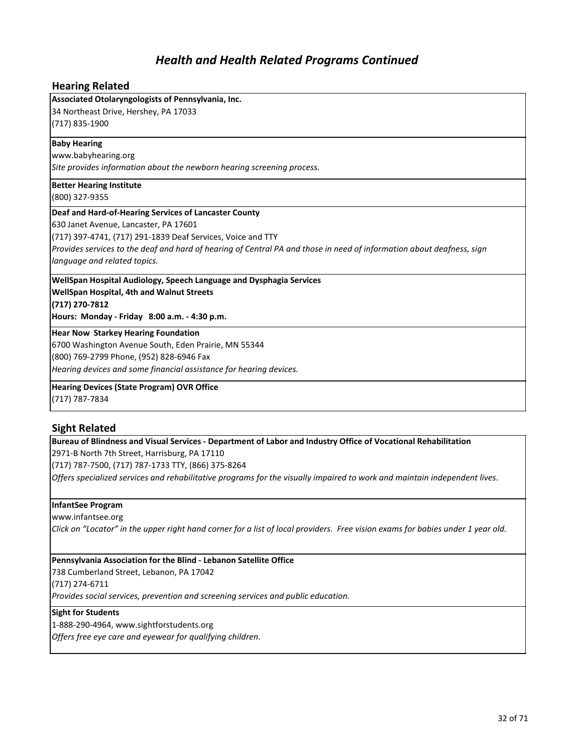### **Hearing Related**

#### **Associated Otolaryngologists of Pennsylvania, Inc.**

34 Northeast Drive, Hershey, PA 17033 (717) 835-1900

#### **Baby Hearing**

www.babyhearing.org

*Site provides information about the newborn hearing screening process.*

**Better Hearing Institute**

(800) 327-9355

#### **Deaf and Hard-of-Hearing Services of Lancaster County**

630 Janet Avenue, Lancaster, PA 17601

(717) 397-4741, (717) 291-1839 Deaf Services, Voice and TTY

*Provides services to the deaf and hard of hearing of Central PA and those in need of information about deafness, sign language and related topics.*

## **WellSpan Hospital Audiology, Speech Language and Dysphagia Services WellSpan Hospital, 4th and Walnut Streets**

**(717) 270-7812**

**Hours: Monday - Friday 8:00 a.m. - 4:30 p.m.**

#### **Hear Now Starkey Hearing Foundation**

6700 Washington Avenue South, Eden Prairie, MN 55344

(800) 769-2799 Phone, (952) 828-6946 Fax

*Hearing devices and some financial assistance for hearing devices.*

### **Hearing Devices (State Program) OVR Office**

(717) 787-7834

### **Sight Related**

**Bureau of Blindness and Visual Services - Department of Labor and Industry Office of Vocational Rehabilitation** 2971-B North 7th Street, Harrisburg, PA 17110

(717) 787-7500, (717) 787-1733 TTY, (866) 375-8264

*Offers specialized services and rehabilitative programs for the visually impaired to work and maintain independent lives.*

#### **InfantSee Program**

www.infantsee.org

*Click on "Locator" in the upper right hand corner for a list of local providers. Free vision exams for babies under 1 year old.*

#### **Pennsylvania Association for the Blind - Lebanon Satellite Office**

738 Cumberland Street, Lebanon, PA 17042

(717) 274-6711

*Provides social services, prevention and screening services and public education.*

#### **Sight for Students**

1-888-290-4964, www.sightforstudents.org

*Offers free eye care and eyewear for qualifying children.*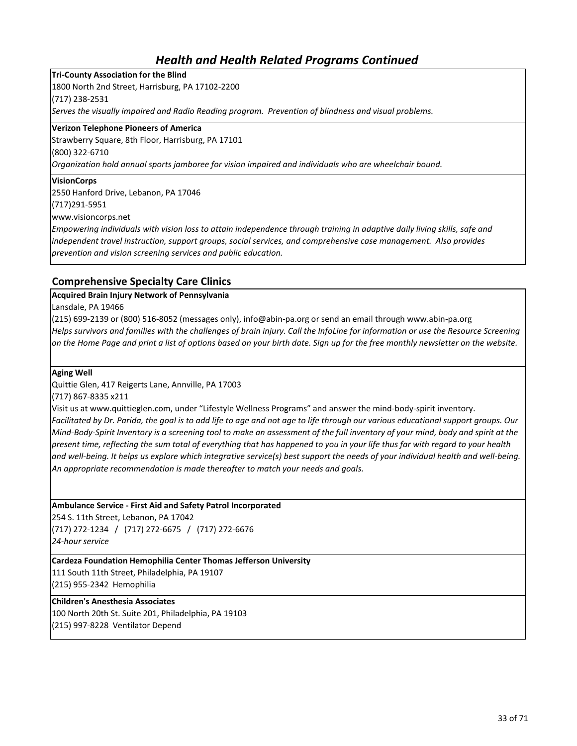**Tri-County Association for the Blind** 1800 North 2nd Street, Harrisburg, PA 17102-2200 (717) 238-2531 *Serves the visually impaired and Radio Reading program. Prevention of blindness and visual problems.*

#### **Verizon Telephone Pioneers of America**

Strawberry Square, 8th Floor, Harrisburg, PA 17101 (800) 322-6710

*Organization hold annual sports jamboree for vision impaired and individuals who are wheelchair bound.*

#### **VisionCorps**

2550 Hanford Drive, Lebanon, PA 17046

(717)291-5951

www.visioncorps.net

*Empowering individuals with vision loss to attain independence through training in adaptive daily living skills, safe and independent travel instruction, support groups, social services, and comprehensive case management. Also provides prevention and vision screening services and public education.*

### **Comprehensive Specialty Care Clinics**

#### **Acquired Brain Injury Network of Pennsylvania**

Lansdale, PA 19466

(215) 699-2139 or (800) 516-8052 (messages only), info@abin-pa.org or send an email through www.abin-pa.org *Helps survivors and families with the challenges of brain injury. Call the InfoLine for information or use the Resource Screening on the Home Page and print a list of options based on your birth date. Sign up for the free monthly newsletter on the website.*

**Aging Well** 

Quittie Glen, 417 Reigerts Lane, Annville, PA 17003

(717) 867-8335 x211

Visit us at www.quittieglen.com, under "Lifestyle Wellness Programs" and answer the mind-body-spirit inventory.

*Facilitated by Dr. Parida, the goal is to add life to age and not age to life through our various educational support groups. Our Mind-Body-Spirit Inventory is a screening tool to make an assessment of the full inventory of your mind, body and spirit at the present time, reflecting the sum total of everything that has happened to you in your life thus far with regard to your health and well-being. It helps us explore which integrative service(s) best support the needs of your individual health and well-being. An appropriate recommendation is made thereafter to match your needs and goals.* 

**Ambulance Service - First Aid and Safety Patrol Incorporated**

254 S. 11th Street, Lebanon, PA 17042 (717) 272-1234 / (717) 272-6675 / (717) 272-6676 *24-hour service*

**Cardeza Foundation Hemophilia Center Thomas Jefferson University**

111 South 11th Street, Philadelphia, PA 19107 (215) 955-2342 Hemophilia

#### **Children's Anesthesia Associates**

100 North 20th St. Suite 201, Philadelphia, PA 19103 (215) 997-8228 Ventilator Depend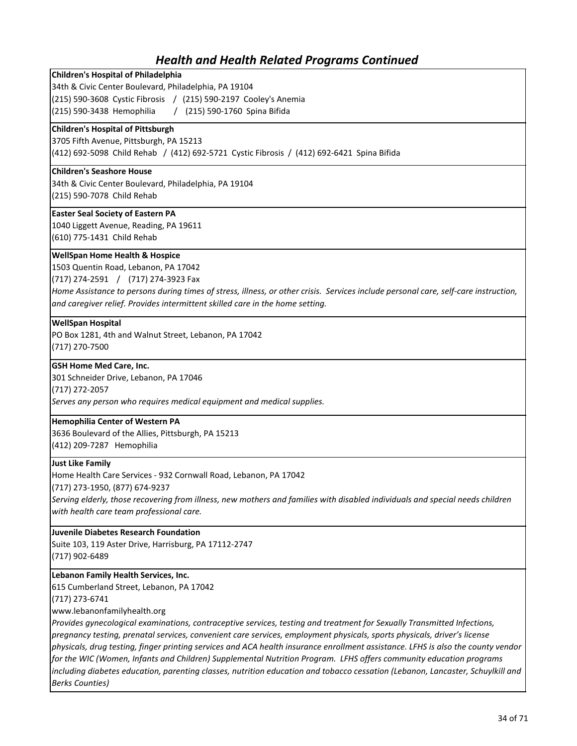### **Children's Hospital of Philadelphia**

34th & Civic Center Boulevard, Philadelphia, PA 19104

(215) 590-3608 Cystic Fibrosis / (215) 590-2197 Cooley's Anemia

(215) 590-3438 Hemophilia / (215) 590-1760 Spina Bifida

#### **Children's Hospital of Pittsburgh**

3705 Fifth Avenue, Pittsburgh, PA 15213 (412) 692-5098 Child Rehab / (412) 692-5721 Cystic Fibrosis / (412) 692-6421 Spina Bifida

#### **Children's Seashore House**

34th & Civic Center Boulevard, Philadelphia, PA 19104 (215) 590-7078 Child Rehab

#### **Easter Seal Society of Eastern PA**

1040 Liggett Avenue, Reading, PA 19611 (610) 775-1431 Child Rehab

#### **WellSpan Home Health & Hospice**

1503 Quentin Road, Lebanon, PA 17042

(717) 274-2591 / (717) 274-3923 Fax

*Home Assistance to persons during times of stress, illness, or other crisis. Services include personal care, self-care instruction, and caregiver relief. Provides intermittent skilled care in the home setting.*

#### **WellSpan Hospital**

PO Box 1281, 4th and Walnut Street, Lebanon, PA 17042 (717) 270-7500

#### **GSH Home Med Care, Inc.**

301 Schneider Drive, Lebanon, PA 17046 (717) 272-2057 *Serves any person who requires medical equipment and medical supplies.*

#### **Hemophilia Center of Western PA**

3636 Boulevard of the Allies, Pittsburgh, PA 15213 (412) 209-7287 Hemophilia

#### **Just Like Family**

Home Health Care Services - 932 Cornwall Road, Lebanon, PA 17042

(717) 273-1950, (877) 674-9237

*Serving elderly, those recovering from illness, new mothers and families with disabled individuals and special needs children with health care team professional care.*

#### **Juvenile Diabetes Research Foundation**

Suite 103, 119 Aster Drive, Harrisburg, PA 17112-2747 (717) 902-6489

#### **Lebanon Family Health Services, Inc.**

615 Cumberland Street, Lebanon, PA 17042

(717) 273-6741

www.lebanonfamilyhealth.org

*Provides gynecological examinations, contraceptive services, testing and treatment for Sexually Transmitted Infections, pregnancy testing, prenatal services, convenient care services, employment physicals, sports physicals, driver's license physicals, drug testing, finger printing services and ACA health insurance enrollment assistance. LFHS is also the county vendor for the WIC (Women, Infants and Children) Supplemental Nutrition Program. LFHS offers community education programs including diabetes education, parenting classes, nutrition education and tobacco cessation (Lebanon, Lancaster, Schuylkill and Berks Counties)*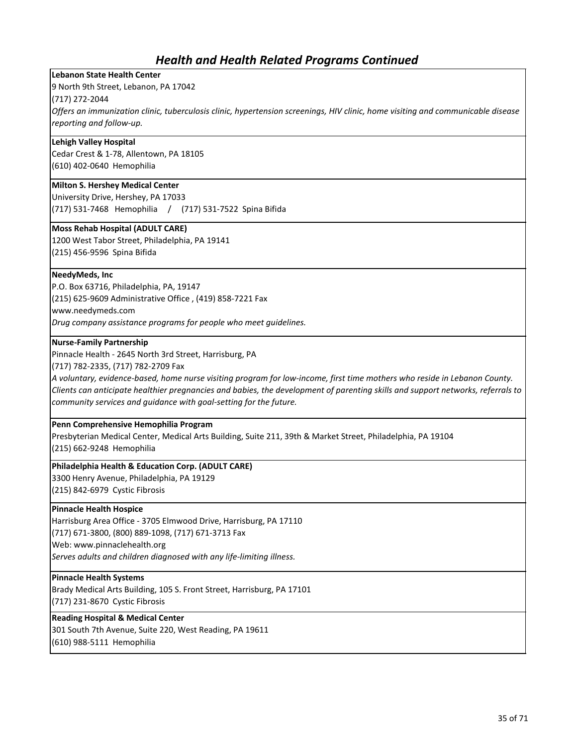### **Lebanon State Health Center**

9 North 9th Street, Lebanon, PA 17042

(717) 272-2044

*Offers an immunization clinic, tuberculosis clinic, hypertension screenings, HIV clinic, home visiting and communicable disease reporting and follow-up.*

#### **Lehigh Valley Hospital**

Cedar Crest & 1-78, Allentown, PA 18105 (610) 402-0640 Hemophilia

### **Milton S. Hershey Medical Center**

University Drive, Hershey, PA 17033 (717) 531-7468 Hemophilia / (717) 531-7522 Spina Bifida

#### **Moss Rehab Hospital (ADULT CARE)**

1200 West Tabor Street, Philadelphia, PA 19141 (215) 456-9596 Spina Bifida

#### **NeedyMeds, Inc**

P.O. Box 63716, Philadelphia, PA, 19147

(215) 625-9609 Administrative Office , (419) 858-7221 Fax

www.needymeds.com

*Drug company assistance programs for people who meet guidelines.*

#### **Nurse-Family Partnership**

Pinnacle Health - 2645 North 3rd Street, Harrisburg, PA

(717) 782-2335, (717) 782-2709 Fax

*A voluntary, evidence-based, home nurse visiting program for low-income, first time mothers who reside in Lebanon County. Clients can anticipate healthier pregnancies and babies, the development of parenting skills and support networks, referrals to community services and guidance with goal-setting for the future.* 

#### **Penn Comprehensive Hemophilia Program**

Presbyterian Medical Center, Medical Arts Building, Suite 211, 39th & Market Street, Philadelphia, PA 19104 (215) 662-9248 Hemophilia

### **Philadelphia Health & Education Corp. (ADULT CARE)**

3300 Henry Avenue, Philadelphia, PA 19129

(215) 842-6979 Cystic Fibrosis

#### **Pinnacle Health Hospice**

Harrisburg Area Office - 3705 Elmwood Drive, Harrisburg, PA 17110

(717) 671-3800, (800) 889-1098, (717) 671-3713 Fax

Web: www.pinnaclehealth.org

*Serves adults and children diagnosed with any life-limiting illness.*

#### **Pinnacle Health Systems**

Brady Medical Arts Building, 105 S. Front Street, Harrisburg, PA 17101 (717) 231-8670 Cystic Fibrosis

#### **Reading Hospital & Medical Center**

301 South 7th Avenue, Suite 220, West Reading, PA 19611 (610) 988-5111 Hemophilia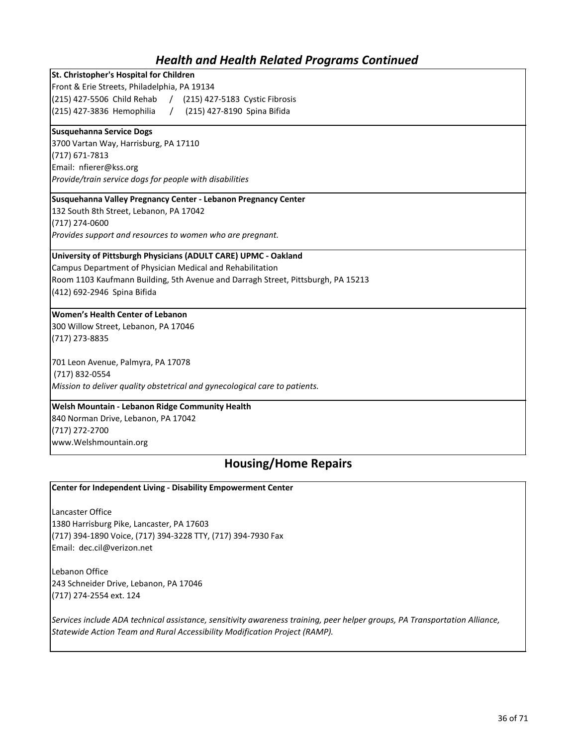| St. Christopher's Hospital for Children                                          |  |
|----------------------------------------------------------------------------------|--|
| Front & Erie Streets, Philadelphia, PA 19134                                     |  |
| (215) 427-5506 Child Rehab / (215) 427-5183 Cystic Fibrosis                      |  |
| (215) 427-3836 Hemophilia / (215) 427-8190 Spina Bifida                          |  |
| Susquehanna Service Dogs                                                         |  |
| 3700 Vartan Way, Harrisburg, PA 17110                                            |  |
| $(717)$ 671-7813                                                                 |  |
| Email: nfierer@kss.org                                                           |  |
| Provide/train service dogs for people with disabilities                          |  |
| Susquehanna Valley Pregnancy Center - Lebanon Pregnancy Center                   |  |
| 132 South 8th Street, Lebanon, PA 17042                                          |  |
| (717) 274-0600                                                                   |  |
| Provides support and resources to women who are pregnant.                        |  |
| University of Pittsburgh Physicians (ADULT CARE) UPMC - Oakland                  |  |
| Campus Department of Physician Medical and Rehabilitation                        |  |
| Room 1103 Kaufmann Building, 5th Avenue and Darragh Street, Pittsburgh, PA 15213 |  |
| (412) 692-2946 Spina Bifida                                                      |  |
| <b>Women's Health Center of Lebanon</b>                                          |  |
| 300 Willow Street, Lebanon, PA 17046                                             |  |
| (717) 273-8835                                                                   |  |
| 701 Leon Avenue, Palmyra, PA 17078                                               |  |
| (717) 832-0554                                                                   |  |
| Mission to deliver quality obstetrical and gynecological care to patients.       |  |
| <b>Welsh Mountain - Lebanon Ridge Community Health</b>                           |  |

840 Norman Drive, Lebanon, PA 17042 (717) 272-2700

www.Welshmountain.org

## **Housing/Home Repairs**

### **Center for Independent Living - Disability Empowerment Center**

Lancaster Office 1380 Harrisburg Pike, Lancaster, PA 17603 (717) 394-1890 Voice, (717) 394-3228 TTY, (717) 394-7930 Fax Email: dec.cil@verizon.net

Lebanon Office 243 Schneider Drive, Lebanon, PA 17046 (717) 274-2554 ext. 124

*Services include ADA technical assistance, sensitivity awareness training, peer helper groups, PA Transportation Alliance, Statewide Action Team and Rural Accessibility Modification Project (RAMP).*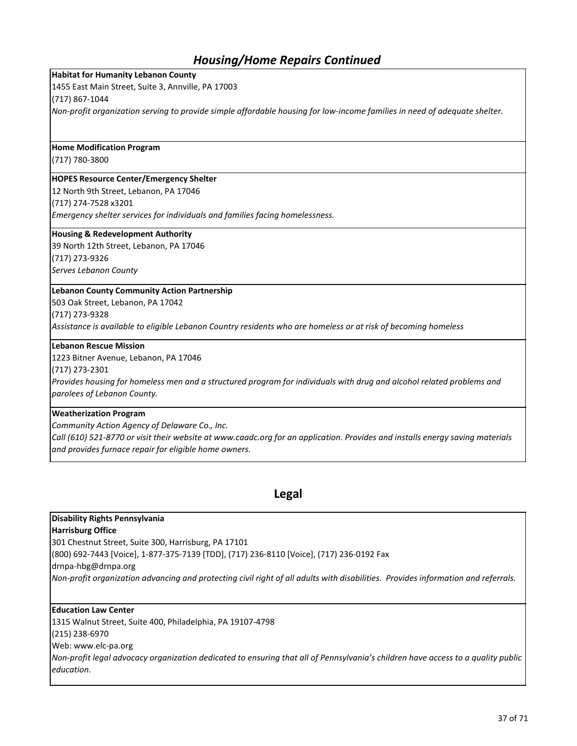## *Housing/Home Repairs Continued*

#### **Habitat for Humanity Lebanon County**

1455 East Main Street, Suite 3, Annville, PA 17003

(717) 867-1044

*Non-profit organization serving to provide simple affordable housing for low-income families in need of adequate shelter.* 

#### **Home Modification Program**

(717) 780-3800

#### **HOPES Resource Center/Emergency Shelter**

12 North 9th Street, Lebanon, PA 17046

(717) 274-7528 x3201

*Emergency shelter services for individuals and families facing homelessness.*

#### **Housing & Redevelopment Authority**

39 North 12th Street, Lebanon, PA 17046 (717) 273-9326 *Serves Lebanon County*

### **Lebanon County Community Action Partnership**

503 Oak Street, Lebanon, PA 17042

(717) 273-9328

*Assistance is available to eligible Lebanon Country residents who are homeless or at risk of becoming homeless*

#### **Lebanon Rescue Mission**

1223 Bitner Avenue, Lebanon, PA 17046

(717) 273-2301

*Provides housing for homeless men and a structured program for individuals with drug and alcohol related problems and parolees of Lebanon County.*

#### **Weatherization Program**

*Community Action Agency of Delaware Co., Inc.*

*Call (610) 521-8770 or visit their website at www.caadc.org for an application. Provides and installs energy saving materials and provides furnace repair for eligible home owners.*

### **Legal**

### **Disability Rights Pennsylvania**

#### **Harrisburg Office**

301 Chestnut Street, Suite 300, Harrisburg, PA 17101

(800) 692-7443 [Voice], 1-877-375-7139 [TDD], (717) 236-8110 [Voice], (717) 236-0192 Fax

drnpa-hbg@drnpa.org

*Non-profit organization advancing and protecting civil right of all adults with disabilities. Provides information and referrals.*

#### **Education Law Center**

1315 Walnut Street, Suite 400, Philadelphia, PA 19107-4798 (215) 238-6970 Web: www.elc-pa.org *Non-profit legal advocacy organization dedicated to ensuring that all of Pennsylvania's children have access to a quality public education.*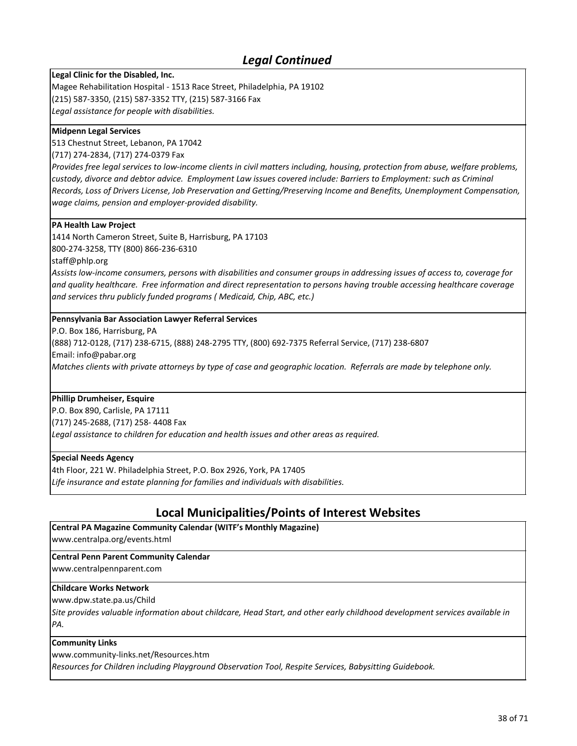## *Legal Continued*

**Legal Clinic for the Disabled, Inc.**

Magee Rehabilitation Hospital - 1513 Race Street, Philadelphia, PA 19102 (215) 587-3350, (215) 587-3352 TTY, (215) 587-3166 Fax *Legal assistance for people with disabilities.*

#### **Midpenn Legal Services**

513 Chestnut Street, Lebanon, PA 17042

(717) 274-2834, (717) 274-0379 Fax

*Provides free legal services to low-income clients in civil matters including, housing, protection from abuse, welfare problems, custody, divorce and debtor advice. Employment Law issues covered include: Barriers to Employment: such as Criminal Records, Loss of Drivers License, Job Preservation and Getting/Preserving Income and Benefits, Unemployment Compensation, wage claims, pension and employer-provided disability.*

#### **PA Health Law Project**

1414 North Cameron Street, Suite B, Harrisburg, PA 17103 800-274-3258, TTY (800) 866-236-6310

staff@phlp.org

*Assists low-income consumers, persons with disabilities and consumer groups in addressing issues of access to, coverage for and quality healthcare. Free information and direct representation to persons having trouble accessing healthcare coverage and services thru publicly funded programs ( Medicaid, Chip, ABC, etc.)*

#### **Pennsylvania Bar Association Lawyer Referral Services**

P.O. Box 186, Harrisburg, PA

(888) 712-0128, (717) 238-6715, (888) 248-2795 TTY, (800) 692-7375 Referral Service, (717) 238-6807

Email: info@pabar.org

*Matches clients with private attorneys by type of case and geographic location. Referrals are made by telephone only.*

#### **Phillip Drumheiser, Esquire**

P.O. Box 890, Carlisle, PA 17111 (717) 245-2688, (717) 258- 4408 Fax

*Legal assistance to children for education and health issues and other areas as required.*

#### **Special Needs Agency**

4th Floor, 221 W. Philadelphia Street, P.O. Box 2926, York, PA 17405 *Life insurance and estate planning for families and individuals with disabilities.*

## **Local Municipalities/Points of Interest Websites**

**Central PA Magazine Community Calendar (WITF's Monthly Magazine)**

www.centralpa.org/events.html

#### **Central Penn Parent Community Calendar**

www.centralpennparent.com

#### **Childcare Works Network**

www.dpw.state.pa.us/Child

*Site provides valuable information about childcare, Head Start, and other early childhood development services available in PA.* 

#### **Community Links**

www.community-links.net/Resources.htm

*Resources for Children including Playground Observation Tool, Respite Services, Babysitting Guidebook.*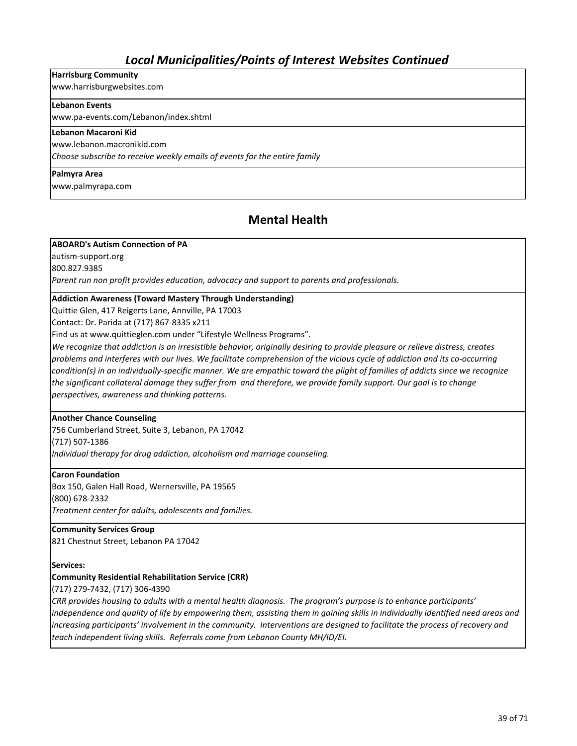## *Local Municipalities/Points of Interest Websites Continued*

### **Harrisburg Community**

www.harrisburgwebsites.com

#### **Lebanon Events**

www.pa-events.com/Lebanon/index.shtml

### **Lebanon Macaroni Kid**

www.lebanon.macronikid.com

*Choose subscribe to receive weekly emails of events for the entire family*

#### **Palmyra Area**

www.palmyrapa.com

## **Mental Health**

#### **ABOARD's Autism Connection of PA**

autism-support.org

800.827.9385

*Parent run non profit provides education, advocacy and support to parents and professionals.*

#### **Addiction Awareness (Toward Mastery Through Understanding)**

Quittie Glen, 417 Reigerts Lane, Annville, PA 17003

Contact: Dr. Parida at (717) 867-8335 x211

Find us at www.quittieglen.com under "Lifestyle Wellness Programs".

*We recognize that addiction is an irresistible behavior, originally desiring to provide pleasure or relieve distress, creates problems and interferes with our lives. We facilitate comprehension of the vicious cycle of addiction and its co-occurring condition(s) in an individually-specific manner. We are empathic toward the plight of families of addicts since we recognize*  the significant collateral damage they suffer from and therefore, we provide family support. Our goal is to change *perspectives, awareness and thinking patterns.* 

#### **Another Chance Counseling**

756 Cumberland Street, Suite 3, Lebanon, PA 17042 (717) 507-1386 *Individual therapy for drug addiction, alcoholism and marriage counseling.*

#### **Caron Foundation**

Box 150, Galen Hall Road, Wernersville, PA 19565 (800) 678-2332 *Treatment center for adults, adolescents and families.*

**Community Services Group** 821 Chestnut Street, Lebanon PA 17042

#### **Services:**

#### **Community Residential Rehabilitation Service (CRR)**

(717) 279-7432, (717) 306-4390

*CRR provides housing to adults with a mental health diagnosis. The program's purpose is to enhance participants'*  independence and quality of life by empowering them, assisting them in gaining skills in individually identified need areas and *increasing participants' involvement in the community. Interventions are designed to facilitate the process of recovery and teach independent living skills. Referrals come from Lebanon County MH/ID/EI.*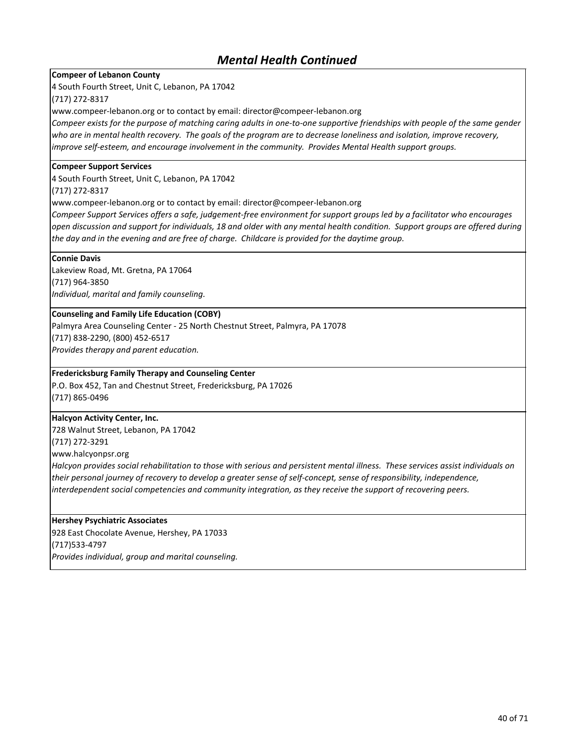### **Compeer of Lebanon County**

4 South Fourth Street, Unit C, Lebanon, PA 17042

#### (717) 272-8317

www.compeer-lebanon.org or to contact by email: director@compeer-lebanon.org

*Compeer exists for the purpose of matching caring adults in one-to-one supportive friendships with people of the same gender who are in mental health recovery. The goals of the program are to decrease loneliness and isolation, improve recovery, improve self-esteem, and encourage involvement in the community. Provides Mental Health support groups.* 

#### **Compeer Support Services**

4 South Fourth Street, Unit C, Lebanon, PA 17042

(717) 272-8317

www.compeer-lebanon.org or to contact by email: director@compeer-lebanon.org

*Compeer Support Services offers a safe, judgement-free environment for support groups led by a facilitator who encourages open discussion and support for individuals, 18 and older with any mental health condition. Support groups are offered during the day and in the evening and are free of charge. Childcare is provided for the daytime group.* 

#### **Connie Davis**

Lakeview Road, Mt. Gretna, PA 17064 (717) 964-3850 *Individual, marital and family counseling.*

#### **Counseling and Family Life Education (COBY)**

Palmyra Area Counseling Center - 25 North Chestnut Street, Palmyra, PA 17078 (717) 838-2290, (800) 452-6517 *Provides therapy and parent education.*

#### **Fredericksburg Family Therapy and Counseling Center**

P.O. Box 452, Tan and Chestnut Street, Fredericksburg, PA 17026 (717) 865-0496

#### **Halcyon Activity Center, Inc.**

728 Walnut Street, Lebanon, PA 17042 (717) 272-3291

www.halcyonpsr.org

*Halcyon provides social rehabilitation to those with serious and persistent mental illness. These services assist individuals on their personal journey of recovery to develop a greater sense of self-concept, sense of responsibility, independence, interdependent social competencies and community integration, as they receive the support of recovering peers.*

#### **Hershey Psychiatric Associates**

928 East Chocolate Avenue, Hershey, PA 17033 (717)533-4797 *Provides individual, group and marital counseling.*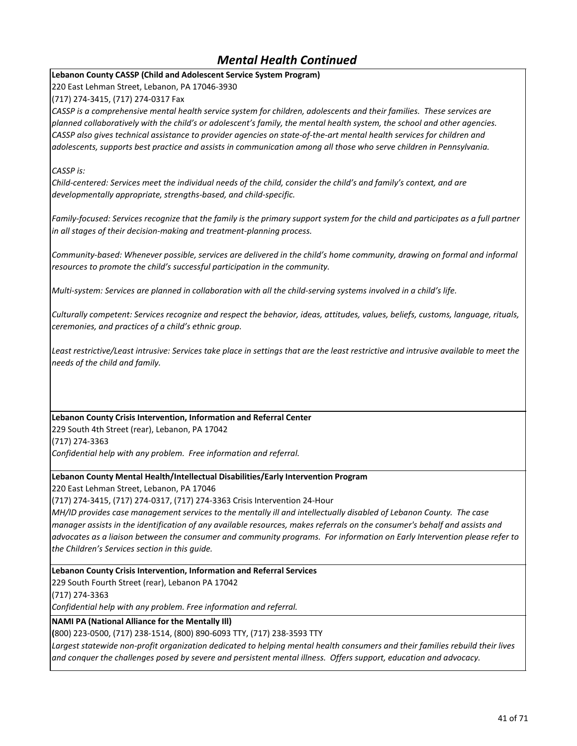### **Lebanon County CASSP (Child and Adolescent Service System Program)**

220 East Lehman Street, Lebanon, PA 17046-3930

(717) 274-3415, (717) 274-0317 Fax

*CASSP is a comprehensive mental health service system for children, adolescents and their families. These services are planned collaboratively with the child's or adolescent's family, the mental health system, the school and other agencies. CASSP also gives technical assistance to provider agencies on state-of-the-art mental health services for children and adolescents, supports best practice and assists in communication among all those who serve children in Pennsylvania.*

### *CASSP is:*

*Child-centered: Services meet the individual needs of the child, consider the child's and family's context, and are developmentally appropriate, strengths-based, and child-specific.*

Family-focused: Services recognize that the family is the primary support system for the child and participates as a full partner *in all stages of their decision-making and treatment-planning process.*

*Community-based: Whenever possible, services are delivered in the child's home community, drawing on formal and informal resources to promote the child's successful participation in the community.*

*Multi-system: Services are planned in collaboration with all the child-serving systems involved in a child's life.*

*Culturally competent: Services recognize and respect the behavior, ideas, attitudes, values, beliefs, customs, language, rituals, ceremonies, and practices of a child's ethnic group.*

Least restrictive/Least intrusive: Services take place in settings that are the least restrictive and intrusive available to meet the *needs of the child and family.*

### **Lebanon County Crisis Intervention, Information and Referral Center**

229 South 4th Street (rear), Lebanon, PA 17042 (717) 274-3363 *Confidential help with any problem. Free information and referral.*

#### **Lebanon County Mental Health/Intellectual Disabilities/Early Intervention Program**

220 East Lehman Street, Lebanon, PA 17046

(717) 274-3415, (717) 274-0317, (717) 274-3363 Crisis Intervention 24-Hour

*MH/ID provides case management services to the mentally ill and intellectually disabled of Lebanon County. The case manager assists in the identification of any available resources, makes referrals on the consumer's behalf and assists and advocates as a liaison between the consumer and community programs. For information on Early Intervention please refer to the Children's Services section in this guide.*

**Lebanon County Crisis Intervention, Information and Referral Services**

229 South Fourth Street (rear), Lebanon PA 17042

(717) 274-3363

*Confidential help with any problem. Free information and referral.*

**NAMI PA (National Alliance for the Mentally Ill)**

**(**800) 223-0500, (717) 238-1514, (800) 890-6093 TTY, (717) 238-3593 TTY

*Largest statewide non-profit organization dedicated to helping mental health consumers and their families rebuild their lives and conquer the challenges posed by severe and persistent mental illness. Offers support, education and advocacy.*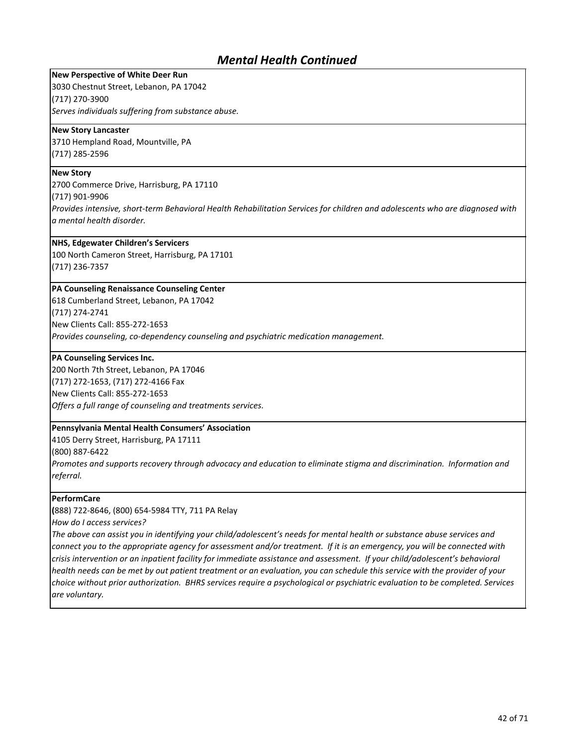**New Perspective of White Deer Run** 3030 Chestnut Street, Lebanon, PA 17042 (717) 270-3900 *Serves individuals suffering from substance abuse.*

#### **New Story Lancaster**

3710 Hempland Road, Mountville, PA (717) 285-2596

#### **New Story**

2700 Commerce Drive, Harrisburg, PA 17110

(717) 901-9906

*Provides intensive, short-term Behavioral Health Rehabilitation Services for children and adolescents who are diagnosed with a mental health disorder.*

#### **NHS, Edgewater Children's Servicers**

100 North Cameron Street, Harrisburg, PA 17101 (717) 236-7357

#### **PA Counseling Renaissance Counseling Center**

618 Cumberland Street, Lebanon, PA 17042 (717) 274-2741 New Clients Call: 855-272-1653 *Provides counseling, co-dependency counseling and psychiatric medication management.*

#### **PA Counseling Services Inc.**

200 North 7th Street, Lebanon, PA 17046 (717) 272-1653, (717) 272-4166 Fax New Clients Call: 855-272-1653 *Offers a full range of counseling and treatments services.*

#### **Pennsylvania Mental Health Consumers' Association**

4105 Derry Street, Harrisburg, PA 17111

(800) 887-6422

*Promotes and supports recovery through advocacy and education to eliminate stigma and discrimination. Information and referral.*

#### **PerformCare**

**(**888) 722-8646, (800) 654-5984 TTY, 711 PA Relay

*How do I access services?*

*The above can assist you in identifying your child/adolescent's needs for mental health or substance abuse services and connect you to the appropriate agency for assessment and/or treatment. If it is an emergency, you will be connected with crisis intervention or an inpatient facility for immediate assistance and assessment. If your child/adolescent's behavioral health needs can be met by out patient treatment or an evaluation, you can schedule this service with the provider of your choice without prior authorization. BHRS services require a psychological or psychiatric evaluation to be completed. Services are voluntary.*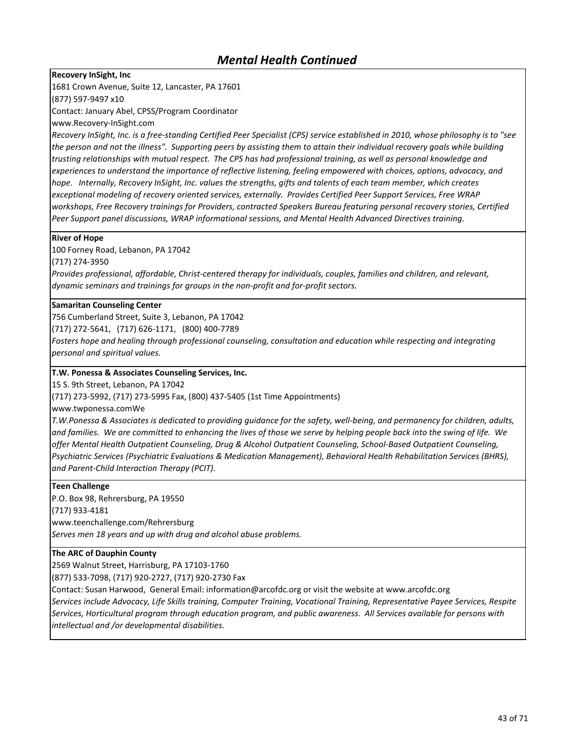**Recovery InSight, Inc**

1681 Crown Avenue, Suite 12, Lancaster, PA 17601

(877) 597-9497 x10

Contact: January Abel, CPSS/Program Coordinator

www.Recovery-InSight.com

*Recovery InSight, Inc. is a free-standing Certified Peer Specialist (CPS) service established in 2010, whose philosophy is to "see the person and not the illness". Supporting peers by assisting them to attain their individual recovery goals while building trusting relationships with mutual respect. The CPS has had professional training, as well as personal knowledge and experiences to understand the importance of reflective listening, feeling empowered with choices, options, advocacy, and hope.* Internally, Recovery InSight, Inc. values the strengths, gifts and talents of each team member, which creates *exceptional modeling of recovery oriented services, externally. Provides Certified Peer Support Services, Free WRAP workshops, Free Recovery trainings for Providers, contracted Speakers Bureau featuring personal recovery stories, Certified Peer Support panel discussions, WRAP informational sessions, and Mental Health Advanced Directives training.* 

#### **River of Hope**

100 Forney Road, Lebanon, PA 17042

(717) 274-3950

*Provides professional, affordable, Christ-centered therapy for individuals, couples, families and children, and relevant, dynamic seminars and trainings for groups in the non-profit and for-profit sectors.*

#### **Samaritan Counseling Center**

756 Cumberland Street, Suite 3, Lebanon, PA 17042

(717) 272-5641, (717) 626-1171, (800) 400-7789

Fosters hope and healing through professional counseling, consultation and education while respecting and integrating *personal and spiritual values.*

#### **T.W. Ponessa & Associates Counseling Services, Inc.**

15 S. 9th Street, Lebanon, PA 17042

(717) 273-5992, (717) 273-5995 Fax, (800) 437-5405 (1st Time Appointments)

www.twponessa.comWe

*T.W.Ponessa & Associates is dedicated to providing guidance for the safety, well-being, and permanency for children, adults, and families. We are committed to enhancing the lives of those we serve by helping people back into the swing of life. We offer Mental Health Outpatient Counseling, Drug & Alcohol Outpatient Counseling, School-Based Outpatient Counseling, Psychiatric Services (Psychiatric Evaluations & Medication Management), Behavioral Health Rehabilitation Services (BHRS), and Parent-Child Interaction Therapy (PCIT).*

#### **Teen Challenge**

P.O. Box 98, Rehrersburg, PA 19550

(717) 933-4181

www.teenchallenge.com/Rehrersburg

*Serves men 18 years and up with drug and alcohol abuse problems.*

#### **The ARC of Dauphin County**

2569 Walnut Street, Harrisburg, PA 17103-1760

(877) 533-7098, (717) 920-2727, (717) 920-2730 Fax

Contact: Susan Harwood, General Email: information@arcofdc.org or visit the website at www.arcofdc.org *Services include Advocacy, Life Skills training, Computer Training, Vocational Training, Representative Payee Services, Respite Services, Horticultural program through education program, and public awareness. All Services available for persons with intellectual and /or developmental disabilities.*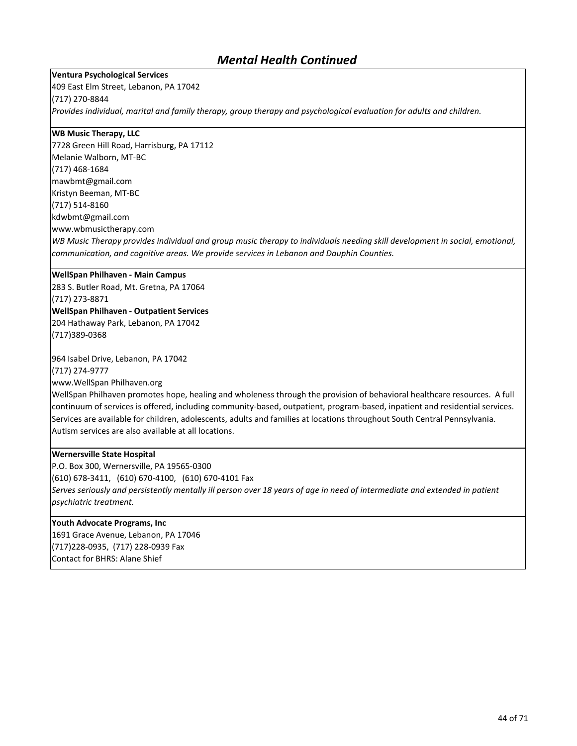#### **Ventura Psychological Services**

409 East Elm Street, Lebanon, PA 17042 (717) 270-8844 *Provides individual, marital and family therapy, group therapy and psychological evaluation for adults and children.*

#### **WB Music Therapy, LLC**

7728 Green Hill Road, Harrisburg, PA 17112 Melanie Walborn, MT-BC (717) 468-1684 mawbmt@gmail.com Kristyn Beeman, MT-BC (717) 514-8160 kdwbmt@gmail.com www.wbmusictherapy.com *WB Music Therapy provides individual and group music therapy to individuals needing skill development in social, emotional, communication, and cognitive areas. We provide services in Lebanon and Dauphin Counties.*

#### **WellSpan Philhaven - Main Campus**

283 S. Butler Road, Mt. Gretna, PA 17064 (717) 273-8871 **WellSpan Philhaven - Outpatient Services** 204 Hathaway Park, Lebanon, PA 17042 (717)389-0368

964 Isabel Drive, Lebanon, PA 17042

(717) 274-9777

www.WellSpan Philhaven.org

WellSpan Philhaven promotes hope, healing and wholeness through the provision of behavioral healthcare resources. A full continuum of services is offered, including community-based, outpatient, program-based, inpatient and residential services. Services are available for children, adolescents, adults and families at locations throughout South Central Pennsylvania. Autism services are also available at all locations.

#### **Wernersville State Hospital**

P.O. Box 300, Wernersville, PA 19565-0300 (610) 678-3411, (610) 670-4100, (610) 670-4101 Fax *Serves seriously and persistently mentally ill person over 18 years of age in need of intermediate and extended in patient psychiatric treatment.*

### **Youth Advocate Programs, Inc**

1691 Grace Avenue, Lebanon, PA 17046 (717)228-0935, (717) 228-0939 Fax Contact for BHRS: Alane Shief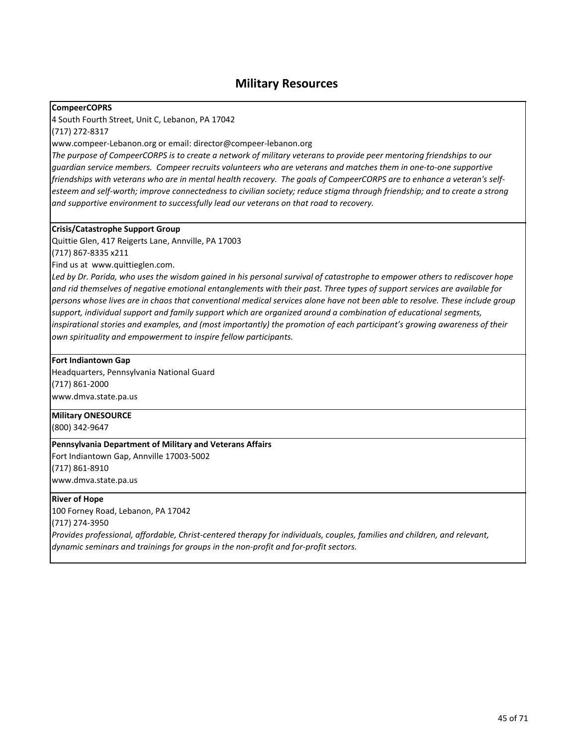### **Military Resources**

#### **CompeerCOPRS**

4 South Fourth Street, Unit C, Lebanon, PA 17042

(717) 272-8317

www.compeer-Lebanon.org or email: director@compeer-lebanon.org

*The purpose of CompeerCORPS is to create a network of military veterans to provide peer mentoring friendships to our guardian service members. Compeer recruits volunteers who are veterans and matches them in one-to-one supportive friendships with veterans who are in mental health recovery. The goals of CompeerCORPS are to enhance a veteran's selfesteem and self-worth; improve connectedness to civilian society; reduce stigma through friendship; and to create a strong and supportive environment to successfully lead our veterans on that road to recovery.* 

#### **Crisis/Catastrophe Support Group**

Quittie Glen, 417 Reigerts Lane, Annville, PA 17003

(717) 867-8335 x211

Find us at www.quittieglen.com.

*Led by Dr. Parida, who uses the wisdom gained in his personal survival of catastrophe to empower others to rediscover hope and rid themselves of negative emotional entanglements with their past. Three types of support services are available for persons whose lives are in chaos that conventional medical services alone have not been able to resolve. These include group support, individual support and family support which are organized around a combination of educational segments, inspirational stories and examples, and (most importantly) the promotion of each participant's growing awareness of their own spirituality and empowerment to inspire fellow participants.* 

#### **Fort Indiantown Gap**

Headquarters, Pennsylvania National Guard (717) 861-2000 www.dmva.state.pa.us

#### **Military ONESOURCE**

(800) 342-9647

#### **Pennsylvania Department of Military and Veterans Affairs**

Fort Indiantown Gap, Annville 17003-5002 (717) 861-8910

www.dmva.state.pa.us

### **River of Hope**

100 Forney Road, Lebanon, PA 17042 (717) 274-3950

*Provides professional, affordable, Christ-centered therapy for individuals, couples, families and children, and relevant, dynamic seminars and trainings for groups in the non-profit and for-profit sectors.*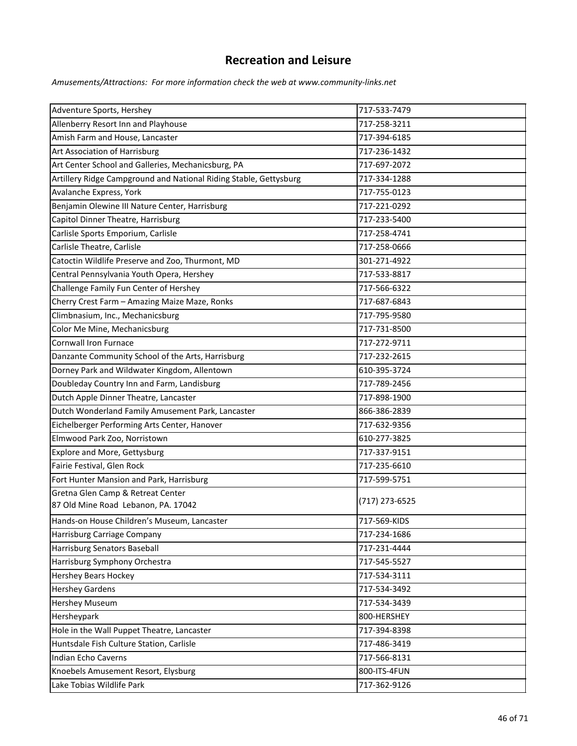## **Recreation and Leisure**

*Amusements/Attractions: For more information check the web at www.community-links.net*

| Adventure Sports, Hershey                                         | 717-533-7479   |
|-------------------------------------------------------------------|----------------|
| Allenberry Resort Inn and Playhouse                               | 717-258-3211   |
| Amish Farm and House, Lancaster                                   | 717-394-6185   |
| Art Association of Harrisburg                                     | 717-236-1432   |
| Art Center School and Galleries, Mechanicsburg, PA                | 717-697-2072   |
| Artillery Ridge Campground and National Riding Stable, Gettysburg | 717-334-1288   |
| Avalanche Express, York                                           | 717-755-0123   |
| Benjamin Olewine III Nature Center, Harrisburg                    | 717-221-0292   |
| Capitol Dinner Theatre, Harrisburg                                | 717-233-5400   |
| Carlisle Sports Emporium, Carlisle                                | 717-258-4741   |
| Carlisle Theatre, Carlisle                                        | 717-258-0666   |
| Catoctin Wildlife Preserve and Zoo, Thurmont, MD                  | 301-271-4922   |
| Central Pennsylvania Youth Opera, Hershey                         | 717-533-8817   |
| Challenge Family Fun Center of Hershey                            | 717-566-6322   |
| Cherry Crest Farm - Amazing Maize Maze, Ronks                     | 717-687-6843   |
| Climbnasium, Inc., Mechanicsburg                                  | 717-795-9580   |
| Color Me Mine, Mechanicsburg                                      | 717-731-8500   |
| <b>Cornwall Iron Furnace</b>                                      | 717-272-9711   |
| Danzante Community School of the Arts, Harrisburg                 | 717-232-2615   |
| Dorney Park and Wildwater Kingdom, Allentown                      | 610-395-3724   |
| Doubleday Country Inn and Farm, Landisburg                        | 717-789-2456   |
| Dutch Apple Dinner Theatre, Lancaster                             | 717-898-1900   |
| Dutch Wonderland Family Amusement Park, Lancaster                 | 866-386-2839   |
| Eichelberger Performing Arts Center, Hanover                      | 717-632-9356   |
| Elmwood Park Zoo, Norristown                                      | 610-277-3825   |
| Explore and More, Gettysburg                                      | 717-337-9151   |
| Fairie Festival, Glen Rock                                        | 717-235-6610   |
| Fort Hunter Mansion and Park, Harrisburg                          | 717-599-5751   |
| Gretna Glen Camp & Retreat Center                                 |                |
| 87 Old Mine Road Lebanon, PA. 17042                               | (717) 273-6525 |
| Hands-on House Children's Museum, Lancaster                       | 717-569-KIDS   |
| Harrisburg Carriage Company                                       | 717-234-1686   |
| Harrisburg Senators Baseball                                      | 717-231-4444   |
| Harrisburg Symphony Orchestra                                     | 717-545-5527   |
| <b>Hershey Bears Hockey</b>                                       | 717-534-3111   |
| <b>Hershey Gardens</b>                                            | 717-534-3492   |
| Hershey Museum                                                    | 717-534-3439   |
| Hersheypark                                                       | 800-HERSHEY    |
| Hole in the Wall Puppet Theatre, Lancaster                        | 717-394-8398   |
| Huntsdale Fish Culture Station, Carlisle                          | 717-486-3419   |
| Indian Echo Caverns                                               | 717-566-8131   |
| Knoebels Amusement Resort, Elysburg                               | 800-ITS-4FUN   |
| Lake Tobias Wildlife Park                                         | 717-362-9126   |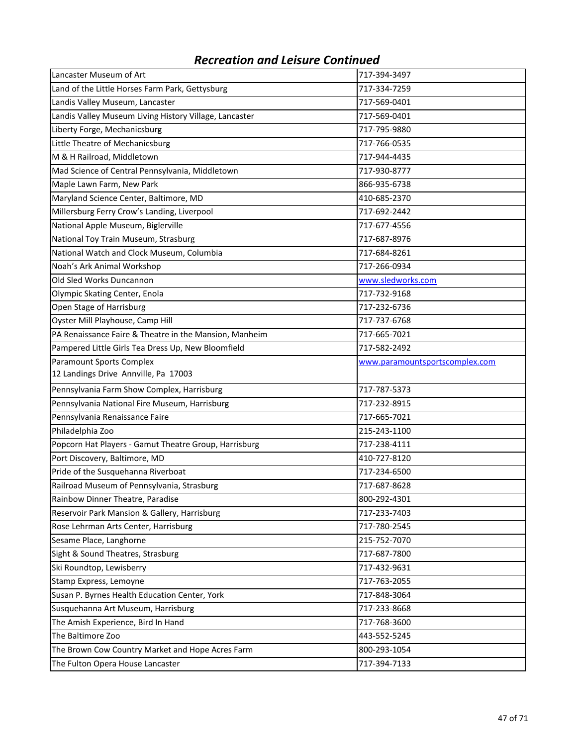| Lancaster Museum of Art                                | 717-394-3497                   |
|--------------------------------------------------------|--------------------------------|
| Land of the Little Horses Farm Park, Gettysburg        | 717-334-7259                   |
| Landis Valley Museum, Lancaster                        | 717-569-0401                   |
| Landis Valley Museum Living History Village, Lancaster | 717-569-0401                   |
| Liberty Forge, Mechanicsburg                           | 717-795-9880                   |
| Little Theatre of Mechanicsburg                        | 717-766-0535                   |
| M & H Railroad, Middletown                             | 717-944-4435                   |
| Mad Science of Central Pennsylvania, Middletown        | 717-930-8777                   |
| Maple Lawn Farm, New Park                              | 866-935-6738                   |
| Maryland Science Center, Baltimore, MD                 | 410-685-2370                   |
| Millersburg Ferry Crow's Landing, Liverpool            | 717-692-2442                   |
| National Apple Museum, Biglerville                     | 717-677-4556                   |
| National Toy Train Museum, Strasburg                   | 717-687-8976                   |
| National Watch and Clock Museum, Columbia              | 717-684-8261                   |
| Noah's Ark Animal Workshop                             | 717-266-0934                   |
| Old Sled Works Duncannon                               | www.sledworks.com              |
| Olympic Skating Center, Enola                          | 717-732-9168                   |
| Open Stage of Harrisburg                               | 717-232-6736                   |
| Oyster Mill Playhouse, Camp Hill                       | 717-737-6768                   |
| PA Renaissance Faire & Theatre in the Mansion, Manheim | 717-665-7021                   |
| Pampered Little Girls Tea Dress Up, New Bloomfield     | 717-582-2492                   |
| <b>Paramount Sports Complex</b>                        | www.paramountsportscomplex.com |
| 12 Landings Drive Annville, Pa 17003                   |                                |
| Pennsylvania Farm Show Complex, Harrisburg             | 717-787-5373                   |
| Pennsylvania National Fire Museum, Harrisburg          | 717-232-8915                   |
| Pennsylvania Renaissance Faire                         | 717-665-7021                   |
| Philadelphia Zoo                                       | 215-243-1100                   |
| Popcorn Hat Players - Gamut Theatre Group, Harrisburg  | 717-238-4111                   |
| Port Discovery, Baltimore, MD                          | 410-727-8120                   |
| Pride of the Susquehanna Riverboat                     | 717-234-6500                   |
| Railroad Museum of Pennsylvania, Strasburg             | 717-687-8628                   |
| Rainbow Dinner Theatre, Paradise                       | 800-292-4301                   |
| Reservoir Park Mansion & Gallery, Harrisburg           | 717-233-7403                   |
| Rose Lehrman Arts Center, Harrisburg                   | 717-780-2545                   |
| Sesame Place, Langhorne                                | 215-752-7070                   |
| Sight & Sound Theatres, Strasburg                      | 717-687-7800                   |
| Ski Roundtop, Lewisberry                               | 717-432-9631                   |
| Stamp Express, Lemoyne                                 | 717-763-2055                   |
| Susan P. Byrnes Health Education Center, York          | 717-848-3064                   |
| Susquehanna Art Museum, Harrisburg                     | 717-233-8668                   |
| The Amish Experience, Bird In Hand                     | 717-768-3600                   |
| The Baltimore Zoo                                      | 443-552-5245                   |
| The Brown Cow Country Market and Hope Acres Farm       | 800-293-1054                   |
| The Fulton Opera House Lancaster                       | 717-394-7133                   |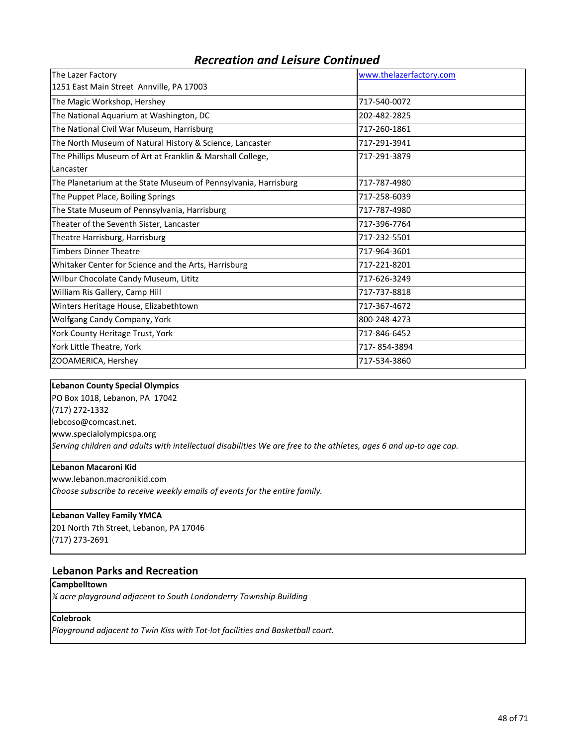| The Lazer Factory                                               | www.thelazerfactory.com |
|-----------------------------------------------------------------|-------------------------|
| 1251 East Main Street Annville, PA 17003                        |                         |
| The Magic Workshop, Hershey                                     | 717-540-0072            |
| The National Aquarium at Washington, DC                         | 202-482-2825            |
| The National Civil War Museum, Harrisburg                       | 717-260-1861            |
| The North Museum of Natural History & Science, Lancaster        | 717-291-3941            |
| The Phillips Museum of Art at Franklin & Marshall College,      | 717-291-3879            |
| Lancaster                                                       |                         |
| The Planetarium at the State Museum of Pennsylvania, Harrisburg | 717-787-4980            |
| The Puppet Place, Boiling Springs                               | 717-258-6039            |
| The State Museum of Pennsylvania, Harrisburg                    | 717-787-4980            |
| Theater of the Seventh Sister, Lancaster                        | 717-396-7764            |
| Theatre Harrisburg, Harrisburg                                  | 717-232-5501            |
| <b>Timbers Dinner Theatre</b>                                   | 717-964-3601            |
| Whitaker Center for Science and the Arts, Harrisburg            | 717-221-8201            |
| Wilbur Chocolate Candy Museum, Lititz                           | 717-626-3249            |
| William Ris Gallery, Camp Hill                                  | 717-737-8818            |
| Winters Heritage House, Elizabethtown                           | 717-367-4672            |
| Wolfgang Candy Company, York                                    | 800-248-4273            |
| York County Heritage Trust, York                                | 717-846-6452            |
| York Little Theatre, York                                       | 717-854-3894            |
| ZOOAMERICA, Hershey                                             | 717-534-3860            |

#### **Lebanon County Special Olympics**

PO Box 1018, Lebanon, PA 17042 (717) 272-1332 lebcoso@comcast.net. www.specialolympicspa.org *Serving children and adults with intellectual disabilities We are free to the athletes, ages 6 and up-to age cap.*

### **Lebanon Macaroni Kid**

www.lebanon.macronikid.com *Choose subscribe to receive weekly emails of events for the entire family.*

#### **Lebanon Valley Family YMCA**

201 North 7th Street, Lebanon, PA 17046 (717) 273-2691

#### **Lebanon Parks and Recreation**

**Campbelltown**

*¾ acre playground adjacent to South Londonderry Township Building*

#### **Colebrook**

*Playground adjacent to Twin Kiss with Tot-lot facilities and Basketball court.*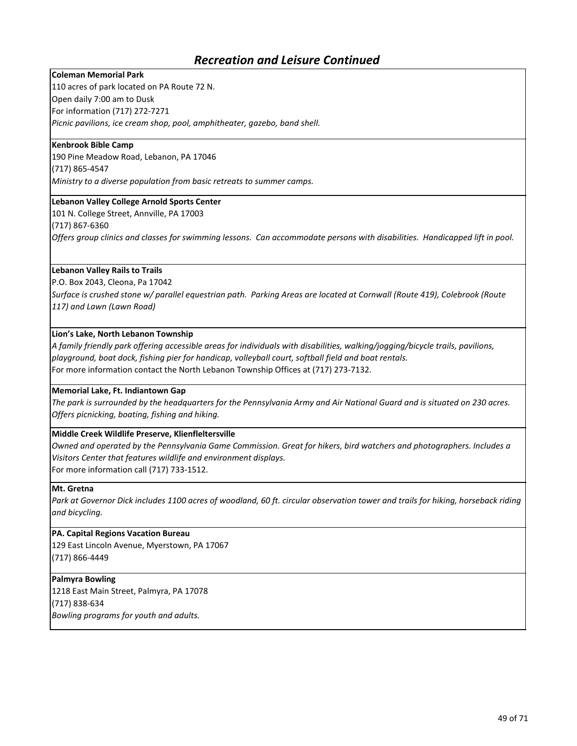#### **Coleman Memorial Park**

110 acres of park located on PA Route 72 N. Open daily 7:00 am to Dusk For information (717) 272-7271

*Picnic pavilions, ice cream shop, pool, amphitheater, gazebo, band shell.*

#### **Kenbrook Bible Camp**

190 Pine Meadow Road, Lebanon, PA 17046 (717) 865-4547

*Ministry to a diverse population from basic retreats to summer camps.*

### **Lebanon Valley College Arnold Sports Center**

101 N. College Street, Annville, PA 17003

(717) 867-6360

*Offers group clinics and classes for swimming lessons. Can accommodate persons with disabilities. Handicapped lift in pool.*

#### **Lebanon Valley Rails to Trails**

P.O. Box 2043, Cleona, Pa 17042

*Surface is crushed stone w/ parallel equestrian path. Parking Areas are located at Cornwall (Route 419), Colebrook (Route 117) and Lawn (Lawn Road)*

#### **Lion's Lake, North Lebanon Township**

*A family friendly park offering accessible areas for individuals with disabilities, walking/jogging/bicycle trails, pavilions, playground, boat dock, fishing pier for handicap, volleyball court, softball field and boat rentals.*  For more information contact the North Lebanon Township Offices at (717) 273-7132.

#### **Memorial Lake, Ft. Indiantown Gap**

*The park is surrounded by the headquarters for the Pennsylvania Army and Air National Guard and is situated on 230 acres. Offers picnicking, boating, fishing and hiking.*

#### **Middle Creek Wildlife Preserve, Klienfleltersville**

*Owned and operated by the Pennsylvania Game Commission. Great for hikers, bird watchers and photographers. Includes a Visitors Center that features wildlife and environment displays.* 

For more information call (717) 733-1512.

#### **Mt. Gretna**

Park at Governor Dick includes 1100 acres of woodland, 60 ft. circular observation tower and trails for hiking, horseback riding *and bicycling.*

#### **PA. Capital Regions Vacation Bureau**

129 East Lincoln Avenue, Myerstown, PA 17067 (717) 866-4449

#### **Palmyra Bowling**

1218 East Main Street, Palmyra, PA 17078 (717) 838-634 *Bowling programs for youth and adults.*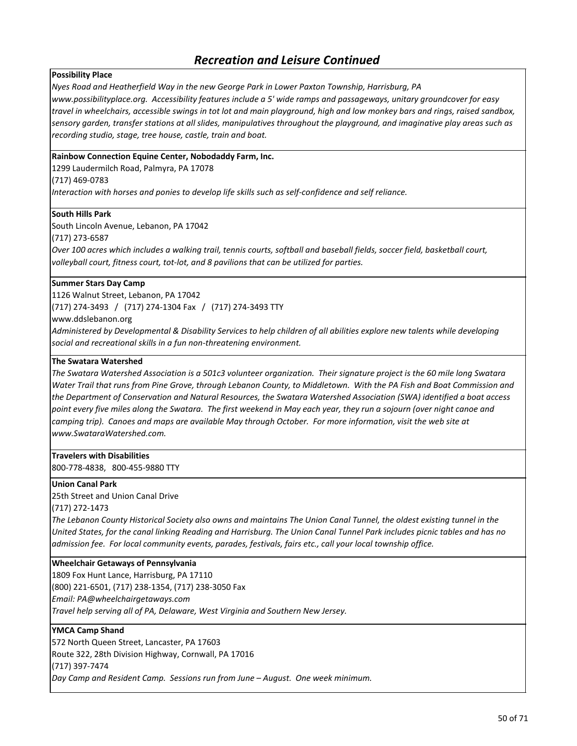#### **Possibility Place**

*Nyes Road and Heatherfield Way in the new George Park in Lower Paxton Township, Harrisburg, PA*

*www.possibilityplace.org. Accessibility features include a 5' wide ramps and passageways, unitary groundcover for easy travel in wheelchairs, accessible swings in tot lot and main playground, high and low monkey bars and rings, raised sandbox, sensory garden, transfer stations at all slides, manipulatives throughout the playground, and imaginative play areas such as recording studio, stage, tree house, castle, train and boat.*

#### **Rainbow Connection Equine Center, Nobodaddy Farm, Inc.**

1299 Laudermilch Road, Palmyra, PA 17078

(717) 469-0783

*Interaction with horses and ponies to develop life skills such as self-confidence and self reliance.*

#### **South Hills Park**

South Lincoln Avenue, Lebanon, PA 17042

(717) 273-6587

*Over 100 acres which includes a walking trail, tennis courts, softball and baseball fields, soccer field, basketball court, volleyball court, fitness court, tot-lot, and 8 pavilions that can be utilized for parties.*

### **Summer Stars Day Camp**

1126 Walnut Street, Lebanon, PA 17042 (717) 274-3493 / (717) 274-1304 Fax / (717) 274-3493 TTY

www.ddslebanon.org

*Administered by Developmental & Disability Services to help children of all abilities explore new talents while developing social and recreational skills in a fun non-threatening environment.*

#### **The Swatara Watershed**

*The Swatara Watershed Association is a 501c3 volunteer organization. Their signature project is the 60 mile long Swatara Water Trail that runs from Pine Grove, through Lebanon County, to Middletown. With the PA Fish and Boat Commission and the Department of Conservation and Natural Resources, the Swatara Watershed Association (SWA) identified a boat access point every five miles along the Swatara. The first weekend in May each year, they run a sojourn (over night canoe and camping trip). Canoes and maps are available May through October. For more information, visit the web site at www.SwataraWatershed.com.*

**Travelers with Disabilities** 800-778-4838, 800-455-9880 TTY

**Union Canal Park** 25th Street and Union Canal Drive

(717) 272-1473

*The Lebanon County Historical Society also owns and maintains The Union Canal Tunnel, the oldest existing tunnel in the United States, for the canal linking Reading and Harrisburg. The Union Canal Tunnel Park includes picnic tables and has no admission fee. For local community events, parades, festivals, fairs etc., call your local township office.*

#### **Wheelchair Getaways of Pennsylvania**

1809 Fox Hunt Lance, Harrisburg, PA 17110 (800) 221-6501, (717) 238-1354, (717) 238-3050 Fax *Email: PA@wheelchairgetaways.com Travel help serving all of PA, Delaware, West Virginia and Southern New Jersey.*

#### **YMCA Camp Shand**

572 North Queen Street, Lancaster, PA 17603 Route 322, 28th Division Highway, Cornwall, PA 17016 (717) 397-7474 *Day Camp and Resident Camp. Sessions run from June – August. One week minimum.*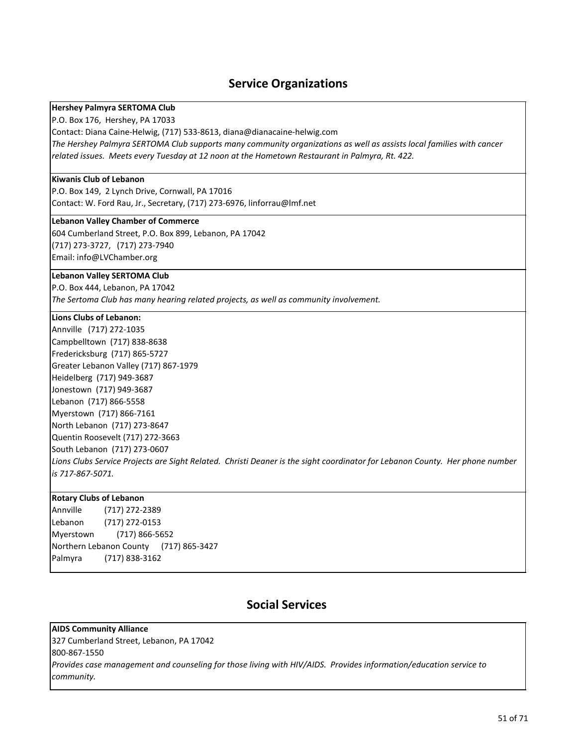## **Service Organizations**

#### **Hershey Palmyra SERTOMA Club**

P.O. Box 176, Hershey, PA 17033

Contact: Diana Caine-Helwig, (717) 533-8613, diana@dianacaine-helwig.com

*The Hershey Palmyra SERTOMA Club supports many community organizations as well as assists local families with cancer related issues. Meets every Tuesday at 12 noon at the Hometown Restaurant in Palmyra, Rt. 422.*

#### **Kiwanis Club of Lebanon**

P.O. Box 149, 2 Lynch Drive, Cornwall, PA 17016 Contact: W. Ford Rau, Jr., Secretary, (717) 273-6976, linforrau@lmf.net

#### **Lebanon Valley Chamber of Commerce**

604 Cumberland Street, P.O. Box 899, Lebanon, PA 17042 (717) 273-3727, (717) 273-7940 Email: info@LVChamber.org

#### **Lebanon Valley SERTOMA Club**

P.O. Box 444, Lebanon, PA 17042 *The Sertoma Club has many hearing related projects, as well as community involvement.*

#### **Lions Clubs of Lebanon:**

Annville (717) 272-1035 Campbelltown (717) 838-8638 Fredericksburg (717) 865-5727 Greater Lebanon Valley (717) 867-1979 Heidelberg (717) 949-3687 Jonestown (717) 949-3687 Lebanon (717) 866-5558 Myerstown (717) 866-7161 North Lebanon (717) 273-8647 Quentin Roosevelt (717) 272-3663 South Lebanon (717) 273-0607 *Lions Clubs Service Projects are Sight Related. Christi Deaner is the sight coordinator for Lebanon County. Her phone number is 717-867-5071.*

#### **Rotary Clubs of Lebanon**

Annville (717) 272-2389 Lebanon (717) 272-0153 Myerstown (717) 866-5652 Northern Lebanon County (717) 865-3427 Palmyra (717) 838-3162

## **Social Services**

**AIDS Community Alliance** 327 Cumberland Street, Lebanon, PA 17042 800-867-1550 *Provides case management and counseling for those living with HIV/AIDS. Provides information/education service to community.*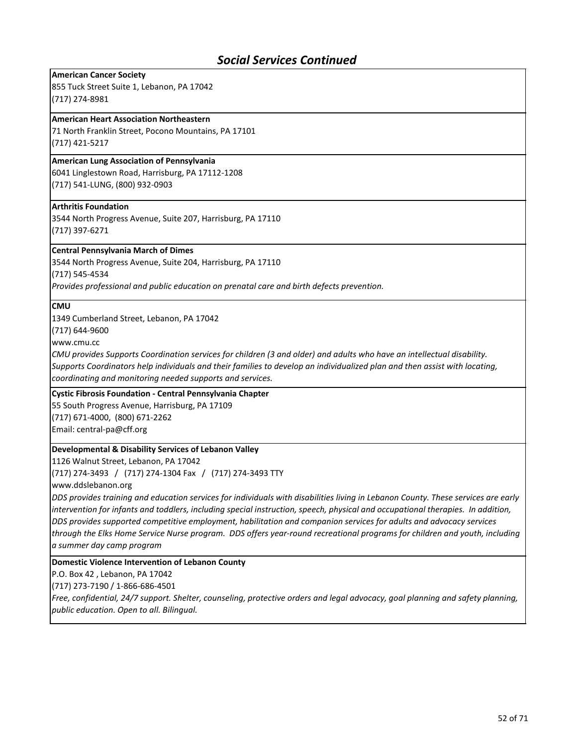#### **American Cancer Society**

855 Tuck Street Suite 1, Lebanon, PA 17042 (717) 274-8981

#### **American Heart Association Northeastern**

71 North Franklin Street, Pocono Mountains, PA 17101 (717) 421-5217

#### **American Lung Association of Pennsylvania**

6041 Linglestown Road, Harrisburg, PA 17112-1208 (717) 541-LUNG, (800) 932-0903

#### **Arthritis Foundation**

3544 North Progress Avenue, Suite 207, Harrisburg, PA 17110 (717) 397-6271

#### **Central Pennsylvania March of Dimes**

3544 North Progress Avenue, Suite 204, Harrisburg, PA 17110 (717) 545-4534

*Provides professional and public education on prenatal care and birth defects prevention.*

#### **CMU**

1349 Cumberland Street, Lebanon, PA 17042

(717) 644-9600

www.cmu.cc

*CMU provides Supports Coordination services for children (3 and older) and adults who have an intellectual disability. Supports Coordinators help individuals and their families to develop an individualized plan and then assist with locating, coordinating and monitoring needed supports and services.*

#### **Cystic Fibrosis Foundation - Central Pennsylvania Chapter**

55 South Progress Avenue, Harrisburg, PA 17109 (717) 671-4000, (800) 671-2262 Email: central-pa@cff.org

#### **Developmental & Disability Services of Lebanon Valley**

1126 Walnut Street, Lebanon, PA 17042 (717) 274-3493 / (717) 274-1304 Fax / (717) 274-3493 TTY

www.ddslebanon.org

*DDS provides training and education services for individuals with disabilities living in Lebanon County. These services are early intervention for infants and toddlers, including special instruction, speech, physical and occupational therapies. In addition, DDS provides supported competitive employment, habilitation and companion services for adults and advocacy services through the Elks Home Service Nurse program. DDS offers year-round recreational programs for children and youth, including a summer day camp program*

#### **Domestic Violence Intervention of Lebanon County**

P.O. Box 42 , Lebanon, PA 17042

(717) 273-7190 / 1-866-686-4501

*Free, confidential, 24/7 support. Shelter, counseling, protective orders and legal advocacy, goal planning and safety planning, public education. Open to all. Bilingual.*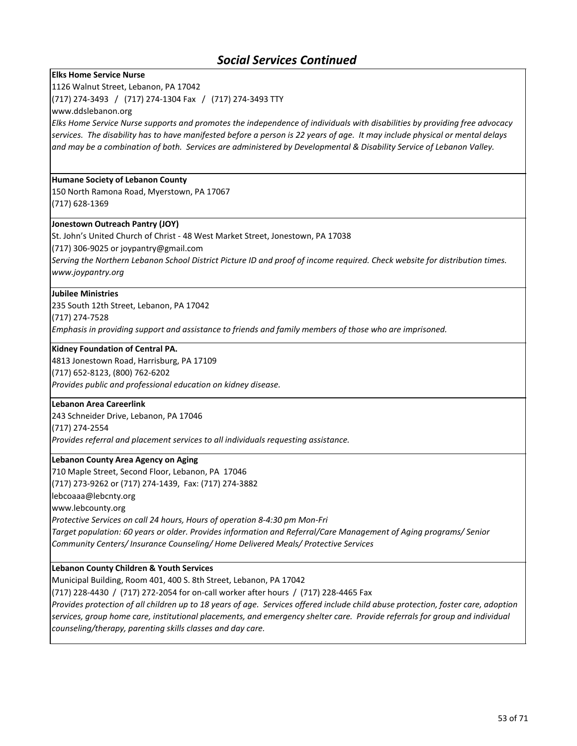#### **Elks Home Service Nurse**

1126 Walnut Street, Lebanon, PA 17042

(717) 274-3493 / (717) 274-1304 Fax / (717) 274-3493 TTY

www.ddslebanon.org

*Elks Home Service Nurse supports and promotes the independence of individuals with disabilities by providing free advocacy services. The disability has to have manifested before a person is 22 years of age. It may include physical or mental delays and may be a combination of both. Services are administered by Developmental & Disability Service of Lebanon Valley.*

#### **Humane Society of Lebanon County**

150 North Ramona Road, Myerstown, PA 17067 (717) 628-1369

#### **Jonestown Outreach Pantry (JOY)**

St. John's United Church of Christ - 48 West Market Street, Jonestown, PA 17038

(717) 306-9025 or joypantry@gmail.com

*Serving the Northern Lebanon School District Picture ID and proof of income required. Check website for distribution times. www.joypantry.org*

#### **Jubilee Ministries**

235 South 12th Street, Lebanon, PA 17042 (717) 274-7528 *Emphasis in providing support and assistance to friends and family members of those who are imprisoned.*

#### **Kidney Foundation of Central PA.**

4813 Jonestown Road, Harrisburg, PA 17109 (717) 652-8123, (800) 762-6202 *Provides public and professional education on kidney disease.* 

#### **Lebanon Area Careerlink**

243 Schneider Drive, Lebanon, PA 17046 (717) 274-2554 *Provides referral and placement services to all individuals requesting assistance.*

#### **Lebanon County Area Agency on Aging**

710 Maple Street, Second Floor, Lebanon, PA 17046 (717) 273-9262 or (717) 274-1439, Fax: (717) 274-3882 lebcoaaa@lebcnty.org www.lebcounty.org *Protective Services on call 24 hours, Hours of operation 8-4:30 pm Mon-Fri Target population: 60 years or older. Provides information and Referral/Care Management of Aging programs/ Senior Community Centers/ Insurance Counseling/ Home Delivered Meals/ Protective Services*

#### **Lebanon County Children & Youth Services**

Municipal Building, Room 401, 400 S. 8th Street, Lebanon, PA 17042

(717) 228-4430 / (717) 272-2054 for on-call worker after hours / (717) 228-4465 Fax

*Provides protection of all children up to 18 years of age. Services offered include child abuse protection, foster care, adoption services, group home care, institutional placements, and emergency shelter care. Provide referrals for group and individual counseling/therapy, parenting skills classes and day care.*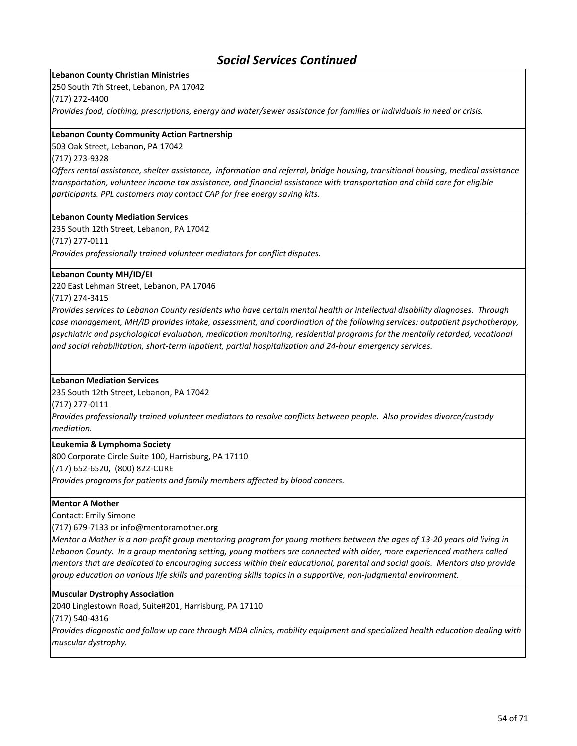#### **Lebanon County Christian Ministries**

250 South 7th Street, Lebanon, PA 17042

(717) 272-4400

*Provides food, clothing, prescriptions, energy and water/sewer assistance for families or individuals in need or crisis.* 

#### **Lebanon County Community Action Partnership**

503 Oak Street, Lebanon, PA 17042

#### (717) 273-9328

*Offers rental assistance, shelter assistance, information and referral, bridge housing, transitional housing, medical assistance transportation, volunteer income tax assistance, and financial assistance with transportation and child care for eligible participants. PPL customers may contact CAP for free energy saving kits.*

#### **Lebanon County Mediation Services**

235 South 12th Street, Lebanon, PA 17042 (717) 277-0111 *Provides professionally trained volunteer mediators for conflict disputes.* 

#### **Lebanon County MH/ID/EI**

220 East Lehman Street, Lebanon, PA 17046

#### (717) 274-3415

*Provides services to Lebanon County residents who have certain mental health or intellectual disability diagnoses. Through case management, MH/ID provides intake, assessment, and coordination of the following services: outpatient psychotherapy, psychiatric and psychological evaluation, medication monitoring, residential programs for the mentally retarded, vocational and social rehabilitation, short-term inpatient, partial hospitalization and 24-hour emergency services.*

#### **Lebanon Mediation Services**

235 South 12th Street, Lebanon, PA 17042

(717) 277-0111

*Provides professionally trained volunteer mediators to resolve conflicts between people. Also provides divorce/custody mediation.* 

#### **Leukemia & Lymphoma Society**

800 Corporate Circle Suite 100, Harrisburg, PA 17110 (717) 652-6520, (800) 822-CURE *Provides programs for patients and family members affected by blood cancers.*

#### **Mentor A Mother**

Contact: Emily Simone

(717) 679-7133 or info@mentoramother.org

*Mentor a Mother is a non-profit group mentoring program for young mothers between the ages of 13-20 years old living in Lebanon County. In a group mentoring setting, young mothers are connected with older, more experienced mothers called mentors that are dedicated to encouraging success within their educational, parental and social goals. Mentors also provide group education on various life skills and parenting skills topics in a supportive, non-judgmental environment.*

#### **Muscular Dystrophy Association**

2040 Linglestown Road, Suite#201, Harrisburg, PA 17110

(717) 540-4316

*Provides diagnostic and follow up care through MDA clinics, mobility equipment and specialized health education dealing with muscular dystrophy.*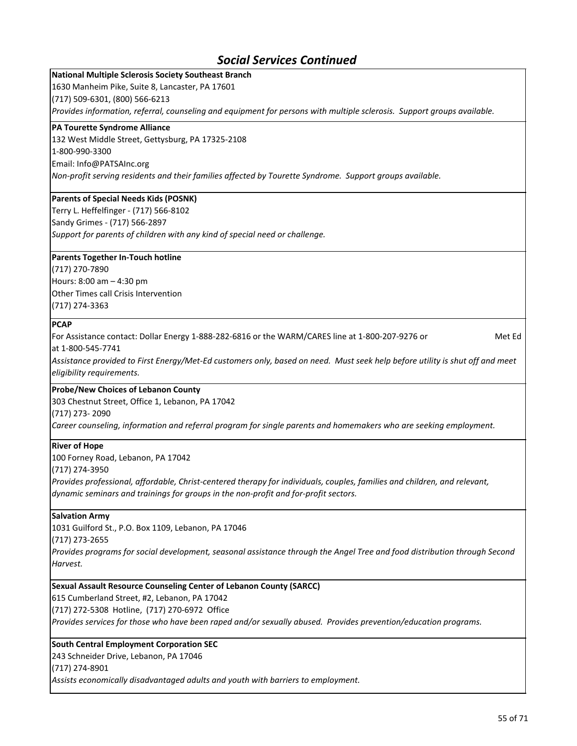## **National Multiple Sclerosis Society Southeast Branch**

1630 Manheim Pike, Suite 8, Lancaster, PA 17601

(717) 509-6301, (800) 566-6213

*Provides information, referral, counseling and equipment for persons with multiple sclerosis. Support groups available.*

#### **PA Tourette Syndrome Alliance**

132 West Middle Street, Gettysburg, PA 17325-2108 1-800-990-3300

Email: Info@PATSAInc.org

*Non-profit serving residents and their families affected by Tourette Syndrome. Support groups available.*

#### **Parents of Special Needs Kids (POSNK)**

Terry L. Heffelfinger - (717) 566-8102 Sandy Grimes - (717) 566-2897 *Support for parents of children with any kind of special need or challenge.*

#### **Parents Together In-Touch hotline**

(717) 270-7890 Hours: 8:00 am – 4:30 pm Other Times call Crisis Intervention (717) 274-3363

#### **PCAP**

For Assistance contact: Dollar Energy 1-888-282-6816 or the WARM/CARES line at 1-800-207-9276 or Met Ed at 1-800-545-7741

*Assistance provided to First Energy/Met-Ed customers only, based on need. Must seek help before utility is shut off and meet eligibility requirements.* 

#### **Probe/New Choices of Lebanon County**

303 Chestnut Street, Office 1, Lebanon, PA 17042

(717) 273- 2090

*Career counseling, information and referral program for single parents and homemakers who are seeking employment.*

#### **River of Hope**

100 Forney Road, Lebanon, PA 17042

(717) 274-3950

*Provides professional, affordable, Christ-centered therapy for individuals, couples, families and children, and relevant, dynamic seminars and trainings for groups in the non-profit and for-profit sectors.*

#### **Salvation Army**

1031 Guilford St., P.O. Box 1109, Lebanon, PA 17046

(717) 273-2655

*Provides programs for social development, seasonal assistance through the Angel Tree and food distribution through Second Harvest.*

#### **Sexual Assault Resource Counseling Center of Lebanon County (SARCC)**

615 Cumberland Street, #2, Lebanon, PA 17042

(717) 272-5308 Hotline, (717) 270-6972 Office

*Provides services for those who have been raped and/or sexually abused. Provides prevention/education programs.*

#### **South Central Employment Corporation SEC**

243 Schneider Drive, Lebanon, PA 17046

(717) 274-8901

*Assists economically disadvantaged adults and youth with barriers to employment.*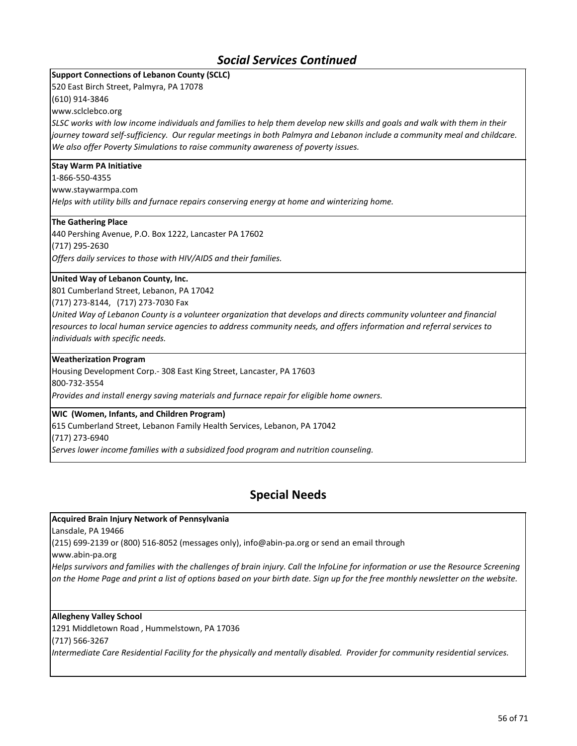### **Support Connections of Lebanon County (SCLC)**

520 East Birch Street, Palmyra, PA 17078

(610) 914-3846

www.sclclebco.org

*SLSC works with low income individuals and families to help them develop new skills and goals and walk with them in their*  journey toward self-sufficiency. Our regular meetings in both Palmyra and Lebanon include a community meal and childcare. *We also offer Poverty Simulations to raise community awareness of poverty issues.*

#### **Stay Warm PA Initiative**

1-866-550-4355 www.staywarmpa.com *Helps with utility bills and furnace repairs conserving energy at home and winterizing home.*

#### **The Gathering Place**

440 Pershing Avenue, P.O. Box 1222, Lancaster PA 17602 (717) 295-2630 *Offers daily services to those with HIV/AIDS and their families.*

#### **United Way of Lebanon County, Inc.**

801 Cumberland Street, Lebanon, PA 17042

(717) 273-8144, (717) 273-7030 Fax

*United Way of Lebanon County is a volunteer organization that develops and directs community volunteer and financial resources to local human service agencies to address community needs, and offers information and referral services to individuals with specific needs.*

#### **Weatherization Program**

Housing Development Corp.- 308 East King Street, Lancaster, PA 17603

800-732-3554

*Provides and install energy saving materials and furnace repair for eligible home owners.*

#### **WIC (Women, Infants, and Children Program)**

615 Cumberland Street, Lebanon Family Health Services, Lebanon, PA 17042

(717) 273-6940

*Serves lower income families with a subsidized food program and nutrition counseling.*

## **Special Needs**

#### **Acquired Brain Injury Network of Pennsylvania**

Lansdale, PA 19466

(215) 699-2139 or (800) 516-8052 (messages only), info@abin-pa.org or send an email through

www.abin-pa.org

*Helps survivors and families with the challenges of brain injury. Call the InfoLine for information or use the Resource Screening on the Home Page and print a list of options based on your birth date. Sign up for the free monthly newsletter on the website.*

#### **Allegheny Valley School**

1291 Middletown Road , Hummelstown, PA 17036

(717) 566-3267

*Intermediate Care Residential Facility for the physically and mentally disabled. Provider for community residential services.*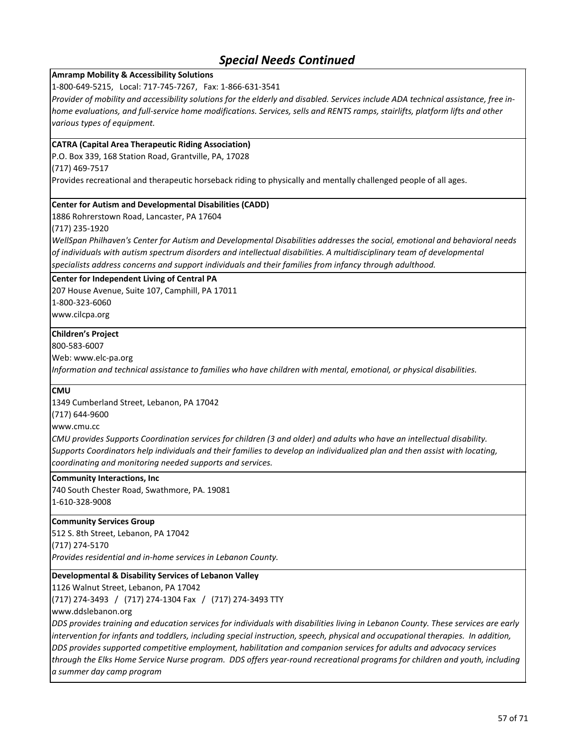### **Amramp Mobility & Accessibility Solutions**

1-800-649-5215, Local: 717-745-7267, Fax: 1-866-631-3541

*Provider of mobility and accessibility solutions for the elderly and disabled. Services include ADA technical assistance, free inhome evaluations, and full-service home modifications. Services, sells and RENTS ramps, stairlifts, platform lifts and other various types of equipment.*

### **CATRA (Capital Area Therapeutic Riding Association)**

P.O. Box 339, 168 Station Road, Grantville, PA, 17028

(717) 469-7517

Provides recreational and therapeutic horseback riding to physically and mentally challenged people of all ages.

#### **Center for Autism and Developmental Disabilities (CADD)**

1886 Rohrerstown Road, Lancaster, PA 17604

(717) 235-1920

*WellSpan Philhaven's Center for Autism and Developmental Disabilities addresses the social, emotional and behavioral needs of individuals with autism spectrum disorders and intellectual disabilities. A multidisciplinary team of developmental specialists address concerns and support individuals and their families from infancy through adulthood.*

#### **Center for Independent Living of Central PA**

207 House Avenue, Suite 107, Camphill, PA 17011 1-800-323-6060

www.cilcpa.org

#### **Children's Project**

800-583-6007

Web: www.elc-pa.org

*Information and technical assistance to families who have children with mental, emotional, or physical disabilities.*

#### **CMU**

1349 Cumberland Street, Lebanon, PA 17042

(717) 644-9600

www.cmu.cc

*CMU provides Supports Coordination services for children (3 and older) and adults who have an intellectual disability. Supports Coordinators help individuals and their families to develop an individualized plan and then assist with locating, coordinating and monitoring needed supports and services.*

#### **Community Interactions, Inc**

740 South Chester Road, Swathmore, PA. 19081 1-610-328-9008

#### **Community Services Group**

512 S. 8th Street, Lebanon, PA 17042

(717) 274-5170

*Provides residential and in-home services in Lebanon County.*

#### **Developmental & Disability Services of Lebanon Valley**

1126 Walnut Street, Lebanon, PA 17042

(717) 274-3493 / (717) 274-1304 Fax / (717) 274-3493 TTY

www.ddslebanon.org

*DDS provides training and education services for individuals with disabilities living in Lebanon County. These services are early intervention for infants and toddlers, including special instruction, speech, physical and occupational therapies. In addition, DDS provides supported competitive employment, habilitation and companion services for adults and advocacy services through the Elks Home Service Nurse program. DDS offers year-round recreational programs for children and youth, including a summer day camp program*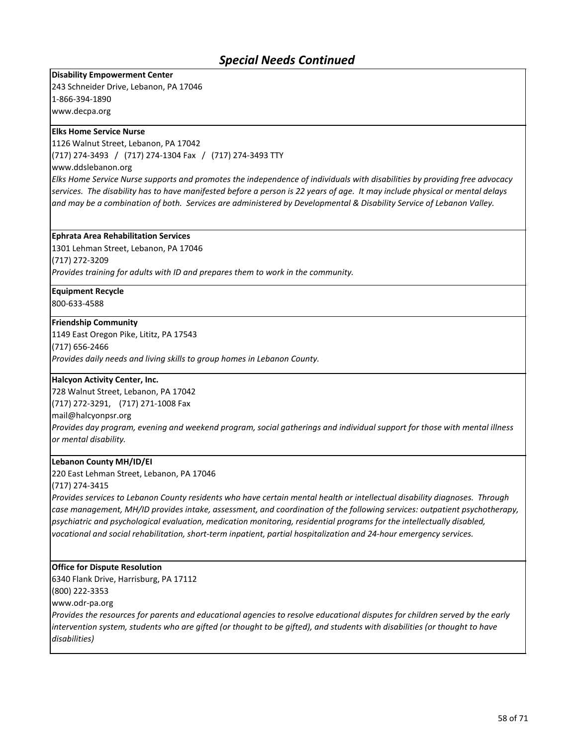**Disability Empowerment Center** 243 Schneider Drive, Lebanon, PA 17046 1-866-394-1890 www.decpa.org

#### **Elks Home Service Nurse**

1126 Walnut Street, Lebanon, PA 17042

(717) 274-3493 / (717) 274-1304 Fax / (717) 274-3493 TTY

www.ddslebanon.org

*Elks Home Service Nurse supports and promotes the independence of individuals with disabilities by providing free advocacy services. The disability has to have manifested before a person is 22 years of age. It may include physical or mental delays and may be a combination of both. Services are administered by Developmental & Disability Service of Lebanon Valley.*

#### **Ephrata Area Rehabilitation Services**

1301 Lehman Street, Lebanon, PA 17046

(717) 272-3209

*Provides training for adults with ID and prepares them to work in the community.*

### **Equipment Recycle**

800-633-4588

#### **Friendship Community**

1149 East Oregon Pike, Lititz, PA 17543

(717) 656-2466

*Provides daily needs and living skills to group homes in Lebanon County.*

#### **Halcyon Activity Center, Inc.**

728 Walnut Street, Lebanon, PA 17042 (717) 272-3291, (717) 271-1008 Fax mail@halcyonpsr.org *Provides day program, evening and weekend program, social gatherings and individual support for those with mental illness or mental disability.*

#### **Lebanon County MH/ID/EI**

220 East Lehman Street, Lebanon, PA 17046

(717) 274-3415

*Provides services to Lebanon County residents who have certain mental health or intellectual disability diagnoses. Through case management, MH/ID provides intake, assessment, and coordination of the following services: outpatient psychotherapy, psychiatric and psychological evaluation, medication monitoring, residential programs for the intellectually disabled, vocational and social rehabilitation, short-term inpatient, partial hospitalization and 24-hour emergency services.*

#### **Office for Dispute Resolution**

6340 Flank Drive, Harrisburg, PA 17112

(800) 222-3353

www.odr-pa.org

*Provides the resources for parents and educational agencies to resolve educational disputes for children served by the early intervention system, students who are gifted (or thought to be gifted), and students with disabilities (or thought to have disabilities)*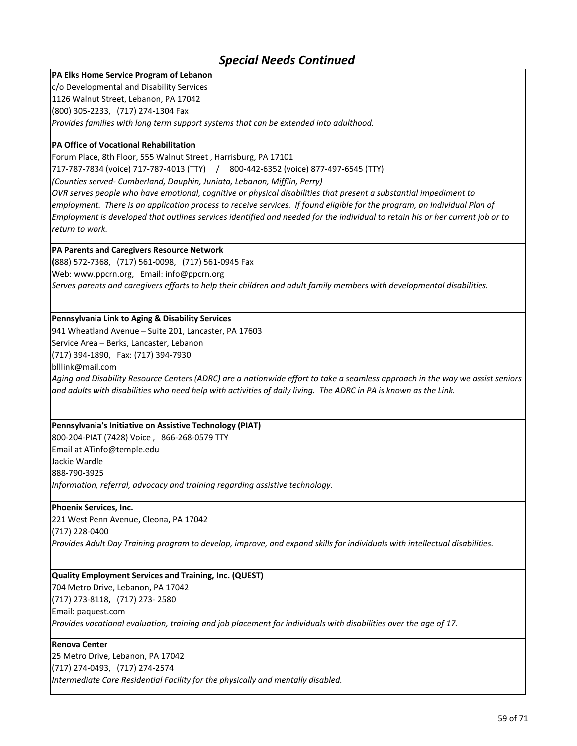### **PA Elks Home Service Program of Lebanon**

c/o Developmental and Disability Services

1126 Walnut Street, Lebanon, PA 17042 (800) 305-2233, (717) 274-1304 Fax

*Provides families with long term support systems that can be extended into adulthood.*

#### **PA Office of Vocational Rehabilitation**

Forum Place, 8th Floor, 555 Walnut Street , Harrisburg, PA 17101

717-787-7834 (voice) 717-787-4013 (TTY) / 800-442-6352 (voice) 877-497-6545 (TTY)

*(Counties served- Cumberland, Dauphin, Juniata, Lebanon, Mifflin, Perry)*

*OVR serves people who have emotional, cognitive or physical disabilities that present a substantial impediment to*  employment. There is an application process to receive services. If found eligible for the program, an Individual Plan of *Employment is developed that outlines services identified and needed for the individual to retain his or her current job or to return to work.* 

### **PA Parents and Caregivers Resource Network**

**(**888) 572-7368, (717) 561-0098, (717) 561-0945 Fax Web: www.ppcrn.org, Email: info@ppcrn.org *Serves parents and caregivers efforts to help their children and adult family members with developmental disabilities.*

### **Pennsylvania Link to Aging & Disability Services**

941 Wheatland Avenue – Suite 201, Lancaster, PA 17603

Service Area – Berks, Lancaster, Lebanon

(717) 394-1890, Fax: (717) 394-7930

blllink@mail.com

*Aging and Disability Resource Centers (ADRC) are a nationwide effort to take a seamless approach in the way we assist seniors and adults with disabilities who need help with activities of daily living. The ADRC in PA is known as the Link.* 

#### **Pennsylvania's Initiative on Assistive Technology (PIAT)**

800-204-PIAT (7428) Voice , 866-268-0579 TTY Email at ATinfo@temple.edu Jackie Wardle 888-790-3925 *Information, referral, advocacy and training regarding assistive technology.*

#### **Phoenix Services, Inc.**

221 West Penn Avenue, Cleona, PA 17042 (717) 228-0400 *Provides Adult Day Training program to develop, improve, and expand skills for individuals with intellectual disabilities.*

### **Quality Employment Services and Training, Inc. (QUEST)**

704 Metro Drive, Lebanon, PA 17042 (717) 273-8118, (717) 273- 2580 Email: paquest.com *Provides vocational evaluation, training and job placement for individuals with disabilities over the age of 17.*

#### **Renova Center**

25 Metro Drive, Lebanon, PA 17042 (717) 274-0493, (717) 274-2574

*Intermediate Care Residential Facility for the physically and mentally disabled.*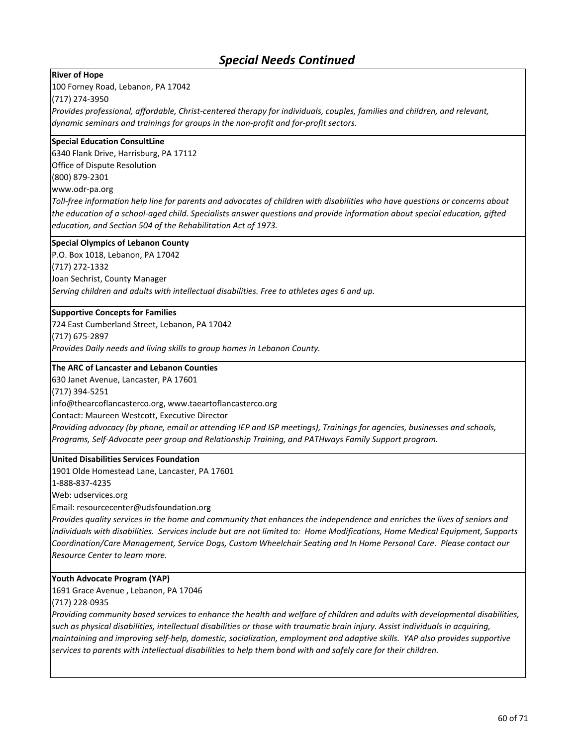#### **River of Hope**

100 Forney Road, Lebanon, PA 17042

(717) 274-3950

*Provides professional, affordable, Christ-centered therapy for individuals, couples, families and children, and relevant, dynamic seminars and trainings for groups in the non-profit and for-profit sectors.*

#### **Special Education ConsultLine**

6340 Flank Drive, Harrisburg, PA 17112 Office of Dispute Resolution (800) 879-2301 www.odr-pa.org

*Toll-free information help line for parents and advocates of children with disabilities who have questions or concerns about the education of a school-aged child. Specialists answer questions and provide information about special education, gifted education, and Section 504 of the Rehabilitation Act of 1973.*

#### **Special Olympics of Lebanon County**

P.O. Box 1018, Lebanon, PA 17042

(717) 272-1332

Joan Sechrist, County Manager

*Serving children and adults with intellectual disabilities. Free to athletes ages 6 and up.*

### **Supportive Concepts for Families**

724 East Cumberland Street, Lebanon, PA 17042 (717) 675-2897

*Provides Daily needs and living skills to group homes in Lebanon County.*

### **The ARC of Lancaster and Lebanon Counties**

630 Janet Avenue, Lancaster, PA 17601

(717) 394-5251

info@thearcoflancasterco.org, www.taeartoflancasterco.org

Contact: Maureen Westcott, Executive Director

*Providing advocacy (by phone, email or attending IEP and ISP meetings), Trainings for agencies, businesses and schools, Programs, Self-Advocate peer group and Relationship Training, and PATHways Family Support program.*

#### **United Disabilities Services Foundation**

1901 Olde Homestead Lane, Lancaster, PA 17601

1-888-837-4235

Web: udservices.org

Email: resourcecenter@udsfoundation.org

*Provides quality services in the home and community that enhances the independence and enriches the lives of seniors and individuals with disabilities. Services include but are not limited to: Home Modifications, Home Medical Equipment, Supports Coordination/Care Management, Service Dogs, Custom Wheelchair Seating and In Home Personal Care. Please contact our Resource Center to learn more.*

#### **Youth Advocate Program (YAP)**

1691 Grace Avenue , Lebanon, PA 17046

(717) 228-0935

*Providing community based services to enhance the health and welfare of children and adults with developmental disabilities, such as physical disabilities, intellectual disabilities or those with traumatic brain injury. Assist individuals in acquiring, maintaining and improving self-help, domestic, socialization, employment and adaptive skills. YAP also provides supportive services to parents with intellectual disabilities to help them bond with and safely care for their children.*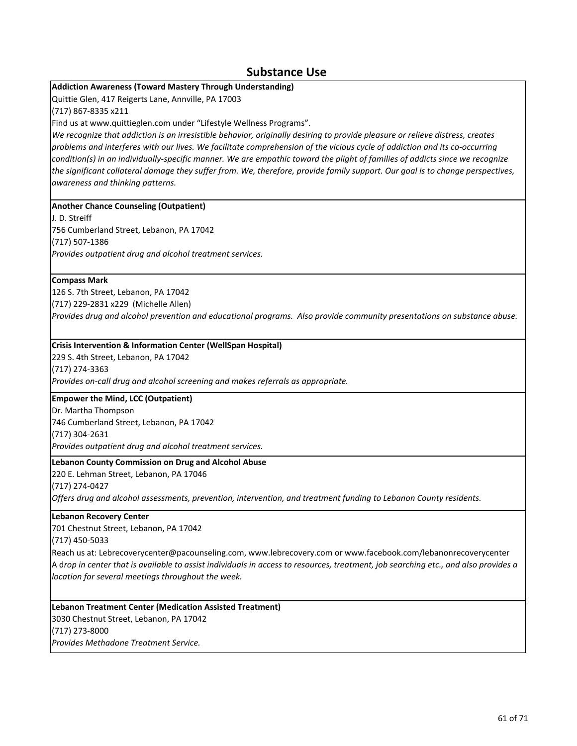### **Substance Use**

### **Addiction Awareness (Toward Mastery Through Understanding)**

Quittie Glen, 417 Reigerts Lane, Annville, PA 17003

(717) 867-8335 x211

Find us at www.quittieglen.com under "Lifestyle Wellness Programs".

*We recognize that addiction is an irresistible behavior, originally desiring to provide pleasure or relieve distress, creates problems and interferes with our lives. We facilitate comprehension of the vicious cycle of addiction and its co-occurring condition(s) in an individually-specific manner. We are empathic toward the plight of families of addicts since we recognize the significant collateral damage they suffer from. We, therefore, provide family support. Our goal is to change perspectives, awareness and thinking patterns.* 

#### **Another Chance Counseling (Outpatient)**

J. D. Streiff 756 Cumberland Street, Lebanon, PA 17042 (717) 507-1386 *Provides outpatient drug and alcohol treatment services.*

#### **Compass Mark**

126 S. 7th Street, Lebanon, PA 17042 (717) 229-2831 x229 (Michelle Allen) *Provides drug and alcohol prevention and educational programs. Also provide community presentations on substance abuse.*

#### **Crisis Intervention & Information Center (WellSpan Hospital)**

229 S. 4th Street, Lebanon, PA 17042 (717) 274-3363 *Provides on-call drug and alcohol screening and makes referrals as appropriate.*

#### **Empower the Mind, LCC (Outpatient)**

Dr. Martha Thompson 746 Cumberland Street, Lebanon, PA 17042 (717) 304-2631 *Provides outpatient drug and alcohol treatment services.*

#### **Lebanon County Commission on Drug and Alcohol Abuse**

220 E. Lehman Street, Lebanon, PA 17046

(717) 274-0427

*Offers drug and alcohol assessments, prevention, intervention, and treatment funding to Lebanon County residents.*

#### **Lebanon Recovery Center**

701 Chestnut Street, Lebanon, PA 17042

(717) 450-5033

Reach us at: Lebrecoverycenter@pacounseling.com, www.lebrecovery.com or www.facebook.com/lebanonrecoverycenter A d*rop in center that is available to assist individuals in access to resources, treatment, job searching etc., and also provides a location for several meetings throughout the week.* 

**Lebanon Treatment Center (Medication Assisted Treatment)** 3030 Chestnut Street, Lebanon, PA 17042 (717) 273-8000 *Provides Methadone Treatment Service.*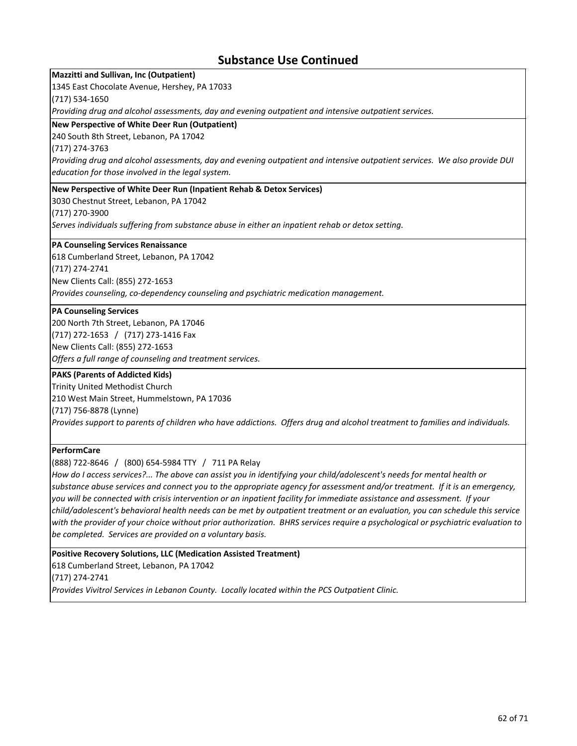### **Substance Use Continued**

### **Mazzitti and Sullivan, Inc (Outpatient)**

1345 East Chocolate Avenue, Hershey, PA 17033

(717) 534-1650

*Providing drug and alcohol assessments, day and evening outpatient and intensive outpatient services.*

#### **New Perspective of White Deer Run (Outpatient)**

#### 240 South 8th Street, Lebanon, PA 17042

(717) 274-3763

*Providing drug and alcohol assessments, day and evening outpatient and intensive outpatient services. We also provide DUI education for those involved in the legal system.*

#### **New Perspective of White Deer Run (Inpatient Rehab & Detox Services)**

3030 Chestnut Street, Lebanon, PA 17042

(717) 270-3900

*Serves individuals suffering from substance abuse in either an inpatient rehab or detox setting.*

#### **PA Counseling Services Renaissance**

618 Cumberland Street, Lebanon, PA 17042 (717) 274-2741 New Clients Call: (855) 272-1653 *Provides counseling, co-dependency counseling and psychiatric medication management.*

#### **PA Counseling Services**

200 North 7th Street, Lebanon, PA 17046 (717) 272-1653 / (717) 273-1416 Fax New Clients Call: (855) 272-1653 *Offers a full range of counseling and treatment services.*

#### **PAKS (Parents of Addicted Kids)**

Trinity United Methodist Church 210 West Main Street, Hummelstown, PA 17036 (717) 756-8878 (Lynne) *Provides support to parents of children who have addictions. Offers drug and alcohol treatment to families and individuals.*

### **PerformCare**

(888) 722-8646 / (800) 654-5984 TTY / 711 PA Relay

*How do I access services?... The above can assist you in identifying your child/adolescent's needs for mental health or substance abuse services and connect you to the appropriate agency for assessment and/or treatment. If it is an emergency, you will be connected with crisis intervention or an inpatient facility for immediate assistance and assessment. If your child/adolescent's behavioral health needs can be met by outpatient treatment or an evaluation, you can schedule this service with the provider of your choice without prior authorization. BHRS services require a psychological or psychiatric evaluation to be completed. Services are provided on a voluntary basis.*

#### **Positive Recovery Solutions, LLC (Medication Assisted Treatment)**

618 Cumberland Street, Lebanon, PA 17042 (717) 274-2741

*Provides Vivitrol Services in Lebanon County. Locally located within the PCS Outpatient Clinic.*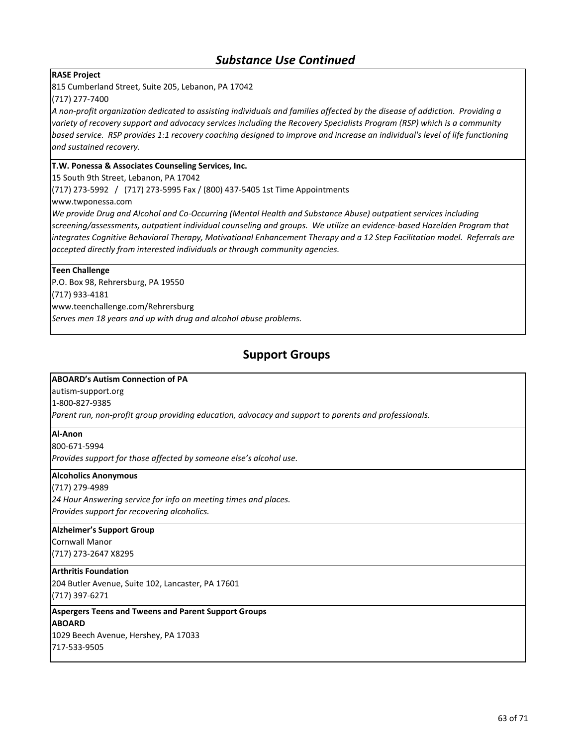## *Substance Use Continued*

#### **RASE Project**

815 Cumberland Street, Suite 205, Lebanon, PA 17042

(717) 277-7400

*A non-profit organization dedicated to assisting individuals and families affected by the disease of addiction. Providing a variety of recovery support and advocacy services including the Recovery Specialists Program (RSP) which is a community based service. RSP provides 1:1 recovery coaching designed to improve and increase an individual's level of life functioning and sustained recovery.*

### **T.W. Ponessa & Associates Counseling Services, Inc.**

15 South 9th Street, Lebanon, PA 17042

(717) 273-5992 / (717) 273-5995 Fax / (800) 437-5405 1st Time Appointments

www.twponessa.com

*We provide Drug and Alcohol and Co-Occurring (Mental Health and Substance Abuse) outpatient services including screening/assessments, outpatient individual counseling and groups. We utilize an evidence-based Hazelden Program that integrates Cognitive Behavioral Therapy, Motivational Enhancement Therapy and a 12 Step Facilitation model. Referrals are accepted directly from interested individuals or through community agencies.*

#### **Teen Challenge**

P.O. Box 98, Rehrersburg, PA 19550 (717) 933-4181

www.teenchallenge.com/Rehrersburg

*Serves men 18 years and up with drug and alcohol abuse problems.*

## **Support Groups**

#### **ABOARD's Autism Connection of PA**

autism-support.org

1-800-827-9385

*Parent run, non-profit group providing education, advocacy and support to parents and professionals.*

#### **Al-Anon**

800-671-5994

*Provides support for those affected by someone else's alcohol use.*

#### **Alcoholics Anonymous**

(717) 279-4989 *24 Hour Answering service for info on meeting times and places.*

*Provides support for recovering alcoholics.*

### **Alzheimer's Support Group**

Cornwall Manor (717) 273-2647 X8295

#### **Arthritis Foundation**

204 Butler Avenue, Suite 102, Lancaster, PA 17601 (717) 397-6271

#### **Aspergers Teens and Tweens and Parent Support Groups ABOARD**

1029 Beech Avenue, Hershey, PA 17033 717-533-9505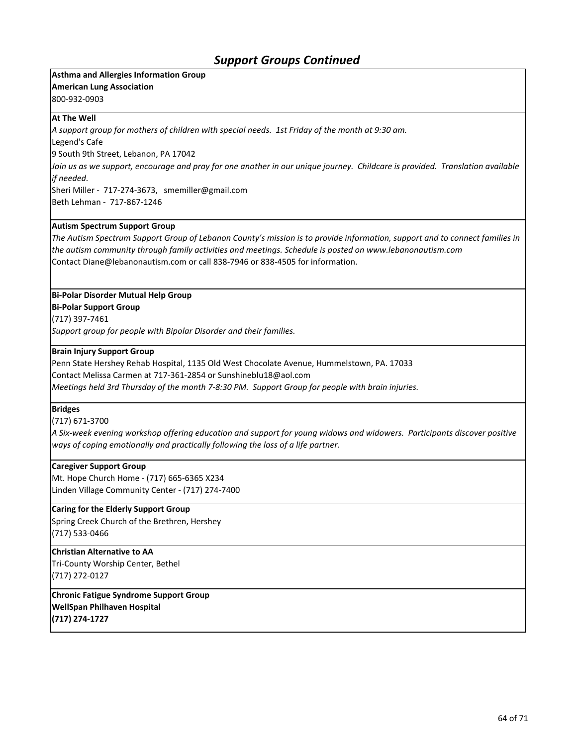#### **Asthma and Allergies Information Group American Lung Association**

800-932-0903

#### **At The Well**

*A support group for mothers of children with special needs. 1st Friday of the month at 9:30 am.*

Legend's Cafe 9 South 9th Street, Lebanon, PA 17042

*Join us as we support, encourage and pray for one another in our unique journey. Childcare is provided. Translation available if needed.*

Sheri Miller - 717-274-3673, smemiller@gmail.com Beth Lehman - 717-867-1246

#### **Autism Spectrum Support Group**

*The Autism Spectrum Support Group of Lebanon County's mission is to provide information, support and to connect families in the autism community through family activities and meetings. Schedule is posted on www.lebanonautism.com*  Contact Diane@lebanonautism.com or call 838-7946 or 838-4505 for information.

### **Bi-Polar Disorder Mutual Help Group**

**Bi-Polar Support Group**

(717) 397-7461

*Support group for people with Bipolar Disorder and their families.*

#### **Brain Injury Support Group**

Penn State Hershey Rehab Hospital, 1135 Old West Chocolate Avenue, Hummelstown, PA. 17033 Contact Melissa Carmen at 717-361-2854 or Sunshineblu18@aol.com *Meetings held 3rd Thursday of the month 7-8:30 PM. Support Group for people with brain injuries.*

### **Bridges**

(717) 671-3700

*A Six-week evening workshop offering education and support for young widows and widowers. Participants discover positive ways of coping emotionally and practically following the loss of a life partner.*

#### **Caregiver Support Group**

Mt. Hope Church Home - (717) 665-6365 X234 Linden Village Community Center - (717) 274-7400

#### **Caring for the Elderly Support Group**

Spring Creek Church of the Brethren, Hershey (717) 533-0466

### **Christian Alternative to AA**

Tri-County Worship Center, Bethel (717) 272-0127

**Chronic Fatigue Syndrome Support Group WellSpan Philhaven Hospital (717) 274-1727**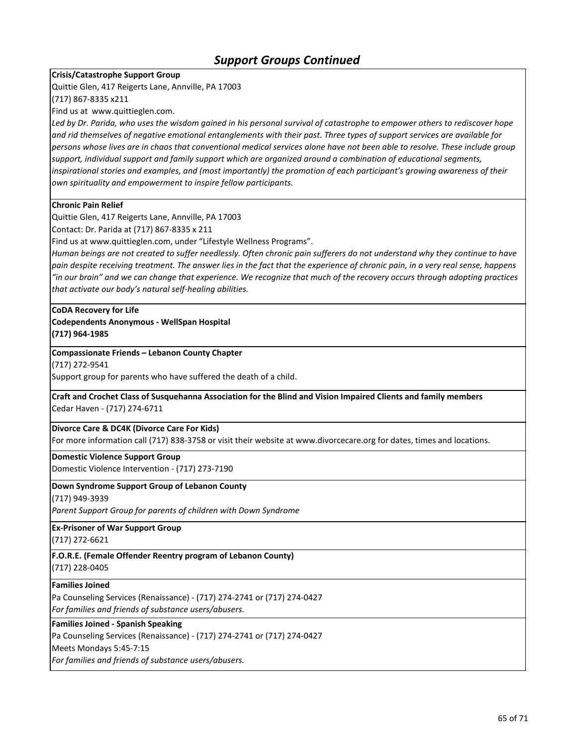### **Crisis/Catastrophe Support Group**

Quittie Glen, 417 Reigerts Lane, Annville, PA 17003

(717) 867-8335 x211

Find us at www.quittieglen.com.

Led by Dr. Parida, who uses the wisdom gained in his personal survival of catastrophe to empower others to rediscover hope *and rid themselves of negative emotional entanglements with their past. Three types of support services are available for persons whose lives are in chaos that conventional medical services alone have not been able to resolve. These include group support, individual support and family support which are organized around a combination of educational segments, inspirational stories and examples, and (most importantly) the promotion of each participant's growing awareness of their own spirituality and empowerment to inspire fellow participants.* 

#### **Chronic Pain Relief**

Quittie Glen, 417 Reigerts Lane, Annville, PA 17003

Contact: Dr. Parida at (717) 867-8335 x 211

Find us at www.quittieglen.com, under "Lifestyle Wellness Programs".

*Human beings are not created to suffer needlessly. Often chronic pain sufferers do not understand why they continue to have pain despite receiving treatment. The answer lies in the fact that the experience of chronic pain, in a very real sense, happens "in our brain" and we can change that experience. We recognize that much of the recovery occurs through adopting practices that activate our body's natural self-healing abilities.* 

#### **CoDA Recovery for Life Codependents Anonymous - WellSpan Hospital**

**(717) 964-1985**

#### **Compassionate Friends – Lebanon County Chapter**

(717) 272-9541

Support group for parents who have suffered the death of a child.

**Craft and Crochet Class of Susquehanna Association for the Blind and Vision Impaired Clients and family members** Cedar Haven - (717) 274-6711

#### **Divorce Care & DC4K (Divorce Care For Kids)**

For more information call (717) 838-3758 or visit their website at www.divorcecare.org for dates, times and locations.

## **Domestic Violence Support Group**

Domestic Violence Intervention - (717) 273-7190

#### **Down Syndrome Support Group of Lebanon County**

(717) 949-3939

*Parent Support Group for parents of children with Down Syndrome*

**Ex-Prisoner of War Support Group**

(717) 272-6621

**F.O.R.E. (Female Offender Reentry program of Lebanon County)** (717) 228-0405

#### **Families Joined**

Pa Counseling Services (Renaissance) - (717) 274-2741 or (717) 274-0427 *For families and friends of substance users/abusers.*

#### **Families Joined - Spanish Speaking**

Pa Counseling Services (Renaissance) - (717) 274-2741 or (717) 274-0427

Meets Mondays 5:45-7:15

*For families and friends of substance users/abusers.*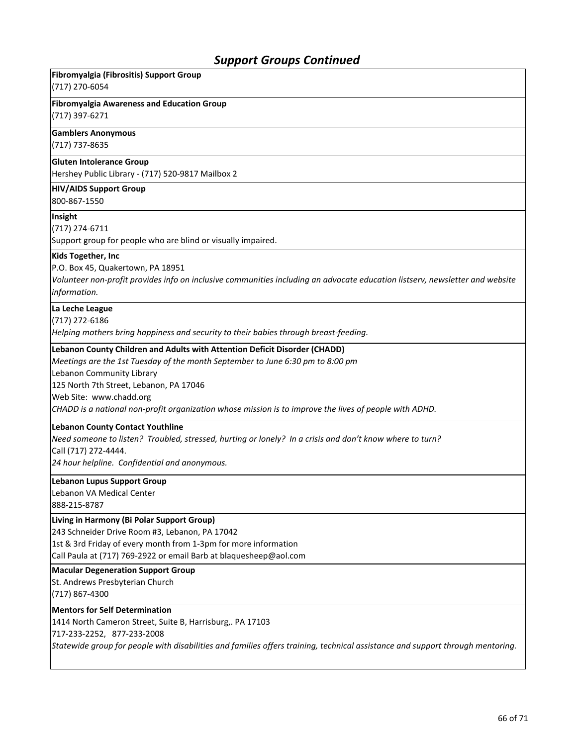| Fibromyalgia (Fibrositis) Support Group<br>(717) 270-6054                                                                                                                                                                                                                                                                                                                 |
|---------------------------------------------------------------------------------------------------------------------------------------------------------------------------------------------------------------------------------------------------------------------------------------------------------------------------------------------------------------------------|
| <b>Fibromyalgia Awareness and Education Group</b><br>(717) 397-6271                                                                                                                                                                                                                                                                                                       |
| <b>Gamblers Anonymous</b><br>(717) 737-8635                                                                                                                                                                                                                                                                                                                               |
| <b>Gluten Intolerance Group</b><br>Hershey Public Library - (717) 520-9817 Mailbox 2                                                                                                                                                                                                                                                                                      |
| <b>HIV/AIDS Support Group</b><br>800-867-1550                                                                                                                                                                                                                                                                                                                             |
| Insight<br>(717) 274-6711<br>Support group for people who are blind or visually impaired.                                                                                                                                                                                                                                                                                 |
| Kids Together, Inc<br>P.O. Box 45, Quakertown, PA 18951<br>Volunteer non-profit provides info on inclusive communities including an advocate education listserv, newsletter and website<br>information.                                                                                                                                                                   |
| La Leche League<br>(717) 272-6186<br>Helping mothers bring happiness and security to their babies through breast-feeding.                                                                                                                                                                                                                                                 |
| Lebanon County Children and Adults with Attention Deficit Disorder (CHADD)<br>Meetings are the 1st Tuesday of the month September to June 6:30 pm to 8:00 pm<br>Lebanon Community Library<br>125 North 7th Street, Lebanon, PA 17046<br>Web Site: www.chadd.org<br>CHADD is a national non-profit organization whose mission is to improve the lives of people with ADHD. |
| <b>Lebanon County Contact Youthline</b><br>Need someone to listen? Troubled, stressed, hurting or lonely? In a crisis and don't know where to turn?<br>Call (717) 272-4444.<br>24 hour helpline. Confidential and anonymous.                                                                                                                                              |
| <b>Lebanon Lupus Support Group</b><br>Lebanon VA Medical Center<br>888-215-8787                                                                                                                                                                                                                                                                                           |
| Living in Harmony (Bi Polar Support Group)<br>243 Schneider Drive Room #3, Lebanon, PA 17042<br>1st & 3rd Friday of every month from 1-3pm for more information<br>Call Paula at (717) 769-2922 or email Barb at blaquesheep@aol.com                                                                                                                                      |
| <b>Macular Degeneration Support Group</b><br>St. Andrews Presbyterian Church<br>(717) 867-4300                                                                                                                                                                                                                                                                            |
| <b>Mentors for Self Determination</b><br>1414 North Cameron Street, Suite B, Harrisburg,. PA 17103<br>717-233-2252, 877-233-2008<br>Statewide group for people with disabilities and families offers training, technical assistance and support through mentoring.                                                                                                        |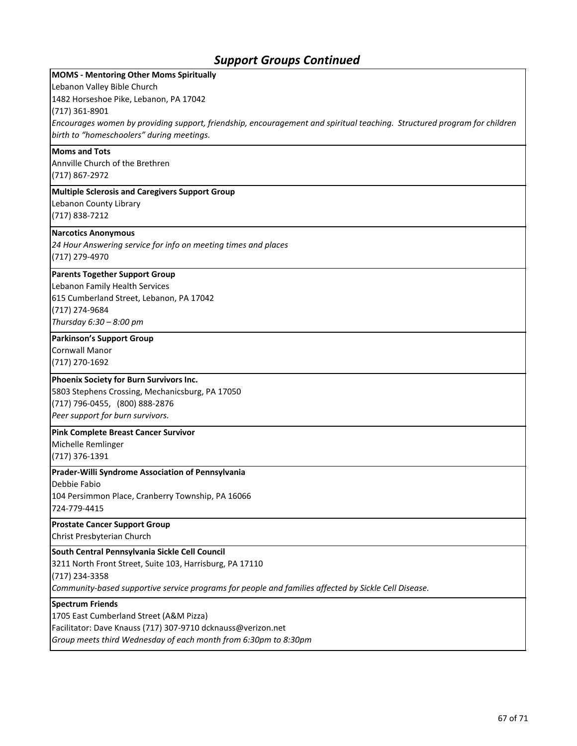| <b>MOMS - Mentoring Other Moms Spiritually</b>                                                                           |
|--------------------------------------------------------------------------------------------------------------------------|
| Lebanon Valley Bible Church                                                                                              |
| 1482 Horseshoe Pike, Lebanon, PA 17042                                                                                   |
| $(717)$ 361-8901                                                                                                         |
| Encourages women by providing support, friendship, encouragement and spiritual teaching. Structured program for children |
| birth to "homeschoolers" during meetings.                                                                                |
| <b>Moms and Tots</b>                                                                                                     |
| Annville Church of the Brethren                                                                                          |
| (717) 867-2972                                                                                                           |
| <b>Multiple Sclerosis and Caregivers Support Group</b>                                                                   |
| Lebanon County Library                                                                                                   |
| (717) 838-7212                                                                                                           |
| <b>Narcotics Anonymous</b>                                                                                               |
| 24 Hour Answering service for info on meeting times and places                                                           |
| (717) 279-4970                                                                                                           |
| <b>Parents Together Support Group</b>                                                                                    |
| Lebanon Family Health Services                                                                                           |
| 615 Cumberland Street, Lebanon, PA 17042                                                                                 |
| (717) 274-9684                                                                                                           |
| Thursday $6:30 - 8:00$ pm                                                                                                |
| <b>Parkinson's Support Group</b>                                                                                         |
| <b>Cornwall Manor</b>                                                                                                    |
| (717) 270-1692                                                                                                           |
| Phoenix Society for Burn Survivors Inc.                                                                                  |
| 5803 Stephens Crossing, Mechanicsburg, PA 17050                                                                          |
| (717) 796-0455, (800) 888-2876                                                                                           |
| Peer support for burn survivors.                                                                                         |
|                                                                                                                          |
| <b>Pink Complete Breast Cancer Survivor</b>                                                                              |
| Michelle Remlinger                                                                                                       |
| (717) 376-1391                                                                                                           |
| Prader-Willi Syndrome Association of Pennsylvania                                                                        |
| Debbie Fabio                                                                                                             |
| 104 Persimmon Place, Cranberry Township, PA 16066<br>724-779-4415                                                        |
|                                                                                                                          |
| <b>Prostate Cancer Support Group</b>                                                                                     |
| Christ Presbyterian Church                                                                                               |
| South Central Pennsylvania Sickle Cell Council                                                                           |
| 3211 North Front Street, Suite 103, Harrisburg, PA 17110                                                                 |
| (717) 234-3358                                                                                                           |
| Community-based supportive service programs for people and families affected by Sickle Cell Disease.                     |
| <b>Spectrum Friends</b>                                                                                                  |
| 1705 East Cumberland Street (A&M Pizza)                                                                                  |
| Facilitator: Dave Knauss (717) 307-9710 dcknauss@verizon.net                                                             |
| Group meets third Wednesday of each month from 6:30pm to 8:30pm                                                          |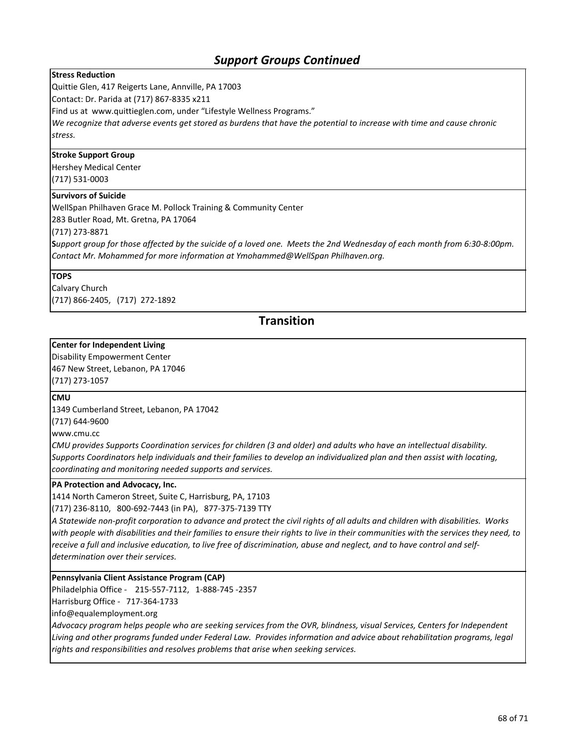#### **Stress Reduction**

Quittie Glen, 417 Reigerts Lane, Annville, PA 17003

Contact: Dr. Parida at (717) 867-8335 x211

Find us at www.quittieglen.com, under "Lifestyle Wellness Programs."

*We recognize that adverse events get stored as burdens that have the potential to increase with time and cause chronic stress.* 

#### **Stroke Support Group**

Hershey Medical Center (717) 531-0003

#### **Survivors of Suicide**

WellSpan Philhaven Grace M. Pollock Training & Community Center

283 Butler Road, Mt. Gretna, PA 17064

(717) 273-8871

**S***upport group for those affected by the suicide of a loved one. Meets the 2nd Wednesday of each month from 6:30-8:00pm. Contact Mr. Mohammed for more information at Ymohammed@WellSpan Philhaven.org.*

#### **TOPS**

Calvary Church (717) 866-2405, (717) 272-1892

### **Transition**

#### **Center for Independent Living**

Disability Empowerment Center 467 New Street, Lebanon, PA 17046 (717) 273-1057

#### **CMU**

1349 Cumberland Street, Lebanon, PA 17042

(717) 644-9600

www.cmu.cc

*CMU provides Supports Coordination services for children (3 and older) and adults who have an intellectual disability. Supports Coordinators help individuals and their families to develop an individualized plan and then assist with locating, coordinating and monitoring needed supports and services.*

#### **PA Protection and Advocacy, Inc.**

1414 North Cameron Street, Suite C, Harrisburg, PA, 17103

(717) 236-8110, 800-692-7443 (in PA), 877-375-7139 TTY

*A Statewide non-profit corporation to advance and protect the civil rights of all adults and children with disabilities. Works with people with disabilities and their families to ensure their rights to live in their communities with the services they need, to receive a full and inclusive education, to live free of discrimination, abuse and neglect, and to have control and selfdetermination over their services.*

**Pennsylvania Client Assistance Program (CAP)**

Philadelphia Office - 215-557-7112, 1-888-745 -2357

Harrisburg Office - 717-364-1733

info@equalemployment.org

*Advocacy program helps people who are seeking services from the OVR, blindness, visual Services, Centers for Independent Living and other programs funded under Federal Law. Provides information and advice about rehabilitation programs, legal rights and responsibilities and resolves problems that arise when seeking services.*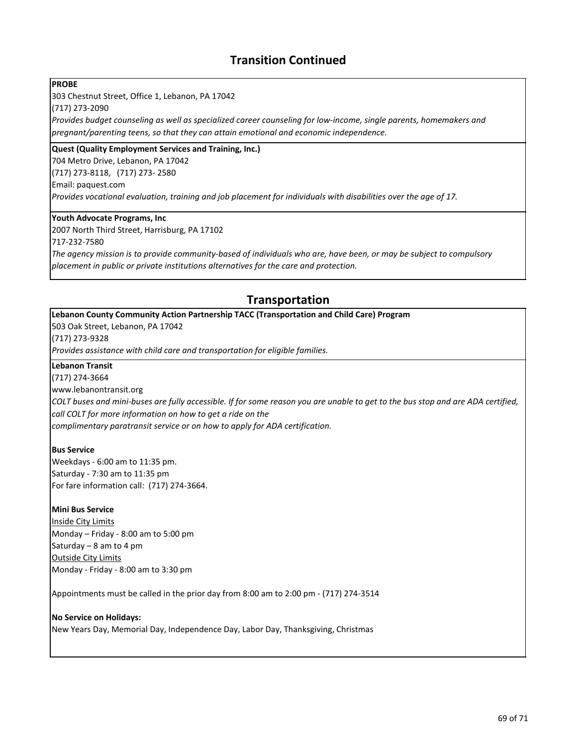## **Transition Continued**

#### **PROBE**

303 Chestnut Street, Office 1, Lebanon, PA 17042

(717) 273-2090

*Provides budget counseling as well as specialized career counseling for low-income, single parents, homemakers and pregnant/parenting teens, so that they can attain emotional and economic independence.*

#### **Quest (Quality Employment Services and Training, Inc.)**

704 Metro Drive, Lebanon, PA 17042 (717) 273-8118, (717) 273- 2580 Email: paquest.com

*Provides vocational evaluation, training and job placement for individuals with disabilities over the age of 17.*

#### **Youth Advocate Programs, Inc**

2007 North Third Street, Harrisburg, PA 17102 717-232-7580

*The agency mission is to provide community-based of individuals who are, have been, or may be subject to compulsory placement in public or private institutions alternatives for the care and protection.*

## **Transportation**

#### **Lebanon County Community Action Partnership TACC (Transportation and Child Care) Program**

503 Oak Street, Lebanon, PA 17042

(717) 273-9328

*Provides assistance with child care and transportation for eligible families.*

#### **Lebanon Transit**

(717) 274-3664

www.lebanontransit.org

*COLT buses and mini-buses are fully accessible. If for some reason you are unable to get to the bus stop and are ADA certified, call COLT for more information on how to get a ride on the* 

*complimentary paratransit service or on how to apply for ADA certification.* 

#### **Bus Service**

Weekdays - 6:00 am to 11:35 pm. Saturday - 7:30 am to 11:35 pm For fare information call: (717) 274-3664.

#### **Mini Bus Service**

Inside City Limits Monday – Friday - 8:00 am to 5:00 pm Saturday – 8 am to 4 pm Outside City Limits Monday - Friday - 8:00 am to 3:30 pm

Appointments must be called in the prior day from 8:00 am to 2:00 pm - (717) 274-3514

### **No Service on Holidays:** New Years Day, Memorial Day, Independence Day, Labor Day, Thanksgiving, Christmas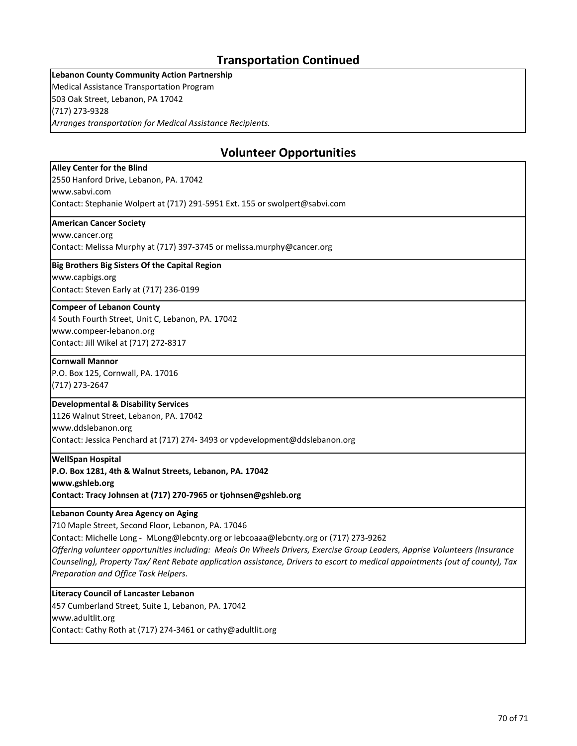## **Transportation Continued**

**Lebanon County Community Action Partnership** Medical Assistance Transportation Program 503 Oak Street, Lebanon, PA 17042 (717) 273-9328 *Arranges transportation for Medical Assistance Recipients.*

## **Volunteer Opportunities**

#### **Alley Center for the Blind**

2550 Hanford Drive, Lebanon, PA. 17042

www.sabvi.com

Contact: Stephanie Wolpert at (717) 291-5951 Ext. 155 or swolpert@sabvi.com

#### **American Cancer Society**

www.cancer.org

Contact: Melissa Murphy at (717) 397-3745 or melissa.murphy@cancer.org

#### **Big Brothers Big Sisters Of the Capital Region**

www.capbigs.org Contact: Steven Early at (717) 236-0199

#### **Compeer of Lebanon County**

4 South Fourth Street, Unit C, Lebanon, PA. 17042 www.compeer-lebanon.org Contact: Jill Wikel at (717) 272-8317

#### **Cornwall Mannor**

P.O. Box 125, Cornwall, PA. 17016 (717) 273-2647

#### **Developmental & Disability Services**

1126 Walnut Street, Lebanon, PA. 17042 www.ddslebanon.org Contact: Jessica Penchard at (717) 274- 3493 or vpdevelopment@ddslebanon.org

#### **WellSpan Hospital**

**P.O. Box 1281, 4th & Walnut Streets, Lebanon, PA. 17042**

**www.gshleb.org**

**Contact: Tracy Johnsen at (717) 270-7965 or tjohnsen@gshleb.org**

#### **Lebanon County Area Agency on Aging**

710 Maple Street, Second Floor, Lebanon, PA. 17046

Contact: Michelle Long - MLong@lebcnty.org or lebcoaaa@lebcnty.org or (717) 273-9262

*Offering volunteer opportunities including: Meals On Wheels Drivers, Exercise Group Leaders, Apprise Volunteers (Insurance Counseling), Property Tax/ Rent Rebate application assistance, Drivers to escort to medical appointments (out of county), Tax Preparation and Office Task Helpers.*

#### **Literacy Council of Lancaster Lebanon**

457 Cumberland Street, Suite 1, Lebanon, PA. 17042 www.adultlit.org Contact: Cathy Roth at (717) 274-3461 or cathy@adultlit.org